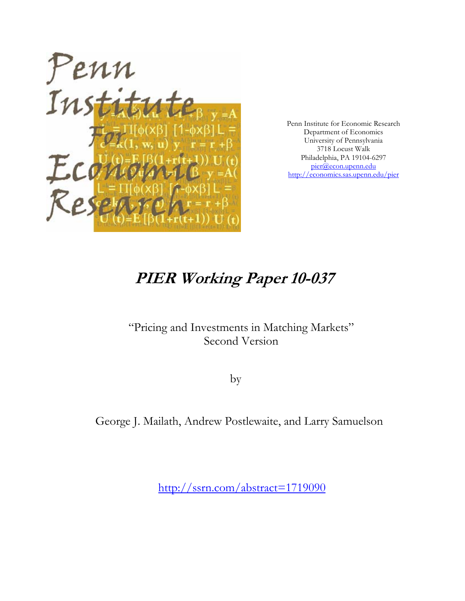

Penn Institute for Economic Research Department of Economics University of Pennsylvania 3718 Locust Walk Philadelphia, PA 19104-6297 pier@econ.upenn.edu http://economics.sas.upenn.edu/pier

# **PIER Working Paper 10-037**

# "Pricing and Investments in Matching Markets" Second Version

by

George J. Mailath, Andrew Postlewaite, and Larry Samuelson

http://ssrn.com/abstract=1719090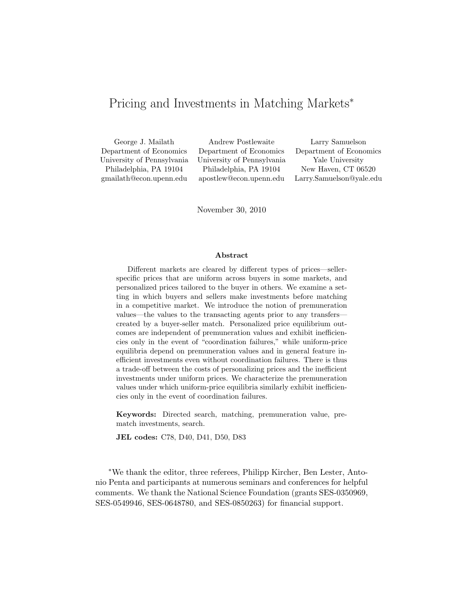# Pricing and Investments in Matching Markets<sup>∗</sup>

George J. Mailath Andrew Postlewaite Larry Samuelson Department of Economics Department of Economics Department of Economics University of Pennsylvania University of Pennsylvania Yale University

Philadelphia, PA 19104 Philadelphia, PA 19104 New Haven, CT 06520 gmailath@econ.upenn.edu apostlew@econ.upenn.edu Larry.Samuelson@yale.edu

November 30, 2010

#### Abstract

Different markets are cleared by different types of prices—sellerspecific prices that are uniform across buyers in some markets, and personalized prices tailored to the buyer in others. We examine a setting in which buyers and sellers make investments before matching in a competitive market. We introduce the notion of premuneration values—the values to the transacting agents prior to any transfers created by a buyer-seller match. Personalized price equilibrium outcomes are independent of premuneration values and exhibit inefficiencies only in the event of "coordination failures," while uniform-price equilibria depend on premuneration values and in general feature inefficient investments even without coordination failures. There is thus a trade-off between the costs of personalizing prices and the inefficient investments under uniform prices. We characterize the premuneration values under which uniform-price equilibria similarly exhibit inefficiencies only in the event of coordination failures.

Keywords: Directed search, matching, premuneration value, prematch investments, search.

JEL codes: C78, D40, D41, D50, D83

<sup>∗</sup>We thank the editor, three referees, Philipp Kircher, Ben Lester, Antonio Penta and participants at numerous seminars and conferences for helpful comments. We thank the National Science Foundation (grants SES-0350969, SES-0549946, SES-0648780, and SES-0850263) for financial support.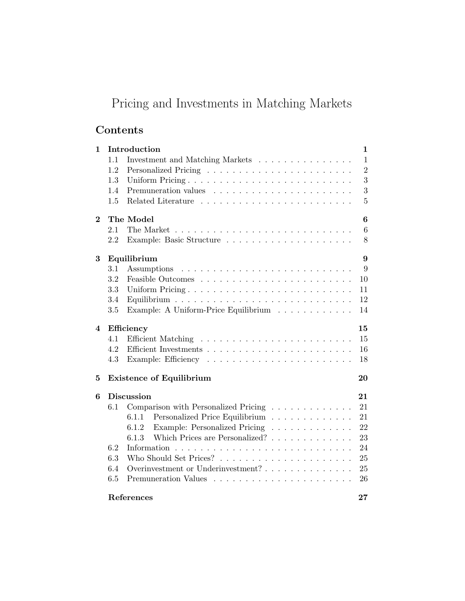# Pricing and Investments in Matching Markets

# Contents

| 1        | Introduction<br>1       |                                                                                      |                |  |  |  |  |  |  |
|----------|-------------------------|--------------------------------------------------------------------------------------|----------------|--|--|--|--|--|--|
|          | 1.1                     | Investment and Matching Markets                                                      | $\mathbf{1}$   |  |  |  |  |  |  |
|          | 1.2                     |                                                                                      | $\overline{2}$ |  |  |  |  |  |  |
|          | 1.3                     | Uniform Pricing                                                                      | 3              |  |  |  |  |  |  |
|          | 1.4                     |                                                                                      | 3              |  |  |  |  |  |  |
|          | 1.5                     |                                                                                      | $\overline{5}$ |  |  |  |  |  |  |
| $\bf{2}$ |                         | The Model                                                                            | $\bf{6}$       |  |  |  |  |  |  |
|          | 2.1                     | The Market $\dots \dots \dots \dots \dots \dots \dots \dots \dots \dots \dots \dots$ | 6              |  |  |  |  |  |  |
|          | 2.2                     |                                                                                      | 8              |  |  |  |  |  |  |
| 3        | 9<br>Equilibrium        |                                                                                      |                |  |  |  |  |  |  |
|          | 3.1                     | Assumptions                                                                          | 9              |  |  |  |  |  |  |
|          | 3.2                     |                                                                                      | 10             |  |  |  |  |  |  |
|          | 3.3                     | Uniform Pricing                                                                      | 11             |  |  |  |  |  |  |
|          | $3.4\,$                 |                                                                                      | 12             |  |  |  |  |  |  |
|          | 3.5                     | Example: A Uniform-Price Equilibrium                                                 | 14             |  |  |  |  |  |  |
| 4        | Efficiency<br>15        |                                                                                      |                |  |  |  |  |  |  |
|          | 4.1                     |                                                                                      | 15             |  |  |  |  |  |  |
|          | 4.2                     |                                                                                      | 16             |  |  |  |  |  |  |
|          | 4.3                     |                                                                                      | 18             |  |  |  |  |  |  |
| 5        |                         | <b>Existence of Equilibrium</b><br>20                                                |                |  |  |  |  |  |  |
| 6        | <b>Discussion</b><br>21 |                                                                                      |                |  |  |  |  |  |  |
|          | 6.1                     | Comparison with Personalized Pricing                                                 | 21             |  |  |  |  |  |  |
|          |                         | Personalized Price Equilibrium<br>6.1.1                                              | 21             |  |  |  |  |  |  |
|          |                         | Example: Personalized Pricing<br>6.1.2                                               | 22             |  |  |  |  |  |  |
|          |                         | Which Prices are Personalized?<br>6.1.3                                              | 23             |  |  |  |  |  |  |
|          | 6.2                     | Information                                                                          | 24             |  |  |  |  |  |  |
|          | 6.3                     |                                                                                      |                |  |  |  |  |  |  |
|          | 6.4                     | Overinvestment or Underinvestment?                                                   |                |  |  |  |  |  |  |
|          | 6.5                     |                                                                                      | 26             |  |  |  |  |  |  |
|          | References<br>27        |                                                                                      |                |  |  |  |  |  |  |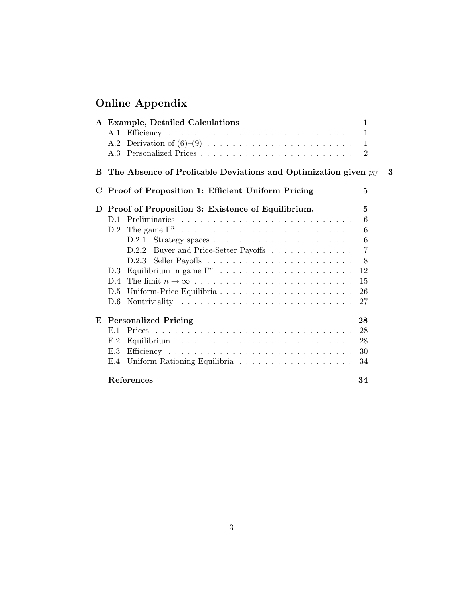# Online Appendix

|             | A Example, Detailed Calculations                                        |                                                                   |  | 1  |  |                |  |  |
|-------------|-------------------------------------------------------------------------|-------------------------------------------------------------------|--|----|--|----------------|--|--|
|             | A.1                                                                     |                                                                   |  |    |  | 1              |  |  |
|             | A.2                                                                     |                                                                   |  |    |  | 1              |  |  |
|             |                                                                         |                                                                   |  |    |  | $\overline{2}$ |  |  |
| В           | The Absence of Profitable Deviations and Optimization given $p_U$<br>-3 |                                                                   |  |    |  |                |  |  |
| $\mathbf C$ | Proof of Proposition 1: Efficient Uniform Pricing                       |                                                                   |  |    |  | 5              |  |  |
| D           | Proof of Proposition 3: Existence of Equilibrium.                       |                                                                   |  |    |  | 5              |  |  |
|             | D.1                                                                     |                                                                   |  |    |  | 6              |  |  |
|             | D.2                                                                     |                                                                   |  |    |  | 6              |  |  |
|             | D.2.1                                                                   | Strategy spaces $\dots \dots \dots \dots \dots \dots \dots \dots$ |  |    |  | 6              |  |  |
|             | D.2.2                                                                   | Buyer and Price-Setter Payoffs                                    |  |    |  | 7              |  |  |
|             | D.2.3                                                                   |                                                                   |  |    |  | 8              |  |  |
|             | D.3                                                                     |                                                                   |  |    |  | 12             |  |  |
|             | D.4                                                                     |                                                                   |  |    |  | 15             |  |  |
|             | D.5                                                                     | Uniform-Price Equilibria                                          |  |    |  | 26             |  |  |
|             | D.6                                                                     |                                                                   |  |    |  | 27             |  |  |
|             | <b>E</b> Personalized Pricing                                           |                                                                   |  | 28 |  |                |  |  |
|             | E.1                                                                     |                                                                   |  |    |  | 28             |  |  |
|             | E.2                                                                     |                                                                   |  |    |  | 28             |  |  |
|             | E.3                                                                     |                                                                   |  |    |  | 30             |  |  |
|             | E.4                                                                     |                                                                   |  |    |  | 34             |  |  |
|             | References                                                              |                                                                   |  |    |  |                |  |  |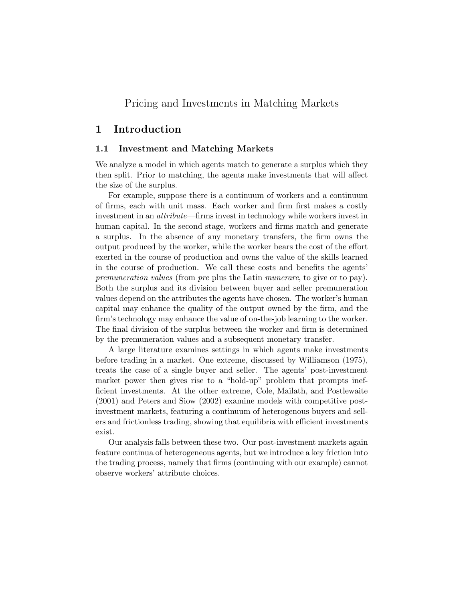## Pricing and Investments in Matching Markets

## 1 Introduction

#### 1.1 Investment and Matching Markets

We analyze a model in which agents match to generate a surplus which they then split. Prior to matching, the agents make investments that will affect the size of the surplus.

For example, suppose there is a continuum of workers and a continuum of firms, each with unit mass. Each worker and firm first makes a costly investment in an attribute—firms invest in technology while workers invest in human capital. In the second stage, workers and firms match and generate a surplus. In the absence of any monetary transfers, the firm owns the output produced by the worker, while the worker bears the cost of the effort exerted in the course of production and owns the value of the skills learned in the course of production. We call these costs and benefits the agents' premuneration values (from pre plus the Latin munerare, to give or to pay). Both the surplus and its division between buyer and seller premuneration values depend on the attributes the agents have chosen. The worker's human capital may enhance the quality of the output owned by the firm, and the firm's technology may enhance the value of on-the-job learning to the worker. The final division of the surplus between the worker and firm is determined by the premuneration values and a subsequent monetary transfer.

A large literature examines settings in which agents make investments before trading in a market. One extreme, discussed by Williamson (1975), treats the case of a single buyer and seller. The agents' post-investment market power then gives rise to a "hold-up" problem that prompts inefficient investments. At the other extreme, Cole, Mailath, and Postlewaite (2001) and Peters and Siow (2002) examine models with competitive postinvestment markets, featuring a continuum of heterogenous buyers and sellers and frictionless trading, showing that equilibria with efficient investments exist.

Our analysis falls between these two. Our post-investment markets again feature continua of heterogeneous agents, but we introduce a key friction into the trading process, namely that firms (continuing with our example) cannot observe workers' attribute choices.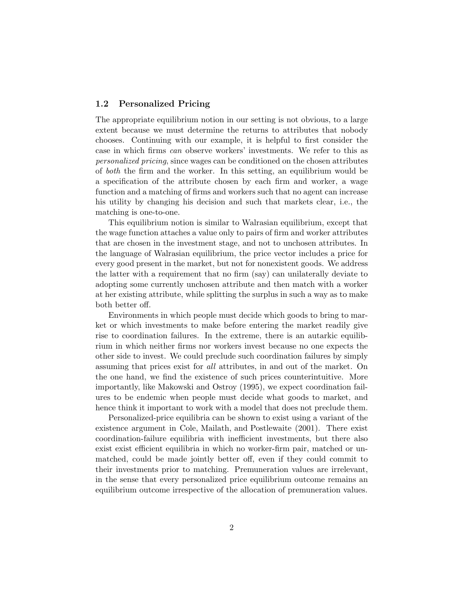#### 1.2 Personalized Pricing

The appropriate equilibrium notion in our setting is not obvious, to a large extent because we must determine the returns to attributes that nobody chooses. Continuing with our example, it is helpful to first consider the case in which firms can observe workers' investments. We refer to this as personalized pricing, since wages can be conditioned on the chosen attributes of both the firm and the worker. In this setting, an equilibrium would be a specification of the attribute chosen by each firm and worker, a wage function and a matching of firms and workers such that no agent can increase his utility by changing his decision and such that markets clear, i.e., the matching is one-to-one.

This equilibrium notion is similar to Walrasian equilibrium, except that the wage function attaches a value only to pairs of firm and worker attributes that are chosen in the investment stage, and not to unchosen attributes. In the language of Walrasian equilibrium, the price vector includes a price for every good present in the market, but not for nonexistent goods. We address the latter with a requirement that no firm (say) can unilaterally deviate to adopting some currently unchosen attribute and then match with a worker at her existing attribute, while splitting the surplus in such a way as to make both better off.

Environments in which people must decide which goods to bring to market or which investments to make before entering the market readily give rise to coordination failures. In the extreme, there is an autarkic equilibrium in which neither firms nor workers invest because no one expects the other side to invest. We could preclude such coordination failures by simply assuming that prices exist for all attributes, in and out of the market. On the one hand, we find the existence of such prices counterintuitive. More importantly, like Makowski and Ostroy (1995), we expect coordination failures to be endemic when people must decide what goods to market, and hence think it important to work with a model that does not preclude them.

Personalized-price equilibria can be shown to exist using a variant of the existence argument in Cole, Mailath, and Postlewaite (2001). There exist coordination-failure equilibria with inefficient investments, but there also exist exist efficient equilibria in which no worker-firm pair, matched or unmatched, could be made jointly better off, even if they could commit to their investments prior to matching. Premuneration values are irrelevant, in the sense that every personalized price equilibrium outcome remains an equilibrium outcome irrespective of the allocation of premuneration values.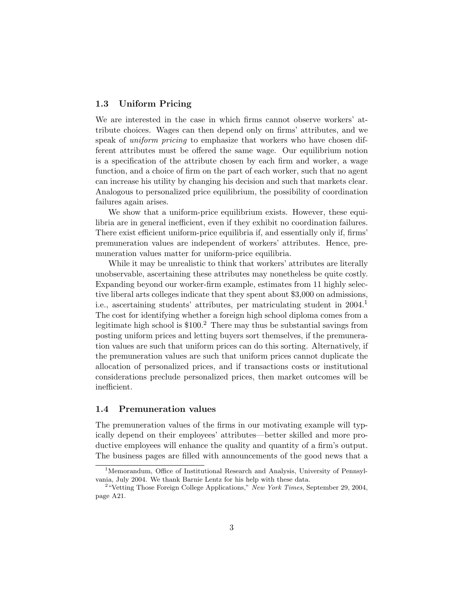#### 1.3 Uniform Pricing

We are interested in the case in which firms cannot observe workers' attribute choices. Wages can then depend only on firms' attributes, and we speak of uniform pricing to emphasize that workers who have chosen different attributes must be offered the same wage. Our equilibrium notion is a specification of the attribute chosen by each firm and worker, a wage function, and a choice of firm on the part of each worker, such that no agent can increase his utility by changing his decision and such that markets clear. Analogous to personalized price equilibrium, the possibility of coordination failures again arises.

We show that a uniform-price equilibrium exists. However, these equilibria are in general inefficient, even if they exhibit no coordination failures. There exist efficient uniform-price equilibria if, and essentially only if, firms' premuneration values are independent of workers' attributes. Hence, premuneration values matter for uniform-price equilibria.

While it may be unrealistic to think that workers' attributes are literally unobservable, ascertaining these attributes may nonetheless be quite costly. Expanding beyond our worker-firm example, estimates from 11 highly selective liberal arts colleges indicate that they spent about \$3,000 on admissions, i.e., ascertaining students' attributes, per matriculating student in 2004.<sup>1</sup> The cost for identifying whether a foreign high school diploma comes from a legitimate high school is  $$100.<sup>2</sup>$  There may thus be substantial savings from posting uniform prices and letting buyers sort themselves, if the premuneration values are such that uniform prices can do this sorting. Alternatively, if the premuneration values are such that uniform prices cannot duplicate the allocation of personalized prices, and if transactions costs or institutional considerations preclude personalized prices, then market outcomes will be inefficient.

#### 1.4 Premuneration values

The premuneration values of the firms in our motivating example will typically depend on their employees' attributes—better skilled and more productive employees will enhance the quality and quantity of a firm's output. The business pages are filled with announcements of the good news that a

<sup>&</sup>lt;sup>1</sup>Memorandum, Office of Institutional Research and Analysis, University of Pennsylvania, July 2004. We thank Barnie Lentz for his help with these data.

<sup>&</sup>lt;sup>2</sup> "Vetting Those Foreign College Applications," New York Times, September 29, 2004, page A21.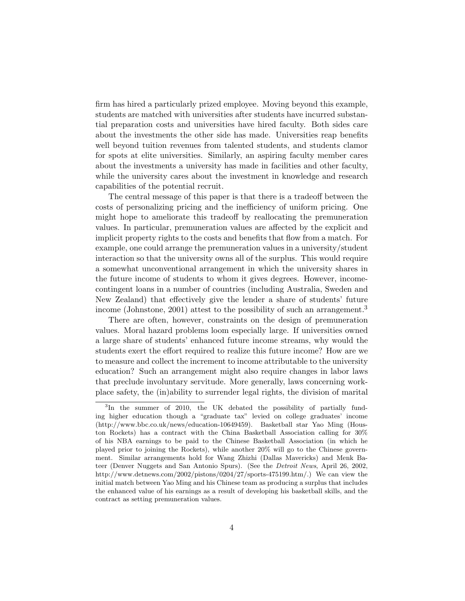firm has hired a particularly prized employee. Moving beyond this example, students are matched with universities after students have incurred substantial preparation costs and universities have hired faculty. Both sides care about the investments the other side has made. Universities reap benefits well beyond tuition revenues from talented students, and students clamor for spots at elite universities. Similarly, an aspiring faculty member cares about the investments a university has made in facilities and other faculty, while the university cares about the investment in knowledge and research capabilities of the potential recruit.

The central message of this paper is that there is a tradeoff between the costs of personalizing pricing and the inefficiency of uniform pricing. One might hope to ameliorate this tradeoff by reallocating the premuneration values. In particular, premuneration values are affected by the explicit and implicit property rights to the costs and benefits that flow from a match. For example, one could arrange the premuneration values in a university/student interaction so that the university owns all of the surplus. This would require a somewhat unconventional arrangement in which the university shares in the future income of students to whom it gives degrees. However, incomecontingent loans in a number of countries (including Australia, Sweden and New Zealand) that effectively give the lender a share of students' future income (Johnstone, 2001) attest to the possibility of such an arrangement.<sup>3</sup>

There are often, however, constraints on the design of premuneration values. Moral hazard problems loom especially large. If universities owned a large share of students' enhanced future income streams, why would the students exert the effort required to realize this future income? How are we to measure and collect the increment to income attributable to the university education? Such an arrangement might also require changes in labor laws that preclude involuntary servitude. More generally, laws concerning workplace safety, the (in)ability to surrender legal rights, the division of marital

<sup>&</sup>lt;sup>3</sup>In the summer of 2010, the UK debated the possibility of partially funding higher education though a "graduate tax" levied on college graduates' income (http://www.bbc.co.uk/news/education-10649459). Basketball star Yao Ming (Houston Rockets) has a contract with the China Basketball Association calling for 30% of his NBA earnings to be paid to the Chinese Basketball Association (in which he played prior to joining the Rockets), while another 20% will go to the Chinese government. Similar arrangements hold for Wang Zhizhi (Dallas Mavericks) and Menk Bateer (Denver Nuggets and San Antonio Spurs). (See the Detroit News, April 26, 2002, http://www.detnews.com/2002/pistons/0204/27/sports-475199.htm/.) We can view the initial match between Yao Ming and his Chinese team as producing a surplus that includes the enhanced value of his earnings as a result of developing his basketball skills, and the contract as setting premuneration values.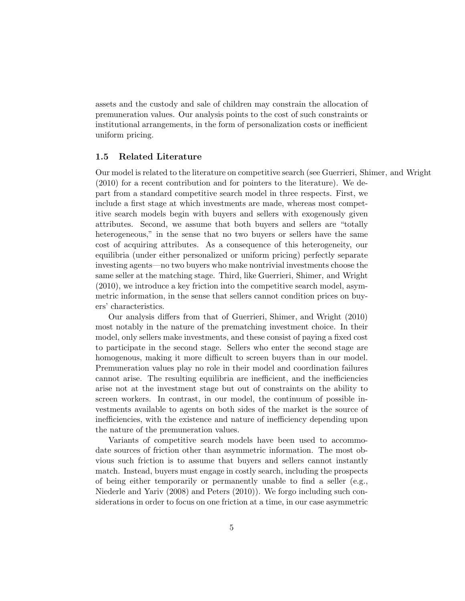assets and the custody and sale of children may constrain the allocation of premuneration values. Our analysis points to the cost of such constraints or institutional arrangements, in the form of personalization costs or inefficient uniform pricing.

#### 1.5 Related Literature

Our model is related to the literature on competitive search (see Guerrieri, Shimer, and Wright (2010) for a recent contribution and for pointers to the literature). We depart from a standard competitive search model in three respects. First, we include a first stage at which investments are made, whereas most competitive search models begin with buyers and sellers with exogenously given attributes. Second, we assume that both buyers and sellers are "totally heterogeneous," in the sense that no two buyers or sellers have the same cost of acquiring attributes. As a consequence of this heterogeneity, our equilibria (under either personalized or uniform pricing) perfectly separate investing agents—no two buyers who make nontrivial investments choose the same seller at the matching stage. Third, like Guerrieri, Shimer, and Wright (2010), we introduce a key friction into the competitive search model, asymmetric information, in the sense that sellers cannot condition prices on buyers' characteristics.

Our analysis differs from that of Guerrieri, Shimer, and Wright (2010) most notably in the nature of the prematching investment choice. In their model, only sellers make investments, and these consist of paying a fixed cost to participate in the second stage. Sellers who enter the second stage are homogenous, making it more difficult to screen buyers than in our model. Premuneration values play no role in their model and coordination failures cannot arise. The resulting equilibria are inefficient, and the inefficiencies arise not at the investment stage but out of constraints on the ability to screen workers. In contrast, in our model, the continuum of possible investments available to agents on both sides of the market is the source of inefficiencies, with the existence and nature of inefficiency depending upon the nature of the premuneration values.

Variants of competitive search models have been used to accommodate sources of friction other than asymmetric information. The most obvious such friction is to assume that buyers and sellers cannot instantly match. Instead, buyers must engage in costly search, including the prospects of being either temporarily or permanently unable to find a seller (e.g., Niederle and Yariv (2008) and Peters (2010)). We forgo including such considerations in order to focus on one friction at a time, in our case asymmetric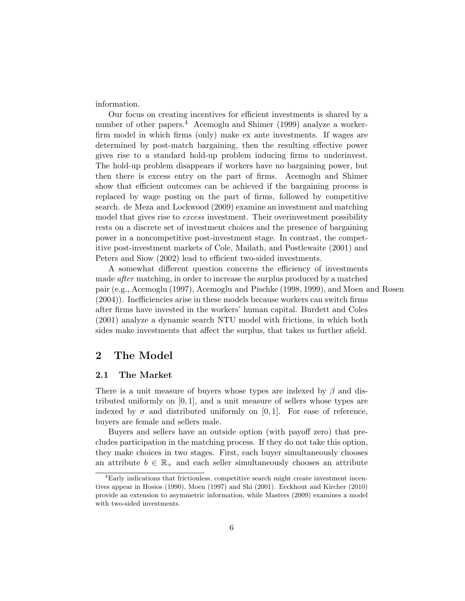information.

Our focus on creating incentives for efficient investments is shared by a number of other papers.<sup>4</sup> Acemoglu and Shimer (1999) analyze a workerfirm model in which firms (only) make ex ante investments. If wages are determined by post-match bargaining, then the resulting effective power gives rise to a standard hold-up problem inducing firms to underinvest. The hold-up problem disappears if workers have no bargaining power, but then there is excess entry on the part of firms. Acemoglu and Shimer show that efficient outcomes can be achieved if the bargaining process is replaced by wage posting on the part of firms, followed by competitive search. de Meza and Lockwood (2009) examine an investment and matching model that gives rise to *excess* investment. Their overinvestment possibility rests on a discrete set of investment choices and the presence of bargaining power in a noncompetitive post-investment stage. In contrast, the competitive post-investment markets of Cole, Mailath, and Postlewaite (2001) and Peters and Siow (2002) lead to efficient two-sided investments.

A somewhat different question concerns the efficiency of investments made after matching, in order to increase the surplus produced by a matched pair (e.g., Acemoglu (1997), Acemoglu and Pischke (1998, 1999), and Moen and Rosen (2004)). Inefficiencies arise in these models because workers can switch firms after firms have invested in the workers' human capital. Burdett and Coles (2001) analyze a dynamic search NTU model with frictions, in which both sides make investments that affect the surplus, that takes us further afield.

## 2 The Model

#### 2.1 The Market

There is a unit measure of buyers whose types are indexed by  $\beta$  and distributed uniformly on  $[0, 1]$ , and a unit measure of sellers whose types are indexed by  $\sigma$  and distributed uniformly on [0, 1]. For ease of reference, buyers are female and sellers male.

Buyers and sellers have an outside option (with payoff zero) that precludes participation in the matching process. If they do not take this option, they make choices in two stages. First, each buyer simultaneously chooses an attribute  $b \in \mathbb{R}_+$  and each seller simultaneously chooses an attribute

<sup>4</sup>Early indications that frictionless, competitive search might create investment incentives appear in Hosios (1990), Moen (1997) and Shi (2001). Eeckhout and Kircher (2010) provide an extension to asymmetric information, while Masters (2009) examines a model with two-sided investments.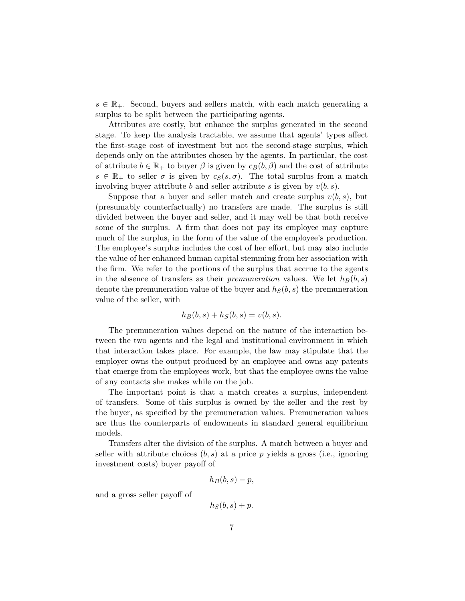$s \in \mathbb{R}_{+}$ . Second, buyers and sellers match, with each match generating a surplus to be split between the participating agents.

Attributes are costly, but enhance the surplus generated in the second stage. To keep the analysis tractable, we assume that agents' types affect the first-stage cost of investment but not the second-stage surplus, which depends only on the attributes chosen by the agents. In particular, the cost of attribute  $b \in \mathbb{R}_+$  to buyer  $\beta$  is given by  $c_B(b, \beta)$  and the cost of attribute  $s \in \mathbb{R}_+$  to seller  $\sigma$  is given by  $c_S(s, \sigma)$ . The total surplus from a match involving buyer attribute b and seller attribute s is given by  $v(b, s)$ .

Suppose that a buyer and seller match and create surplus  $v(b, s)$ , but (presumably counterfactually) no transfers are made. The surplus is still divided between the buyer and seller, and it may well be that both receive some of the surplus. A firm that does not pay its employee may capture much of the surplus, in the form of the value of the employee's production. The employee's surplus includes the cost of her effort, but may also include the value of her enhanced human capital stemming from her association with the firm. We refer to the portions of the surplus that accrue to the agents in the absence of transfers as their *premuneration* values. We let  $h_B(b, s)$ denote the premuneration value of the buyer and  $h<sub>S</sub>(b, s)$  the premuneration value of the seller, with

$$
h_B(b,s) + h_S(b,s) = v(b,s).
$$

The premuneration values depend on the nature of the interaction between the two agents and the legal and institutional environment in which that interaction takes place. For example, the law may stipulate that the employer owns the output produced by an employee and owns any patents that emerge from the employees work, but that the employee owns the value of any contacts she makes while on the job.

The important point is that a match creates a surplus, independent of transfers. Some of this surplus is owned by the seller and the rest by the buyer, as specified by the premuneration values. Premuneration values are thus the counterparts of endowments in standard general equilibrium models.

Transfers alter the division of the surplus. A match between a buyer and seller with attribute choices  $(b, s)$  at a price p yields a gross (i.e., ignoring investment costs) buyer payoff of

$$
h_B(b,s)-p,
$$

and a gross seller payoff of

$$
h_S(b,s)+p.
$$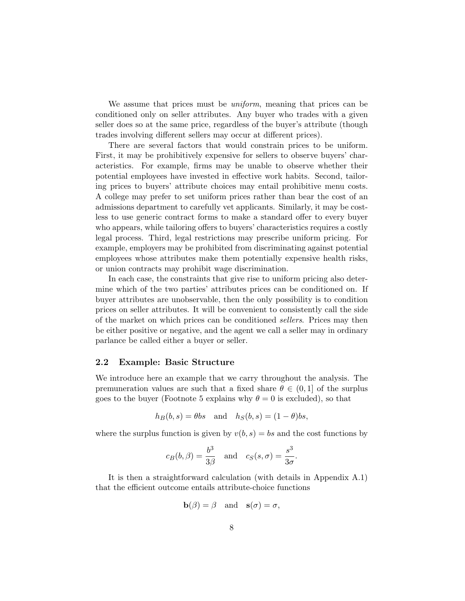We assume that prices must be *uniform*, meaning that prices can be conditioned only on seller attributes. Any buyer who trades with a given seller does so at the same price, regardless of the buyer's attribute (though trades involving different sellers may occur at different prices).

There are several factors that would constrain prices to be uniform. First, it may be prohibitively expensive for sellers to observe buyers' characteristics. For example, firms may be unable to observe whether their potential employees have invested in effective work habits. Second, tailoring prices to buyers' attribute choices may entail prohibitive menu costs. A college may prefer to set uniform prices rather than bear the cost of an admissions department to carefully vet applicants. Similarly, it may be costless to use generic contract forms to make a standard offer to every buyer who appears, while tailoring offers to buyers' characteristics requires a costly legal process. Third, legal restrictions may prescribe uniform pricing. For example, employers may be prohibited from discriminating against potential employees whose attributes make them potentially expensive health risks, or union contracts may prohibit wage discrimination.

In each case, the constraints that give rise to uniform pricing also determine which of the two parties' attributes prices can be conditioned on. If buyer attributes are unobservable, then the only possibility is to condition prices on seller attributes. It will be convenient to consistently call the side of the market on which prices can be conditioned sellers. Prices may then be either positive or negative, and the agent we call a seller may in ordinary parlance be called either a buyer or seller.

#### 2.2 Example: Basic Structure

We introduce here an example that we carry throughout the analysis. The premuneration values are such that a fixed share  $\theta \in (0, 1]$  of the surplus goes to the buyer (Footnote 5 explains why  $\theta = 0$  is excluded), so that

$$
h_B(b, s) = \theta bs
$$
 and  $h_S(b, s) = (1 - \theta)bs$ ,

where the surplus function is given by  $v(b, s) = bs$  and the cost functions by

$$
c_B(b, \beta) = \frac{b^3}{3\beta}
$$
 and  $c_S(s, \sigma) = \frac{s^3}{3\sigma}$ .

It is then a straightforward calculation (with details in Appendix A.1) that the efficient outcome entails attribute-choice functions

$$
\mathbf{b}(\beta) = \beta \quad \text{and} \quad \mathbf{s}(\sigma) = \sigma,
$$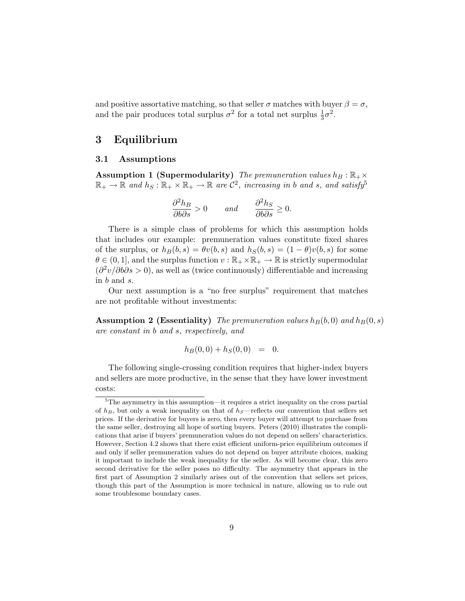and positive assortative matching, so that seller  $\sigma$  matches with buyer  $\beta = \sigma$ , and the pair produces total surplus  $\sigma^2$  for a total net surplus  $\frac{1}{3}\sigma^2$ .

## 3 Equilibrium

#### 3.1 Assumptions

**Assumption 1 (Supermodularity)** The premuneration values  $h_B : \mathbb{R}_+ \times$  $\mathbb{R}_+ \to \mathbb{R}$  and  $h_S : \mathbb{R}_+ \times \mathbb{R}_+ \to \mathbb{R}$  are  $\mathcal{C}^2$ , increasing in b and s, and satisfy<sup>5</sup>

$$
\frac{\partial^2 h_B}{\partial b \partial s} > 0 \quad \text{and} \quad \frac{\partial^2 h_S}{\partial b \partial s} \ge 0.
$$

There is a simple class of problems for which this assumption holds that includes our example: premuneration values constitute fixed shares of the surplus, or  $h_B(b, s) = \theta v(b, s)$  and  $h_S(b, s) = (1 - \theta)v(b, s)$  for some  $\theta \in (0, 1]$ , and the surplus function  $v : \mathbb{R}_+ \times \mathbb{R}_+ \to \mathbb{R}$  is strictly supermodular  $(\partial^2 v/\partial b \partial s > 0)$ , as well as (twice continuously) differentiable and increasing in b and s.

Our next assumption is a "no free surplus" requirement that matches are not profitable without investments:

**Assumption 2 (Essentiality)** The premuneration values  $h_B(b, 0)$  and  $h_B(0, s)$ are constant in b and s, respectively, and

$$
h_B(0,0) + h_S(0,0) = 0.
$$

The following single-crossing condition requires that higher-index buyers and sellers are more productive, in the sense that they have lower investment costs:

<sup>5</sup>The asymmetry in this assumption—it requires a strict inequality on the cross partial of  $h_B$ , but only a weak inequality on that of  $h_S$ —reflects our convention that sellers set prices. If the derivative for buyers is zero, then every buyer will attempt to purchase from the same seller, destroying all hope of sorting buyers. Peters (2010) illustrates the complications that arise if buyers' premuneration values do not depend on sellers' characteristics. However, Section 4.2 shows that there exist efficient uniform-price equilibrium outcomes if and only if seller premuneration values do not depend on buyer attribute choices, making it important to include the weak inequality for the seller. As will become clear, this zero second derivative for the seller poses no difficulty. The asymmetry that appears in the first part of Assumption 2 similarly arises out of the convention that sellers set prices, though this part of the Assumption is more technical in nature, allowing us to rule out some troublesome boundary cases.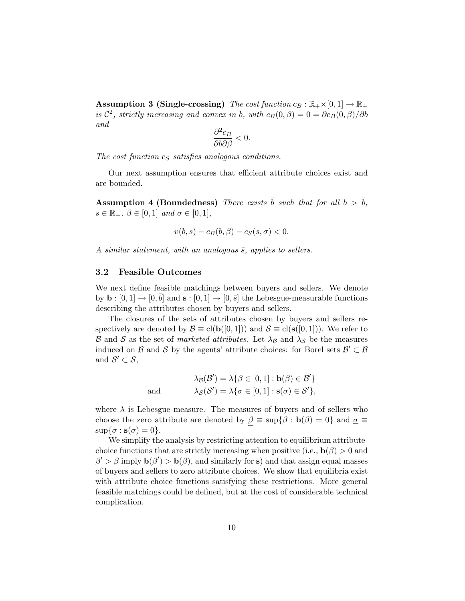**Assumption 3 (Single-crossing)** The cost function  $c_B : \mathbb{R}_+ \times [0, 1] \to \mathbb{R}_+$ is  $\mathcal{C}^2$ , strictly increasing and convex in b, with  $c_B(0,\beta) = 0 = \partial c_B(0,\beta)/\partial b$ and

$$
\frac{\partial^2 c_B}{\partial b \partial \beta} < 0.
$$

The cost function  $c<sub>S</sub>$  satisfies analogous conditions.

Our next assumption ensures that efficient attribute choices exist and are bounded.

Assumption 4 (Boundedness) There exists  $\bar{b}$  such that for all  $b > \bar{b}$ ,  $s \in \mathbb{R}_+$ ,  $\beta \in [0,1]$  and  $\sigma \in [0,1]$ ,

$$
v(b,s) - c_B(b,\beta) - c_S(s,\sigma) < 0.
$$

A similar statement, with an analogous  $\bar{s}$ , applies to sellers.

#### 3.2 Feasible Outcomes

We next define feasible matchings between buyers and sellers. We denote by  $\mathbf{b} : [0,1] \to [0,\bar{b}]$  and  $\mathbf{s} : [0,1] \to [0,\bar{s}]$  the Lebesgue-measurable functions describing the attributes chosen by buyers and sellers.

The closures of the sets of attributes chosen by buyers and sellers respectively are denoted by  $\mathcal{B} \equiv \text{cl}(\mathbf{b}([0,1]))$  and  $\mathcal{S} \equiv \text{cl}(\mathbf{s}([0,1]))$ . We refer to B and S as the set of marketed attributes. Let  $\lambda_B$  and  $\lambda_S$  be the measures induced on B and S by the agents' attribute choices: for Borel sets  $\mathcal{B}' \subset \mathcal{B}$ and  $\mathcal{S}' \subset \mathcal{S}$ ,

$$
\lambda_{\mathcal{B}}(\mathcal{B}') = \lambda \{ \beta \in [0, 1] : \mathbf{b}(\beta) \in \mathcal{B}' \}
$$
  
and 
$$
\lambda_{\mathcal{S}}(\mathcal{S}') = \lambda \{ \sigma \in [0, 1] : \mathbf{s}(\sigma) \in \mathcal{S}' \},
$$

where  $\lambda$  is Lebesgue measure. The measures of buyers and of sellers who choose the zero attribute are denoted by  $\beta \equiv \sup\{\beta : \mathbf{b}(\beta) = 0\}$  and  $\underline{\sigma} \equiv$  $\sup\{\sigma : \mathbf{s}(\sigma) = 0\}.$ 

We simplify the analysis by restricting attention to equilibrium attributechoice functions that are strictly increasing when positive (i.e.,  $\mathbf{b}(\beta) > 0$  and  $\beta' > \beta$  imply  $\mathbf{b}(\beta') > \mathbf{b}(\beta)$ , and similarly for s) and that assign equal masses of buyers and sellers to zero attribute choices. We show that equilibria exist with attribute choice functions satisfying these restrictions. More general feasible matchings could be defined, but at the cost of considerable technical complication.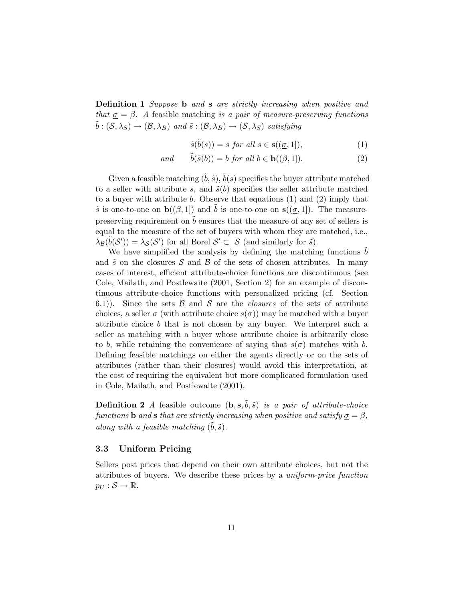**Definition 1** Suppose **b** and **s** are strictly increasing when positive and that  $\sigma = \beta$ . A feasible matching is a pair of measure-preserving functions  $\tilde{b}: (\mathcal{S}, \lambda_S) \to (\mathcal{B}, \lambda_B)$  and  $\tilde{s}: (\mathcal{B}, \lambda_B) \to (\mathcal{S}, \lambda_S)$  satisfying

$$
\tilde{s}(\tilde{b}(s)) = s \text{ for all } s \in \mathbf{s}((\underline{\sigma}, 1]), \tag{1}
$$

$$
and \qquad \tilde{b}(\tilde{s}(b)) = b \text{ for all } b \in \mathbf{b}((\beta, 1]). \tag{2}
$$

Given a feasible matching  $(b, \tilde{s})$ ,  $b(s)$  specifies the buyer attribute matched to a seller with attribute s, and  $\tilde{s}(b)$  specifies the seller attribute matched to a buyer with attribute b. Observe that equations (1) and (2) imply that  $\tilde{s}$  is one-to-one on  $\mathbf{b}((\beta,1])$  and b is one-to-one on  $\mathbf{s}((\underline{\sigma},1])$ . The measurepreserving requirement on  $\tilde{b}$  ensures that the measure of any set of sellers is equal to the measure of the set of buyers with whom they are matched, i.e.,  $\lambda_{\mathcal{B}}(\tilde{b}(\mathcal{S}')) = \lambda_{\mathcal{S}}(\mathcal{S}')$  for all Borel  $\mathcal{S}' \subset \mathcal{S}$  (and similarly for  $\tilde{s}$ ).

We have simplified the analysis by defining the matching functions  $b$ and  $\tilde{s}$  on the closures  $\cal{S}$  and  $\cal{B}$  of the sets of chosen attributes. In many cases of interest, efficient attribute-choice functions are discontinuous (see Cole, Mailath, and Postlewaite (2001, Section 2) for an example of discontinuous attribute-choice functions with personalized pricing (cf. Section 6.1). Since the sets B and S are the *closures* of the sets of attribute choices, a seller  $\sigma$  (with attribute choice  $s(\sigma)$ ) may be matched with a buyer attribute choice b that is not chosen by any buyer. We interpret such a seller as matching with a buyer whose attribute choice is arbitrarily close to b, while retaining the convenience of saying that  $s(\sigma)$  matches with b. Defining feasible matchings on either the agents directly or on the sets of attributes (rather than their closures) would avoid this interpretation, at the cost of requiring the equivalent but more complicated formulation used in Cole, Mailath, and Postlewaite (2001).

**Definition 2** A feasible outcome  $(\mathbf{b}, \mathbf{s}, \tilde{b}, \tilde{s})$  is a pair of attribute-choice functions **b** and **s** that are strictly increasing when positive and satisfy  $\sigma = \beta$ , along with a feasible matching  $(\tilde{b}, \tilde{s})$ .

#### 3.3 Uniform Pricing

Sellers post prices that depend on their own attribute choices, but not the attributes of buyers. We describe these prices by a uniform-price function  $p_U : \mathcal{S} \to \mathbb{R}.$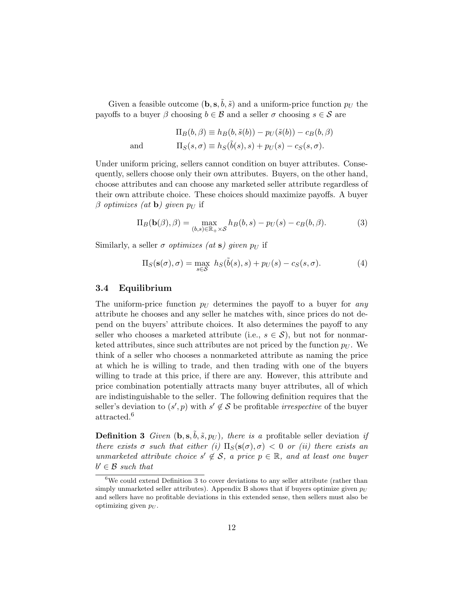Given a feasible outcome  $(\mathbf{b}, \mathbf{s}, \tilde{b}, \tilde{s})$  and a uniform-price function  $p_U$  the payoffs to a buyer  $\beta$  choosing  $b \in \mathcal{B}$  and a seller  $\sigma$  choosing  $s \in \mathcal{S}$  are

$$
\Pi_B(b, \beta) \equiv h_B(b, \tilde{s}(b)) - p_U(\tilde{s}(b)) - c_B(b, \beta)
$$
  
and 
$$
\Pi_S(s, \sigma) \equiv h_S(\tilde{b}(s), s) + p_U(s) - c_S(s, \sigma).
$$

Under uniform pricing, sellers cannot condition on buyer attributes. Consequently, sellers choose only their own attributes. Buyers, on the other hand, choose attributes and can choose any marketed seller attribute regardless of their own attribute choice. These choices should maximize payoffs. A buyer  $\beta$  optimizes (at **b**) given  $p_U$  if

$$
\Pi_B(\mathbf{b}(\beta), \beta) = \max_{(b,s)\in \mathbb{R}_+ \times \mathcal{S}} h_B(b,s) - p_U(s) - c_B(b,\beta). \tag{3}
$$

Similarly, a seller  $\sigma$  optimizes (at s) given  $p_U$  if

$$
\Pi_S(\mathbf{s}(\sigma), \sigma) = \max_{s \in \mathcal{S}} h_S(\tilde{b}(s), s) + p_U(s) - c_S(s, \sigma). \tag{4}
$$

#### 3.4 Equilibrium

The uniform-price function  $p_U$  determines the payoff to a buyer for any attribute he chooses and any seller he matches with, since prices do not depend on the buyers' attribute choices. It also determines the payoff to any seller who chooses a marketed attribute (i.e.,  $s \in S$ ), but not for nonmarketed attributes, since such attributes are not priced by the function  $p_U$ . We think of a seller who chooses a nonmarketed attribute as naming the price at which he is willing to trade, and then trading with one of the buyers willing to trade at this price, if there are any. However, this attribute and price combination potentially attracts many buyer attributes, all of which are indistinguishable to the seller. The following definition requires that the seller's deviation to  $(s', p)$  with  $s' \notin S$  be profitable *irrespective* of the buyer attracted.<sup>6</sup>

**Definition 3** Given  $(\mathbf{b}, \mathbf{s}, \tilde{b}, \tilde{s}, p_U)$ , there is a profitable seller deviation if there exists  $\sigma$  such that either (i)  $\Pi_S(\mathbf{s}(\sigma), \sigma) < 0$  or (ii) there exists an unmarketed attribute choice  $s' \notin \mathcal{S}$ , a price  $p \in \mathbb{R}$ , and at least one buyer  $b' \in \mathcal{B}$  such that

 $6$ We could extend Definition 3 to cover deviations to any seller attribute (rather than simply unmarketed seller attributes). Appendix B shows that if buyers optimize given  $p_U$ and sellers have no profitable deviations in this extended sense, then sellers must also be optimizing given  $p_U$ .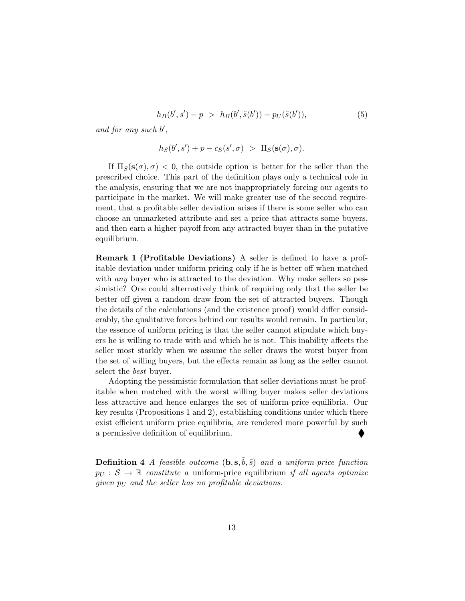$$
h_B(b', s') - p > h_B(b', \tilde{s}(b')) - p_U(\tilde{s}(b')), \qquad (5)
$$

and for any such  $b'$ ,

$$
h_S(b',s') + p - c_S(s',\sigma) > \Pi_S(\mathbf{s}(\sigma),\sigma).
$$

If  $\Pi_S(\mathbf{s}(\sigma), \sigma) < 0$ , the outside option is better for the seller than the prescribed choice. This part of the definition plays only a technical role in the analysis, ensuring that we are not inappropriately forcing our agents to participate in the market. We will make greater use of the second requirement, that a profitable seller deviation arises if there is some seller who can choose an unmarketed attribute and set a price that attracts some buyers, and then earn a higher payoff from any attracted buyer than in the putative equilibrium.

Remark 1 (Profitable Deviations) A seller is defined to have a profitable deviation under uniform pricing only if he is better off when matched with *any* buyer who is attracted to the deviation. Why make sellers so pessimistic? One could alternatively think of requiring only that the seller be better off given a random draw from the set of attracted buyers. Though the details of the calculations (and the existence proof) would differ considerably, the qualitative forces behind our results would remain. In particular, the essence of uniform pricing is that the seller cannot stipulate which buyers he is willing to trade with and which he is not. This inability affects the seller most starkly when we assume the seller draws the worst buyer from the set of willing buyers, but the effects remain as long as the seller cannot select the best buyer.

Adopting the pessimistic formulation that seller deviations must be profitable when matched with the worst willing buyer makes seller deviations less attractive and hence enlarges the set of uniform-price equilibria. Our key results (Propositions 1 and 2), establishing conditions under which there exist efficient uniform price equilibria, are rendered more powerful by such a permissive definition of equilibrium.

**Definition 4** A feasible outcome  $(\mathbf{b}, \mathbf{s}, \tilde{b}, \tilde{s})$  and a uniform-price function  $p_U : \mathcal{S} \to \mathbb{R}$  constitute a uniform-price equilibrium if all agents optimize given  $p_U$  and the seller has no profitable deviations.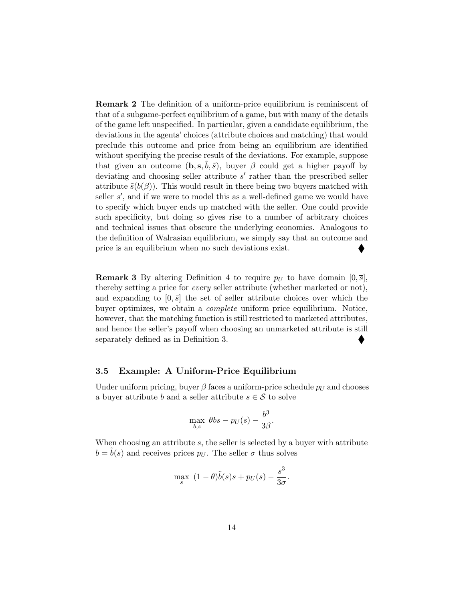Remark 2 The definition of a uniform-price equilibrium is reminiscent of that of a subgame-perfect equilibrium of a game, but with many of the details of the game left unspecified. In particular, given a candidate equilibrium, the deviations in the agents' choices (attribute choices and matching) that would preclude this outcome and price from being an equilibrium are identified without specifying the precise result of the deviations. For example, suppose that given an outcome  $(\mathbf{b}, \mathbf{s}, \tilde{b}, \tilde{s})$ , buyer  $\beta$  could get a higher payoff by deviating and choosing seller attribute  $s'$  rather than the prescribed seller attribute  $\tilde{s}(b(\beta))$ . This would result in there being two buyers matched with seller  $s'$ , and if we were to model this as a well-defined game we would have to specify which buyer ends up matched with the seller. One could provide such specificity, but doing so gives rise to a number of arbitrary choices and technical issues that obscure the underlying economics. Analogous to the definition of Walrasian equilibrium, we simply say that an outcome and price is an equilibrium when no such deviations exist.

**Remark 3** By altering Definition 4 to require  $p_U$  to have domain  $[0, \bar{s}]$ , thereby setting a price for every seller attribute (whether marketed or not), and expanding to  $[0, \bar{s}]$  the set of seller attribute choices over which the buyer optimizes, we obtain a *complete* uniform price equilibrium. Notice, however, that the matching function is still restricted to marketed attributes, and hence the seller's payoff when choosing an unmarketed attribute is still separately defined as in Definition 3.

#### 3.5 Example: A Uniform-Price Equilibrium

Under uniform pricing, buyer  $\beta$  faces a uniform-price schedule  $p_U$  and chooses a buyer attribute  $b$  and a seller attribute  $s \in \mathcal{S}$  to solve

$$
\max_{b,s} \ \theta bs - p_U(s) - \frac{b^3}{3\beta}.
$$

When choosing an attribute s, the seller is selected by a buyer with attribute  $b = b(s)$  and receives prices  $p_U$ . The seller  $\sigma$  thus solves

$$
\max_{s} \ (1-\theta)\tilde{b}(s)s + p_U(s) - \frac{s^3}{3\sigma}.
$$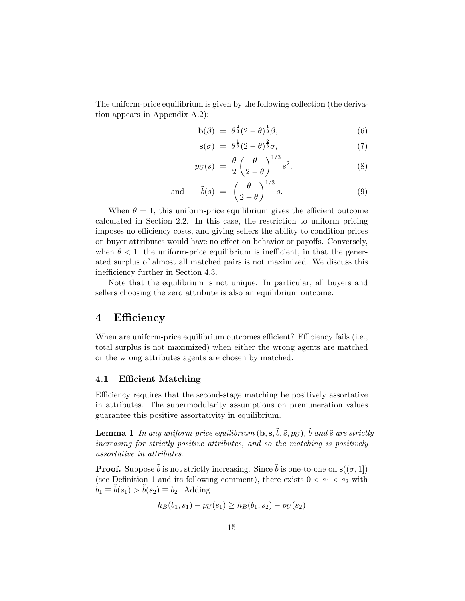The uniform-price equilibrium is given by the following collection (the derivation appears in Appendix A.2):

$$
\mathbf{b}(\beta) = \theta^{\frac{2}{3}}(2-\theta)^{\frac{1}{3}}\beta,\tag{6}
$$

$$
\mathbf{s}(\sigma) = \theta^{\frac{1}{3}}(2-\theta)^{\frac{2}{3}}\sigma,\tag{7}
$$

$$
p_U(s) = \frac{\theta}{2} \left( \frac{\theta}{2 - \theta} \right)^{1/3} s^2,
$$
 (8)

and 
$$
\tilde{b}(s) = \left(\frac{\theta}{2-\theta}\right)^{1/3} s.
$$
 (9)

When  $\theta = 1$ , this uniform-price equilibrium gives the efficient outcome calculated in Section 2.2. In this case, the restriction to uniform pricing imposes no efficiency costs, and giving sellers the ability to condition prices on buyer attributes would have no effect on behavior or payoffs. Conversely, when  $\theta$  < 1, the uniform-price equilibrium is inefficient, in that the generated surplus of almost all matched pairs is not maximized. We discuss this inefficiency further in Section 4.3.

Note that the equilibrium is not unique. In particular, all buyers and sellers choosing the zero attribute is also an equilibrium outcome.

## 4 Efficiency

When are uniform-price equilibrium outcomes efficient? Efficiency fails (i.e., total surplus is not maximized) when either the wrong agents are matched or the wrong attributes agents are chosen by matched.

#### 4.1 Efficient Matching

Efficiency requires that the second-stage matching be positively assortative in attributes. The supermodularity assumptions on premuneration values guarantee this positive assortativity in equilibrium.

**Lemma 1** In any uniform-price equilibrium  $(\mathbf{b}, \mathbf{s}, \tilde{b}, \tilde{s}, p_U)$ ,  $\tilde{b}$  and  $\tilde{s}$  are strictly increasing for strictly positive attributes, and so the matching is positively assortative in attributes.

**Proof.** Suppose  $\tilde{b}$  is not strictly increasing. Since  $\tilde{b}$  is one-to-one on  $s((\sigma, 1])$ (see Definition 1 and its following comment), there exists  $0 < s_1 < s_2$  with  $b_1 \equiv \tilde{b}(s_1) > \tilde{b}(s_2) \equiv b_2$ . Adding

$$
h_B(b_1, s_1) - p_U(s_1) \ge h_B(b_1, s_2) - p_U(s_2)
$$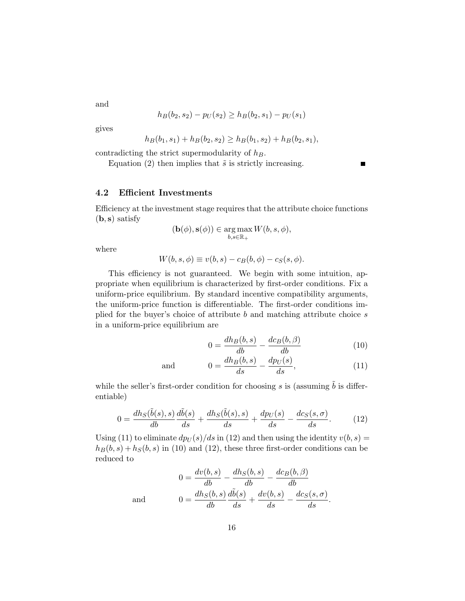and

$$
h_B(b_2, s_2) - p_U(s_2) \ge h_B(b_2, s_1) - p_U(s_1)
$$

gives

$$
h_B(b_1, s_1) + h_B(b_2, s_2) \ge h_B(b_1, s_2) + h_B(b_2, s_1),
$$

contradicting the strict supermodularity of  $h_B$ .

Equation (2) then implies that  $\tilde{s}$  is strictly increasing.

### 4.2 Efficient Investments

Efficiency at the investment stage requires that the attribute choice functions  $(b, s)$  satisfy

$$
(\mathbf{b}(\phi), \mathbf{s}(\phi)) \in \argmax_{b, s \in \mathbb{R}_+} W(b, s, \phi),
$$

where

$$
W(b, s, \phi) \equiv v(b, s) - c_B(b, \phi) - c_S(s, \phi).
$$

This efficiency is not guaranteed. We begin with some intuition, appropriate when equilibrium is characterized by first-order conditions. Fix a uniform-price equilibrium. By standard incentive compatibility arguments, the uniform-price function is differentiable. The first-order conditions implied for the buyer's choice of attribute  $b$  and matching attribute choice  $s$ in a uniform-price equilibrium are

$$
0 = \frac{dh_B(b, s)}{db} - \frac{dc_B(b, \beta)}{db} \tag{10}
$$

п

and 
$$
0 = \frac{dh_B(b, s)}{ds} - \frac{dp_U(s)}{ds},
$$
 (11)

while the seller's first-order condition for choosing s is (assuming  $\overline{b}$  is differentiable)

$$
0 = \frac{dh_S(\tilde{b}(s), s)}{db} \frac{d\tilde{b}(s)}{ds} + \frac{dh_S(\tilde{b}(s), s)}{ds} + \frac{dp_U(s)}{ds} - \frac{dc_S(s, \sigma)}{ds}.
$$
 (12)

Using (11) to eliminate  $dp_U(s)/ds$  in (12) and then using the identity  $v(b, s)$  $h_B(b, s) + h_S(b, s)$  in (10) and (12), these three first-order conditions can be reduced to

$$
0 = \frac{dv(b, s)}{db} - \frac{dh_S(b, s)}{db} - \frac{dc_B(b, \beta)}{db}
$$
  
and 
$$
0 = \frac{dh_S(b, s)}{db} \frac{d\tilde{b}(s)}{ds} + \frac{dv(b, s)}{ds} - \frac{dc_S(s, \sigma)}{ds}.
$$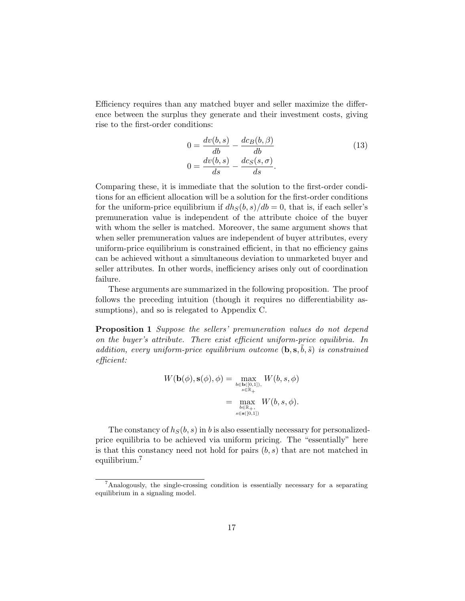Efficiency requires than any matched buyer and seller maximize the difference between the surplus they generate and their investment costs, giving rise to the first-order conditions:

$$
0 = \frac{dv(b, s)}{db} - \frac{dc_B(b, \beta)}{db}
$$
  
\n
$$
0 = \frac{dv(b, s)}{ds} - \frac{dc_S(s, \sigma)}{ds}.
$$
\n(13)

Comparing these, it is immediate that the solution to the first-order conditions for an efficient allocation will be a solution for the first-order conditions for the uniform-price equilibrium if  $dh_S(b, s)/db = 0$ , that is, if each seller's premuneration value is independent of the attribute choice of the buyer with whom the seller is matched. Moreover, the same argument shows that when seller premuneration values are independent of buyer attributes, every uniform-price equilibrium is constrained efficient, in that no efficiency gains can be achieved without a simultaneous deviation to unmarketed buyer and seller attributes. In other words, inefficiency arises only out of coordination failure.

These arguments are summarized in the following proposition. The proof follows the preceding intuition (though it requires no differentiability assumptions), and so is relegated to Appendix C.

Proposition 1 Suppose the sellers' premuneration values do not depend on the buyer's attribute. There exist efficient uniform-price equilibria. In addition, every uniform-price equilibrium outcome  $(\mathbf{b}, \mathbf{s}, \tilde{b}, \tilde{s})$  is constrained efficient:

$$
W(\mathbf{b}(\phi), \mathbf{s}(\phi), \phi) = \max_{\substack{b \in \mathbf{b}([0,1]), \\ s \in \mathbb{R}_+}} W(b, s, \phi)
$$

$$
= \max_{\substack{b \in \mathbb{R}_+, \\ s \in \mathbf{s}([0,1])}} W(b, s, \phi).
$$

The constancy of  $h<sub>S</sub>(b, s)$  in b is also essentially necessary for personalizedprice equilibria to be achieved via uniform pricing. The "essentially" here is that this constancy need not hold for pairs  $(b, s)$  that are not matched in equilibrium.<sup>7</sup>

<sup>7</sup>Analogously, the single-crossing condition is essentially necessary for a separating equilibrium in a signaling model.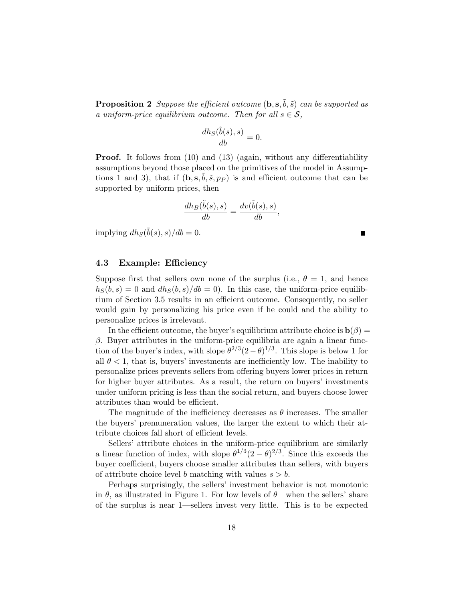**Proposition 2** Suppose the efficient outcome  $(b, s, \tilde{b}, \tilde{s})$  can be supported as a uniform-price equilibrium outcome. Then for all  $s \in \mathcal{S}$ ,

$$
\frac{dh_S(\tilde{b}(s),s)}{db}=0.
$$

Proof. It follows from (10) and (13) (again, without any differentiability assumptions beyond those placed on the primitives of the model in Assumptions 1 and 3), that if  $(\mathbf{b}, \mathbf{s}, \tilde{b}, \tilde{s}, p_P)$  is and efficient outcome that can be supported by uniform prices, then

$$
\frac{dh_B(\tilde{b}(s),s)}{db} = \frac{dv(\tilde{b}(s),s)}{db},
$$

П

implying  $dh_S(\tilde{b}(s), s)/db = 0.$ 

#### 4.3 Example: Efficiency

Suppose first that sellers own none of the surplus (i.e.,  $\theta = 1$ , and hence  $h_S(b, s) = 0$  and  $dh_S(b, s)/db = 0$ . In this case, the uniform-price equilibrium of Section 3.5 results in an efficient outcome. Consequently, no seller would gain by personalizing his price even if he could and the ability to personalize prices is irrelevant.

In the efficient outcome, the buyer's equilibrium attribute choice is  $\mathbf{b}(\beta) =$  $β$ . Buyer attributes in the uniform-price equilibria are again a linear function of the buyer's index, with slope  $\theta^{2/3}(2-\theta)^{1/3}$ . This slope is below 1 for all  $\theta$  < 1, that is, buyers' investments are inefficiently low. The inability to personalize prices prevents sellers from offering buyers lower prices in return for higher buyer attributes. As a result, the return on buyers' investments under uniform pricing is less than the social return, and buyers choose lower attributes than would be efficient.

The magnitude of the inefficiency decreases as  $\theta$  increases. The smaller the buyers' premuneration values, the larger the extent to which their attribute choices fall short of efficient levels.

Sellers' attribute choices in the uniform-price equilibrium are similarly a linear function of index, with slope  $\theta^{1/3}(2-\theta)^{2/3}$ . Since this exceeds the buyer coefficient, buyers choose smaller attributes than sellers, with buyers of attribute choice level b matching with values  $s > b$ .

Perhaps surprisingly, the sellers' investment behavior is not monotonic in  $\theta$ , as illustrated in Figure 1. For low levels of  $\theta$ —when the sellers' share of the surplus is near 1—sellers invest very little. This is to be expected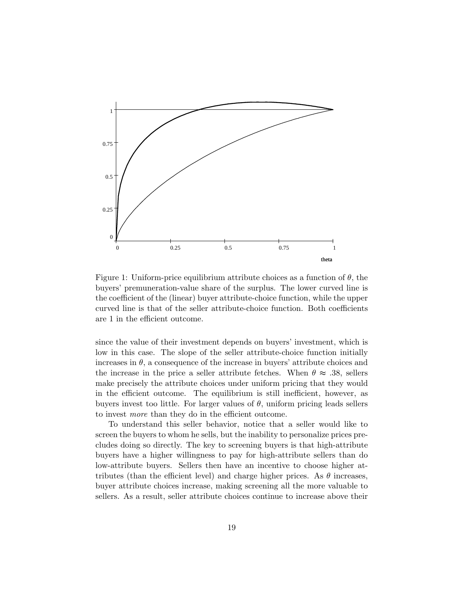

Figure 1: Uniform-price equilibrium attribute choices as a function of  $\theta$ , the buyers' premuneration-value share of the surplus. The lower curved line is the coefficient of the (linear) buyer attribute-choice function, while the upper curved line is that of the seller attribute-choice function. Both coefficients are 1 in the efficient outcome.

since the value of their investment depends on buyers' investment, which is low in this case. The slope of the seller attribute-choice function initially increases in  $\theta$ , a consequence of the increase in buyers' attribute choices and the increase in the price a seller attribute fetches. When  $\theta \approx .38$ , sellers make precisely the attribute choices under uniform pricing that they would in the efficient outcome. The equilibrium is still inefficient, however, as buyers invest too little. For larger values of  $\theta$ , uniform pricing leads sellers to invest more than they do in the efficient outcome.

To understand this seller behavior, notice that a seller would like to screen the buyers to whom he sells, but the inability to personalize prices precludes doing so directly. The key to screening buyers is that high-attribute buyers have a higher willingness to pay for high-attribute sellers than do low-attribute buyers. Sellers then have an incentive to choose higher attributes (than the efficient level) and charge higher prices. As  $\theta$  increases, buyer attribute choices increase, making screening all the more valuable to sellers. As a result, seller attribute choices continue to increase above their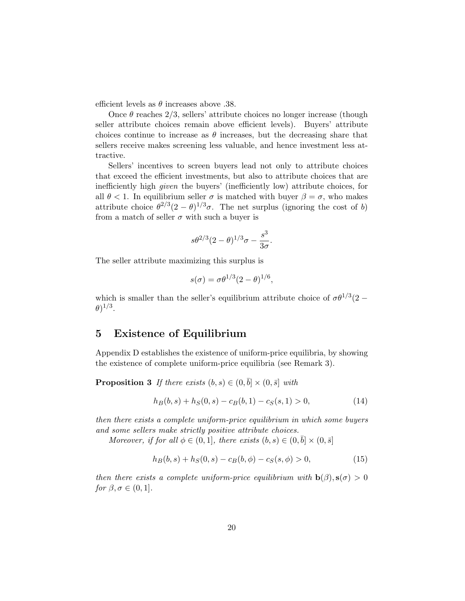efficient levels as  $\theta$  increases above .38.

Once  $\theta$  reaches 2/3, sellers' attribute choices no longer increase (though seller attribute choices remain above efficient levels). Buyers' attribute choices continue to increase as  $\theta$  increases, but the decreasing share that sellers receive makes screening less valuable, and hence investment less attractive.

Sellers' incentives to screen buyers lead not only to attribute choices that exceed the efficient investments, but also to attribute choices that are inefficiently high given the buyers' (inefficiently low) attribute choices, for all  $\theta$  < 1. In equilibrium seller  $\sigma$  is matched with buyer  $\beta = \sigma$ , who makes attribute choice  $\theta^{2/3}(2-\theta)^{1/3}\sigma$ . The net surplus (ignoring the cost of b) from a match of seller  $\sigma$  with such a buyer is

$$
s\theta^{2/3}(2-\theta)^{1/3}\sigma - \frac{s^3}{3\sigma}.
$$

The seller attribute maximizing this surplus is

$$
s(\sigma) = \sigma \theta^{1/3} (2 - \theta)^{1/6},
$$

which is smaller than the seller's equilibrium attribute choice of  $\sigma \theta^{1/3}$  (2 –  $\theta$ )<sup>1/3</sup>.

## 5 Existence of Equilibrium

Appendix D establishes the existence of uniform-price equilibria, by showing the existence of complete uniform-price equilibria (see Remark 3).

**Proposition 3** If there exists  $(b, s) \in (0, \bar{b}] \times (0, \bar{s}]$  with

$$
h_B(b,s) + h_S(0,s) - c_B(b,1) - c_S(s,1) > 0,
$$
\n(14)

then there exists a complete uniform-price equilibrium in which some buyers and some sellers make strictly positive attribute choices.

Moreover, if for all  $\phi \in (0, 1]$ , there exists  $(b, s) \in (0, \bar{b}] \times (0, \bar{s}]$ 

$$
h_B(b,s) + h_S(0,s) - c_B(b,\phi) - c_S(s,\phi) > 0,
$$
\n(15)

then there exists a complete uniform-price equilibrium with  $\mathbf{b}(\beta), \mathbf{s}(\sigma) > 0$ for  $\beta, \sigma \in (0, 1]$ .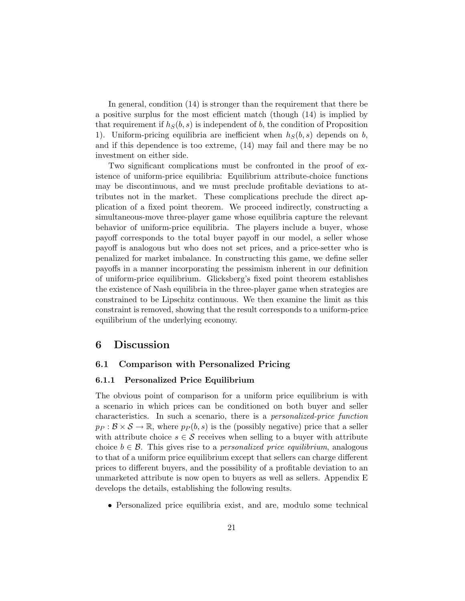In general, condition (14) is stronger than the requirement that there be a positive surplus for the most efficient match (though (14) is implied by that requirement if  $h<sub>S</sub>(b, s)$  is independent of b, the condition of Proposition 1). Uniform-pricing equilibria are inefficient when  $h<sub>S</sub>(b, s)$  depends on b, and if this dependence is too extreme, (14) may fail and there may be no investment on either side.

Two significant complications must be confronted in the proof of existence of uniform-price equilibria: Equilibrium attribute-choice functions may be discontinuous, and we must preclude profitable deviations to attributes not in the market. These complications preclude the direct application of a fixed point theorem. We proceed indirectly, constructing a simultaneous-move three-player game whose equilibria capture the relevant behavior of uniform-price equilibria. The players include a buyer, whose payoff corresponds to the total buyer payoff in our model, a seller whose payoff is analogous but who does not set prices, and a price-setter who is penalized for market imbalance. In constructing this game, we define seller payoffs in a manner incorporating the pessimism inherent in our definition of uniform-price equilibrium. Glicksberg's fixed point theorem establishes the existence of Nash equilibria in the three-player game when strategies are constrained to be Lipschitz continuous. We then examine the limit as this constraint is removed, showing that the result corresponds to a uniform-price equilibrium of the underlying economy.

### 6 Discussion

#### 6.1 Comparison with Personalized Pricing

#### 6.1.1 Personalized Price Equilibrium

The obvious point of comparison for a uniform price equilibrium is with a scenario in which prices can be conditioned on both buyer and seller characteristics. In such a scenario, there is a personalized-price function  $p_P : \mathcal{B} \times \mathcal{S} \to \mathbb{R}$ , where  $p_P(b, s)$  is the (possibly negative) price that a seller with attribute choice  $s \in \mathcal{S}$  receives when selling to a buyer with attribute choice  $b \in \mathcal{B}$ . This gives rise to a *personalized price equilibrium*, analogous to that of a uniform price equilibrium except that sellers can charge different prices to different buyers, and the possibility of a profitable deviation to an unmarketed attribute is now open to buyers as well as sellers. Appendix E develops the details, establishing the following results.

• Personalized price equilibria exist, and are, modulo some technical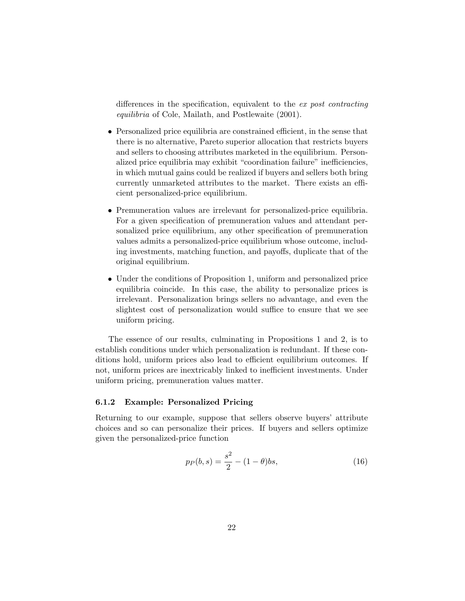differences in the specification, equivalent to the ex post contracting equilibria of Cole, Mailath, and Postlewaite (2001).

- Personalized price equilibria are constrained efficient, in the sense that there is no alternative, Pareto superior allocation that restricts buyers and sellers to choosing attributes marketed in the equilibrium. Personalized price equilibria may exhibit "coordination failure" inefficiencies, in which mutual gains could be realized if buyers and sellers both bring currently unmarketed attributes to the market. There exists an efficient personalized-price equilibrium.
- Premuneration values are irrelevant for personalized-price equilibria. For a given specification of premuneration values and attendant personalized price equilibrium, any other specification of premuneration values admits a personalized-price equilibrium whose outcome, including investments, matching function, and payoffs, duplicate that of the original equilibrium.
- Under the conditions of Proposition 1, uniform and personalized price equilibria coincide. In this case, the ability to personalize prices is irrelevant. Personalization brings sellers no advantage, and even the slightest cost of personalization would suffice to ensure that we see uniform pricing.

The essence of our results, culminating in Propositions 1 and 2, is to establish conditions under which personalization is redundant. If these conditions hold, uniform prices also lead to efficient equilibrium outcomes. If not, uniform prices are inextricably linked to inefficient investments. Under uniform pricing, premuneration values matter.

#### 6.1.2 Example: Personalized Pricing

Returning to our example, suppose that sellers observe buyers' attribute choices and so can personalize their prices. If buyers and sellers optimize given the personalized-price function

$$
p_P(b, s) = \frac{s^2}{2} - (1 - \theta)bs,\tag{16}
$$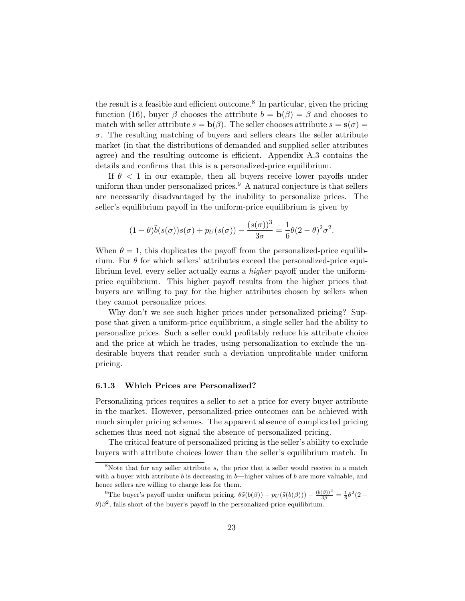the result is a feasible and efficient outcome.<sup>8</sup> In particular, given the pricing function (16), buyer  $\beta$  chooses the attribute  $b = \mathbf{b}(\beta) = \beta$  and chooses to match with seller attribute  $s = \mathbf{b}(\beta)$ . The seller chooses attribute  $s = \mathbf{s}(\sigma)$  $\sigma$ . The resulting matching of buyers and sellers clears the seller attribute market (in that the distributions of demanded and supplied seller attributes agree) and the resulting outcome is efficient. Appendix A.3 contains the details and confirms that this is a personalized-price equilibrium.

If  $\theta$  < 1 in our example, then all buyers receive lower payoffs under uniform than under personalized prices.<sup>9</sup> A natural conjecture is that sellers are necessarily disadvantaged by the inability to personalize prices. The seller's equilibrium payoff in the uniform-price equilibrium is given by

$$
(1-\theta)\tilde{b}(s(\sigma))s(\sigma)+p_U(s(\sigma))-\frac{(s(\sigma))^3}{3\sigma}=\frac{1}{6}\theta(2-\theta)^2\sigma^2.
$$

When  $\theta = 1$ , this duplicates the payoff from the personalized-price equilibrium. For  $\theta$  for which sellers' attributes exceed the personalized-price equilibrium level, every seller actually earns a higher payoff under the uniformprice equilibrium. This higher payoff results from the higher prices that buyers are willing to pay for the higher attributes chosen by sellers when they cannot personalize prices.

Why don't we see such higher prices under personalized pricing? Suppose that given a uniform-price equilibrium, a single seller had the ability to personalize prices. Such a seller could profitably reduce his attribute choice and the price at which he trades, using personalization to exclude the undesirable buyers that render such a deviation unprofitable under uniform pricing.

#### 6.1.3 Which Prices are Personalized?

Personalizing prices requires a seller to set a price for every buyer attribute in the market. However, personalized-price outcomes can be achieved with much simpler pricing schemes. The apparent absence of complicated pricing schemes thus need not signal the absence of personalized pricing.

The critical feature of personalized pricing is the seller's ability to exclude buyers with attribute choices lower than the seller's equilibrium match. In

<sup>9</sup>The buyer's payoff under uniform pricing,  $\theta \tilde{s}(b(\beta)) - p_U(\tilde{s}(b(\beta))) - \frac{(b(\beta))^3}{3\beta} = \frac{1}{6}\theta^2(2-\beta)$  $\theta$ ) $\beta^2$ , falls short of the buyer's payoff in the personalized-price equilibrium.

 $8N$ ote that for any seller attribute s, the price that a seller would receive in a match with a buyer with attribute  $b$  is decreasing in  $b$ —higher values of  $b$  are more valuable, and hence sellers are willing to charge less for them.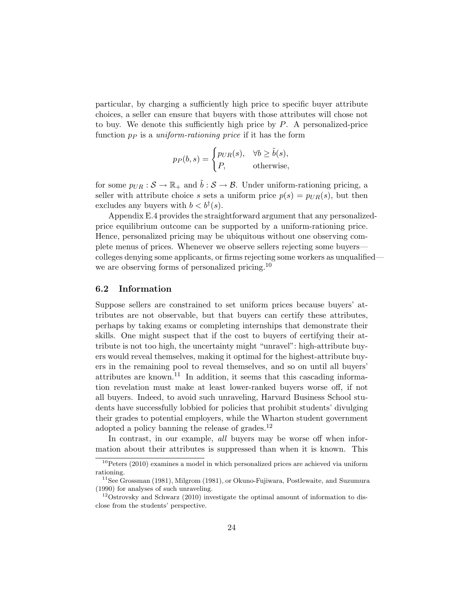particular, by charging a sufficiently high price to specific buyer attribute choices, a seller can ensure that buyers with those attributes will chose not to buy. We denote this sufficiently high price by  $P$ . A personalized-price function  $p<sub>P</sub>$  is a *uniform-rationing price* if it has the form

$$
p_P(b, s) = \begin{cases} p_{UR}(s), & \forall b \ge \tilde{b}(s), \\ P, & \text{otherwise,} \end{cases}
$$

for some  $p_{UR}: \mathcal{S} \to \mathbb{R}_+$  and  $\tilde{b}: \mathcal{S} \to \mathcal{B}$ . Under uniform-rationing pricing, a seller with attribute choice s sets a uniform price  $p(s) = p_{UR}(s)$ , but then excludes any buyers with  $b < b^{\dagger}(s)$ .

Appendix E.4 provides the straightforward argument that any personalizedprice equilibrium outcome can be supported by a uniform-rationing price. Hence, personalized pricing may be ubiquitous without one observing complete menus of prices. Whenever we observe sellers rejecting some buyers colleges denying some applicants, or firms rejecting some workers as unqualified we are observing forms of personalized pricing.<sup>10</sup>

#### 6.2 Information

Suppose sellers are constrained to set uniform prices because buyers' attributes are not observable, but that buyers can certify these attributes, perhaps by taking exams or completing internships that demonstrate their skills. One might suspect that if the cost to buyers of certifying their attribute is not too high, the uncertainty might "unravel": high-attribute buyers would reveal themselves, making it optimal for the highest-attribute buyers in the remaining pool to reveal themselves, and so on until all buyers' attributes are known.<sup>11</sup> In addition, it seems that this cascading information revelation must make at least lower-ranked buyers worse off, if not all buyers. Indeed, to avoid such unraveling, Harvard Business School students have successfully lobbied for policies that prohibit students' divulging their grades to potential employers, while the Wharton student government adopted a policy banning the release of grades.<sup>12</sup>

In contrast, in our example, *all* buyers may be worse off when information about their attributes is suppressed than when it is known. This

 $10$ Peters (2010) examines a model in which personalized prices are achieved via uniform rationing.

<sup>11</sup>See Grossman (1981), Milgrom (1981), or Okuno-Fujiwara, Postlewaite, and Suzumura (1990) for analyses of such unraveling.

 $12$ Ostrovsky and Schwarz (2010) investigate the optimal amount of information to disclose from the students' perspective.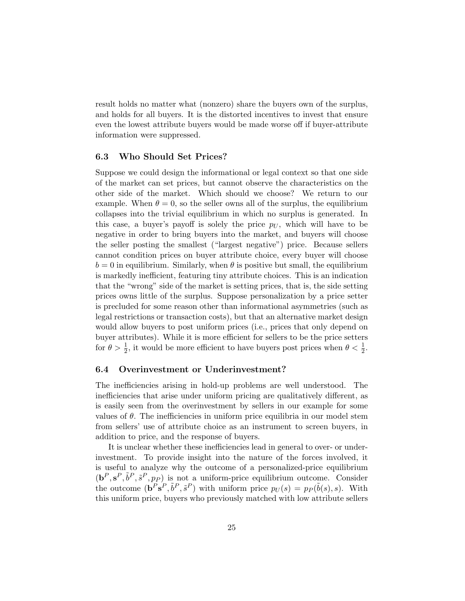result holds no matter what (nonzero) share the buyers own of the surplus, and holds for all buyers. It is the distorted incentives to invest that ensure even the lowest attribute buyers would be made worse off if buyer-attribute information were suppressed.

#### 6.3 Who Should Set Prices?

Suppose we could design the informational or legal context so that one side of the market can set prices, but cannot observe the characteristics on the other side of the market. Which should we choose? We return to our example. When  $\theta = 0$ , so the seller owns all of the surplus, the equilibrium collapses into the trivial equilibrium in which no surplus is generated. In this case, a buyer's payoff is solely the price  $p_U$ , which will have to be negative in order to bring buyers into the market, and buyers will choose the seller posting the smallest ("largest negative") price. Because sellers cannot condition prices on buyer attribute choice, every buyer will choose  $b = 0$  in equilibrium. Similarly, when  $\theta$  is positive but small, the equilibrium is markedly inefficient, featuring tiny attribute choices. This is an indication that the "wrong" side of the market is setting prices, that is, the side setting prices owns little of the surplus. Suppose personalization by a price setter is precluded for some reason other than informational asymmetries (such as legal restrictions or transaction costs), but that an alternative market design would allow buyers to post uniform prices (i.e., prices that only depend on buyer attributes). While it is more efficient for sellers to be the price setters for  $\theta > \frac{1}{2}$ , it would be more efficient to have buyers post prices when  $\theta < \frac{1}{2}$ .

#### 6.4 Overinvestment or Underinvestment?

The inefficiencies arising in hold-up problems are well understood. The inefficiencies that arise under uniform pricing are qualitatively different, as is easily seen from the overinvestment by sellers in our example for some values of  $\theta$ . The inefficiencies in uniform price equilibria in our model stem from sellers' use of attribute choice as an instrument to screen buyers, in addition to price, and the response of buyers.

It is unclear whether these inefficiencies lead in general to over- or underinvestment. To provide insight into the nature of the forces involved, it is useful to analyze why the outcome of a personalized-price equilibrium  $(\mathbf{b}^P, \mathbf{s}^P, \tilde{b}^P, \tilde{s}^P, p_P)$  is not a uniform-price equilibrium outcome. Consider the outcome  $(\mathbf{b}^P \mathbf{s}^P, \tilde{b}^P, \tilde{s}^P)$  with uniform price  $p_U(s) = p_P(\tilde{b}(s), s)$ . With this uniform price, buyers who previously matched with low attribute sellers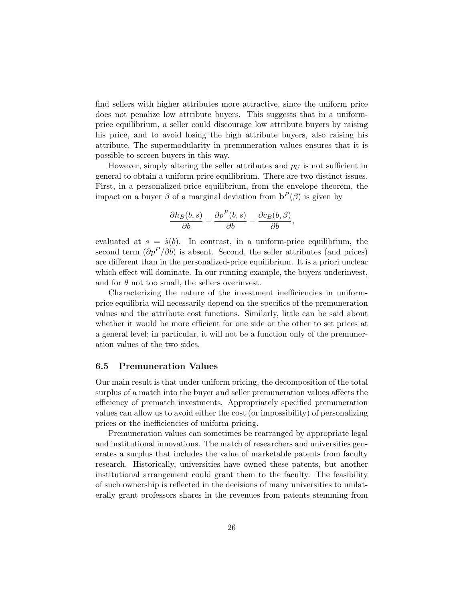find sellers with higher attributes more attractive, since the uniform price does not penalize low attribute buyers. This suggests that in a uniformprice equilibrium, a seller could discourage low attribute buyers by raising his price, and to avoid losing the high attribute buyers, also raising his attribute. The supermodularity in premuneration values ensures that it is possible to screen buyers in this way.

However, simply altering the seller attributes and  $p_U$  is not sufficient in general to obtain a uniform price equilibrium. There are two distinct issues. First, in a personalized-price equilibrium, from the envelope theorem, the impact on a buyer  $\beta$  of a marginal deviation from  $\mathbf{b}^P(\beta)$  is given by

$$
\frac{\partial h_B(b,s)}{\partial b} - \frac{\partial p^P(b,s)}{\partial b} - \frac{\partial c_B(b,\beta)}{\partial b},
$$

evaluated at  $s = \tilde{s}(b)$ . In contrast, in a uniform-price equilibrium, the second term  $(\partial p^P / \partial b)$  is absent. Second, the seller attributes (and prices) are different than in the personalized-price equilibrium. It is a priori unclear which effect will dominate. In our running example, the buyers underinvest, and for  $\theta$  not too small, the sellers overinvest.

Characterizing the nature of the investment inefficiencies in uniformprice equilibria will necessarily depend on the specifics of the premuneration values and the attribute cost functions. Similarly, little can be said about whether it would be more efficient for one side or the other to set prices at a general level; in particular, it will not be a function only of the premuneration values of the two sides.

#### 6.5 Premuneration Values

Our main result is that under uniform pricing, the decomposition of the total surplus of a match into the buyer and seller premuneration values affects the efficiency of prematch investments. Appropriately specified premuneration values can allow us to avoid either the cost (or impossibility) of personalizing prices or the inefficiencies of uniform pricing.

Premuneration values can sometimes be rearranged by appropriate legal and institutional innovations. The match of researchers and universities generates a surplus that includes the value of marketable patents from faculty research. Historically, universities have owned these patents, but another institutional arrangement could grant them to the faculty. The feasibility of such ownership is reflected in the decisions of many universities to unilaterally grant professors shares in the revenues from patents stemming from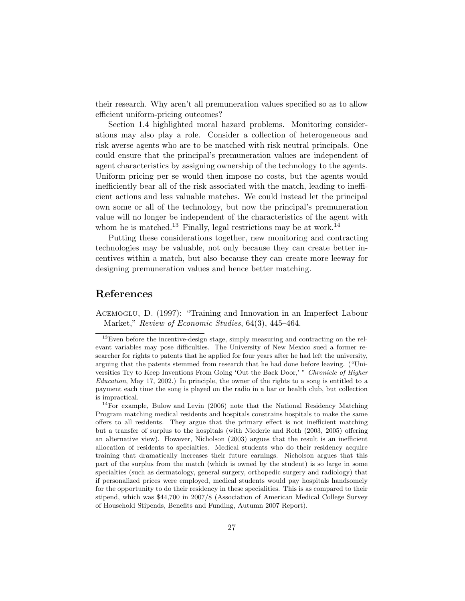their research. Why aren't all premuneration values specified so as to allow efficient uniform-pricing outcomes?

Section 1.4 highlighted moral hazard problems. Monitoring considerations may also play a role. Consider a collection of heterogeneous and risk averse agents who are to be matched with risk neutral principals. One could ensure that the principal's premuneration values are independent of agent characteristics by assigning ownership of the technology to the agents. Uniform pricing per se would then impose no costs, but the agents would inefficiently bear all of the risk associated with the match, leading to inefficient actions and less valuable matches. We could instead let the principal own some or all of the technology, but now the principal's premuneration value will no longer be independent of the characteristics of the agent with whom he is matched.<sup>13</sup> Finally, legal restrictions may be at work.<sup>14</sup>

Putting these considerations together, new monitoring and contracting technologies may be valuable, not only because they can create better incentives within a match, but also because they can create more leeway for designing premuneration values and hence better matching.

## References

Acemoglu, D. (1997): "Training and Innovation in an Imperfect Labour Market," Review of Economic Studies, 64(3), 445–464.

<sup>&</sup>lt;sup>13</sup>Even before the incentive-design stage, simply measuring and contracting on the relevant variables may pose difficulties. The University of New Mexico sued a former researcher for rights to patents that he applied for four years after he had left the university, arguing that the patents stemmed from research that he had done before leaving. ("Universities Try to Keep Inventions From Going 'Out the Back Door,' " Chronicle of Higher Education, May 17, 2002.) In principle, the owner of the rights to a song is entitled to a payment each time the song is played on the radio in a bar or health club, but collection is impractical.

<sup>&</sup>lt;sup>14</sup>For example, Bulow and Levin (2006) note that the National Residency Matching Program matching medical residents and hospitals constrains hospitals to make the same offers to all residents. They argue that the primary effect is not inefficient matching but a transfer of surplus to the hospitals (with Niederle and Roth (2003, 2005) offering an alternative view). However, Nicholson (2003) argues that the result is an inefficient allocation of residents to specialties. Medical students who do their residency acquire training that dramatically increases their future earnings. Nicholson argues that this part of the surplus from the match (which is owned by the student) is so large in some specialties (such as dermatology, general surgery, orthopedic surgery and radiology) that if personalized prices were employed, medical students would pay hospitals handsomely for the opportunity to do their residency in these specialities. This is as compared to their stipend, which was \$44,700 in 2007/8 (Association of American Medical College Survey of Household Stipends, Benefits and Funding, Autumn 2007 Report).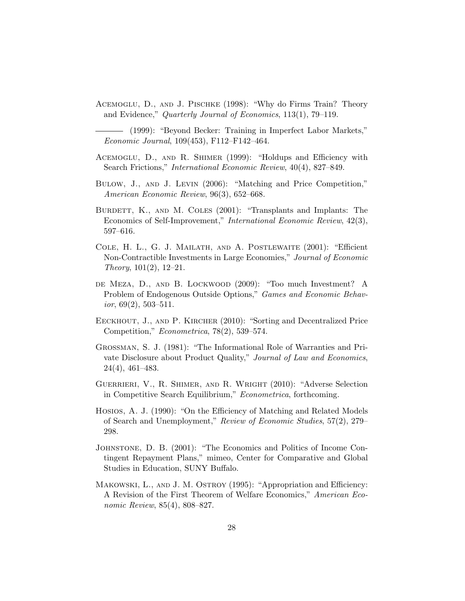Acemoglu, D., and J. Pischke (1998): "Why do Firms Train? Theory and Evidence," Quarterly Journal of Economics, 113(1), 79–119.

(1999): "Beyond Becker: Training in Imperfect Labor Markets," Economic Journal, 109(453), F112–F142–464.

- ACEMOGLU, D., AND R. SHIMER (1999): "Holdups and Efficiency with Search Frictions," International Economic Review, 40(4), 827–849.
- Bulow, J., and J. Levin (2006): "Matching and Price Competition," American Economic Review, 96(3), 652–668.
- Burdett, K., and M. Coles (2001): "Transplants and Implants: The Economics of Self-Improvement," International Economic Review, 42(3), 597–616.
- Cole, H. L., G. J. Mailath, and A. Postlewaite (2001): "Efficient Non-Contractible Investments in Large Economies," Journal of Economic Theory, 101(2), 12–21.
- de Meza, D., and B. Lockwood (2009): "Too much Investment? A Problem of Endogenous Outside Options," Games and Economic Behavior,  $69(2)$ ,  $503-511$ .
- EECKHOUT, J., AND P. KIRCHER (2010): "Sorting and Decentralized Price Competition," Econometrica, 78(2), 539–574.
- Grossman, S. J. (1981): "The Informational Role of Warranties and Private Disclosure about Product Quality," Journal of Law and Economics, 24(4), 461–483.
- Guerrieri, V., R. Shimer, and R. Wright (2010): "Adverse Selection in Competitive Search Equilibrium," Econometrica, forthcoming.
- Hosios, A. J. (1990): "On the Efficiency of Matching and Related Models of Search and Unemployment," Review of Economic Studies, 57(2), 279– 298.
- Johnstone, D. B. (2001): "The Economics and Politics of Income Contingent Repayment Plans," mimeo, Center for Comparative and Global Studies in Education, SUNY Buffalo.
- MAKOWSKI, L., AND J. M. OSTROY (1995): "Appropriation and Efficiency: A Revision of the First Theorem of Welfare Economics," American Economic Review, 85(4), 808–827.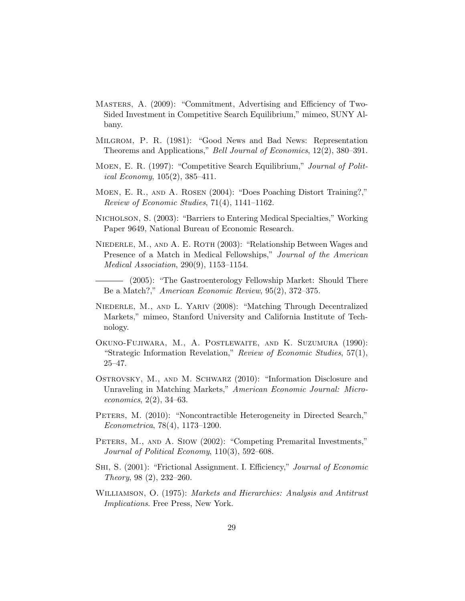- Masters, A. (2009): "Commitment, Advertising and Efficiency of Two-Sided Investment in Competitive Search Equilibrium," mimeo, SUNY Albany.
- Milgrom, P. R. (1981): "Good News and Bad News: Representation Theorems and Applications," Bell Journal of Economics, 12(2), 380–391.
- Moen, E. R. (1997): "Competitive Search Equilibrium," Journal of Political Economy,  $105(2)$ ,  $385-411$ .
- Moen, E. R., and A. Rosen (2004): "Does Poaching Distort Training?," Review of Economic Studies, 71(4), 1141–1162.
- Nicholson, S. (2003): "Barriers to Entering Medical Specialties," Working Paper 9649, National Bureau of Economic Research.
- Niederle, M., and A. E. Roth (2003): "Relationship Between Wages and Presence of a Match in Medical Fellowships," Journal of the American Medical Association, 290(9), 1153–1154.

(2005): "The Gastroenterology Fellowship Market: Should There Be a Match?," American Economic Review, 95(2), 372–375.

- Niederle, M., and L. Yariv (2008): "Matching Through Decentralized Markets," mimeo, Stanford University and California Institute of Technology.
- Okuno-Fujiwara, M., A. Postlewaite, and K. Suzumura (1990): "Strategic Information Revelation," Review of Economic Studies, 57(1), 25–47.
- Ostrovsky, M., and M. Schwarz (2010): "Information Disclosure and Unraveling in Matching Markets," American Economic Journal: Microeconomics, 2(2), 34–63.
- PETERS, M. (2010): "Noncontractible Heterogeneity in Directed Search," Econometrica, 78(4), 1173–1200.
- PETERS, M., AND A. SIOW (2002): "Competing Premarital Investments," Journal of Political Economy, 110(3), 592–608.
- SHI, S. (2001): "Frictional Assignment. I. Efficiency," Journal of Economic Theory, 98 (2), 232–260.
- WILLIAMSON, O. (1975): Markets and Hierarchies: Analysis and Antitrust Implications. Free Press, New York.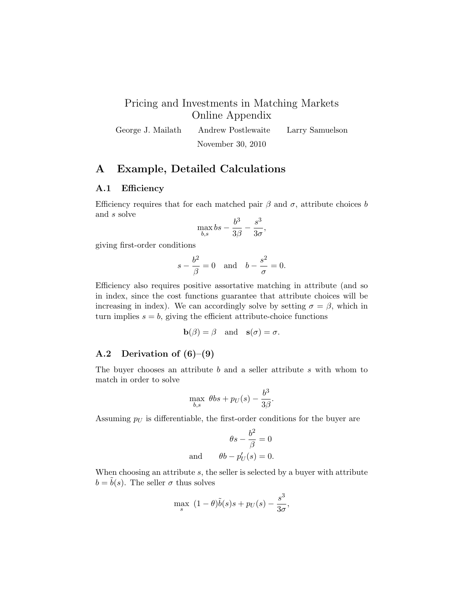## Pricing and Investments in Matching Markets Online Appendix

| George J. Mailath | Andrew Postlewaite | Larry Samuelson |
|-------------------|--------------------|-----------------|
|                   | November 30, 2010  |                 |

## A Example, Detailed Calculations

#### A.1 Efficiency

Efficiency requires that for each matched pair  $\beta$  and  $\sigma$ , attribute choices b and s solve

$$
\max_{b,s} bs - \frac{b^3}{3\beta} - \frac{s^3}{3\sigma},
$$

giving first-order conditions

$$
s - \frac{b^2}{\beta} = 0
$$
 and  $b - \frac{s^2}{\sigma} = 0$ .

Efficiency also requires positive assortative matching in attribute (and so in index, since the cost functions guarantee that attribute choices will be increasing in index). We can accordingly solve by setting  $\sigma = \beta$ , which in turn implies  $s = b$ , giving the efficient attribute-choice functions

$$
\mathbf{b}(\beta) = \beta \quad \text{and} \quad \mathbf{s}(\sigma) = \sigma.
$$

#### A.2 Derivation of  $(6)-(9)$

The buyer chooses an attribute b and a seller attribute s with whom to match in order to solve

$$
\max_{b,s} \ \theta bs + p_U(s) - \frac{b^3}{3\beta}.
$$

Assuming  $p_U$  is differentiable, the first-order conditions for the buyer are

$$
\theta s - \frac{b^2}{\beta} = 0
$$
  
and 
$$
\theta b - p'_U(s) = 0.
$$

When choosing an attribute  $s$ , the seller is selected by a buyer with attribute  $b = b(s)$ . The seller  $\sigma$  thus solves

$$
\max_s \ (1-\theta) \tilde{b}(s) s + p_U(s) - \frac{s^3}{3\sigma},
$$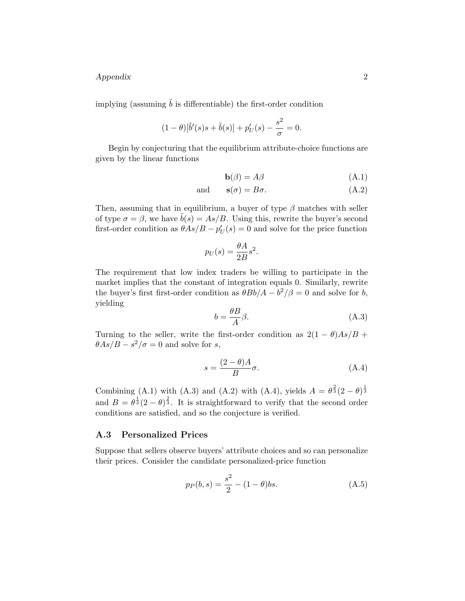implying (assuming  $\tilde{b}$  is differentiable) the first-order condition

$$
(1 - \theta)[\tilde{b}'(s)s + \tilde{b}(s)] + p'_U(s) - \frac{s^2}{\sigma} = 0.
$$

Begin by conjecturing that the equilibrium attribute-choice functions are given by the linear functions

$$
\mathbf{b}(\beta) = A\beta \tag{A.1}
$$

and 
$$
\mathbf{s}(\sigma) = B\sigma.
$$
 (A.2)

Then, assuming that in equilibrium, a buyer of type  $\beta$  matches with seller of type  $\sigma = \beta$ , we have  $b(s) = As/B$ . Using this, rewrite the buyer's second first-order condition as  $\theta As/B - p'_U(s) = 0$  and solve for the price function

$$
p_U(s) = \frac{\theta A}{2B} s^2.
$$

The requirement that low index traders be willing to participate in the market implies that the constant of integration equals 0. Similarly, rewrite the buyer's first first-order condition as  $\theta Bb/A - b^2/\beta = 0$  and solve for b, yielding

$$
b = \frac{\theta B}{A} \beta. \tag{A.3}
$$

Turning to the seller, write the first-order condition as  $2(1 - \theta)As/B +$  $\theta As/B - s^2/\sigma = 0$  and solve for s,

$$
s = \frac{(2 - \theta)A}{B}\sigma.
$$
 (A.4)

Combining (A.1) with (A.3) and (A.2) with (A.4), yields  $A = \theta^{\frac{2}{3}}(2-\theta)^{\frac{1}{3}}$ and  $B = \theta^{\frac{1}{3}}(2-\theta)^{\frac{2}{3}}$ . It is straightforward to verify that the second order conditions are satisfied, and so the conjecture is verified.

#### A.3 Personalized Prices

Suppose that sellers observe buyers' attribute choices and so can personalize their prices. Consider the candidate personalized-price function

$$
p_P(b, s) = \frac{s^2}{2} - (1 - \theta)bs.
$$
 (A.5)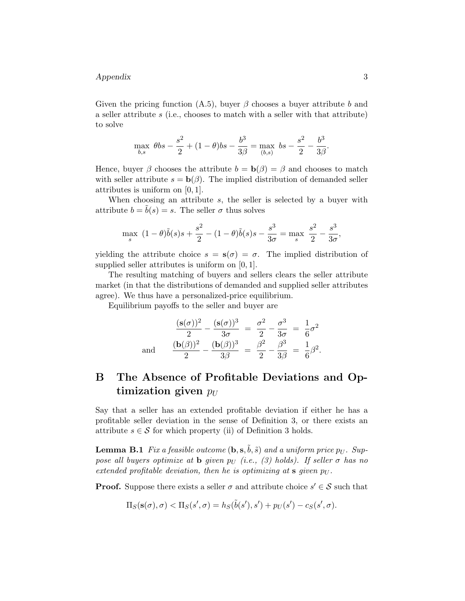Given the pricing function (A.5), buyer  $\beta$  chooses a buyer attribute b and a seller attribute s (i.e., chooses to match with a seller with that attribute) to solve

$$
\max_{b,s} \ \theta bs - \frac{s^2}{2} + (1 - \theta) bs - \frac{b^3}{3\beta} = \max_{(b,s)} \ bs - \frac{s^2}{2} - \frac{b^3}{3\beta}.
$$

Hence, buyer  $\beta$  chooses the attribute  $b = \mathbf{b}(\beta) = \beta$  and chooses to match with seller attribute  $s = \mathbf{b}(\beta)$ . The implied distribution of demanded seller attributes is uniform on [0, 1].

When choosing an attribute  $s$ , the seller is selected by a buyer with attribute  $b = \tilde{b}(s) = s$ . The seller  $\sigma$  thus solves

$$
\max_{s} (1 - \theta)\tilde{b}(s)s + \frac{s^2}{2} - (1 - \theta)\tilde{b}(s)s - \frac{s^3}{3\sigma} = \max_{s} \frac{s^2}{2} - \frac{s^3}{3\sigma},
$$

yielding the attribute choice  $s = s(\sigma) = \sigma$ . The implied distribution of supplied seller attributes is uniform on [0, 1].

The resulting matching of buyers and sellers clears the seller attribute market (in that the distributions of demanded and supplied seller attributes agree). We thus have a personalized-price equilibrium.

Equilibrium payoffs to the seller and buyer are

$$
\frac{(\mathbf{s}(\sigma))^2}{2} - \frac{(\mathbf{s}(\sigma))^3}{3\sigma} = \frac{\sigma^2}{2} - \frac{\sigma^3}{3\sigma} = \frac{1}{6}\sigma^2
$$
  
and 
$$
\frac{(\mathbf{b}(\beta))^2}{2} - \frac{(\mathbf{b}(\beta))^3}{3\beta} = \frac{\beta^2}{2} - \frac{\beta^3}{3\beta} = \frac{1}{6}\beta^2.
$$

# B The Absence of Profitable Deviations and Optimization given  $p_U$

Say that a seller has an extended profitable deviation if either he has a profitable seller deviation in the sense of Definition 3, or there exists an attribute  $s \in \mathcal{S}$  for which property (ii) of Definition 3 holds.

**Lemma B.1** Fix a feasible outcome  $(\mathbf{b}, \mathbf{s}, \tilde{b}, \tilde{s})$  and a uniform price  $p_U$ . Suppose all buyers optimize at **b** given  $p_U$  (i.e., (3) holds). If seller  $\sigma$  has no extended profitable deviation, then he is optimizing at  $s$  given  $p_U$ .

**Proof.** Suppose there exists a seller  $\sigma$  and attribute choice  $s' \in \mathcal{S}$  such that

$$
\Pi_S(\mathbf{s}(\sigma), \sigma) < \Pi_S(s', \sigma) = h_S(\tilde{b}(s'), s') + p_U(s') - c_S(s', \sigma).
$$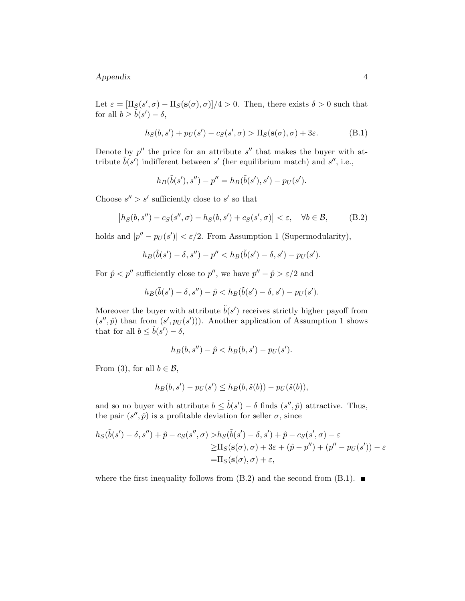Let  $\varepsilon = [\Pi_S(s', \sigma) - \Pi_S(\mathbf{s}(\sigma), \sigma)]/4 > 0$ . Then, there exists  $\delta > 0$  such that for all  $b \geq \tilde{b}(s') - \delta$ ,

$$
h_S(b, s') + p_U(s') - c_S(s', \sigma) > \Pi_S(\mathbf{s}(\sigma), \sigma) + 3\varepsilon.
$$
 (B.1)

Denote by  $p''$  the price for an attribute  $s''$  that makes the buyer with attribute  $\tilde{b}(s')$  indifferent between s' (her equilibrium match) and s'', i.e.,

$$
h_B(\tilde{b}(s'), s'') - p'' = h_B(\tilde{b}(s'), s') - p_U(s').
$$

Choose  $s'' > s'$  sufficiently close to s' so that

$$
\left| h_S(b, s'') - c_S(s'', \sigma) - h_S(b, s') + c_S(s', \sigma) \right| < \varepsilon, \quad \forall b \in \mathcal{B}, \tag{B.2}
$$

holds and  $|p'' - p_U(s')| < \varepsilon/2$ . From Assumption 1 (Supermodularity),

$$
h_B(\tilde{b}(s') - \delta, s'') - p'' < h_B(\tilde{b}(s') - \delta, s') - p_U(s').
$$

For  $\hat{p} < p''$  sufficiently close to  $p''$ , we have  $p'' - \hat{p} > \varepsilon/2$  and

$$
h_B(\tilde{b}(s') - \delta, s'') - \hat{p} < h_B(\tilde{b}(s') - \delta, s') - p_U(s').
$$

Moreover the buyer with attribute  $\tilde{b}(s')$  receives strictly higher payoff from  $(s'', \hat{p})$  than from  $(s', p_U(s'))$ ). Another application of Assumption 1 shows that for all  $b \leq \tilde{b}(s') - \delta$ ,

$$
h_B(b, s'') - \hat{p} < h_B(b, s') - p_U(s').
$$

From (3), for all  $b \in \mathcal{B}$ ,

$$
h_B(b, s') - p_U(s') \le h_B(b, \tilde{s}(b)) - p_U(\tilde{s}(b)),
$$

and so no buyer with attribute  $b \leq \tilde{b}(s') - \delta$  finds  $(s'', \hat{p})$  attractive. Thus, the pair  $(s'', \hat{p})$  is a profitable deviation for seller  $\sigma$ , since

$$
h_S(\tilde{b}(s') - \delta, s'') + \hat{p} - c_S(s'', \sigma) > h_S(\tilde{b}(s') - \delta, s') + \hat{p} - c_S(s', \sigma) - \varepsilon
$$
\n
$$
\geq \Pi_S(\mathbf{s}(\sigma), \sigma) + 3\varepsilon + (\hat{p} - p'') + (p'' - p_U(s')) - \varepsilon
$$
\n
$$
= \Pi_S(\mathbf{s}(\sigma), \sigma) + \varepsilon,
$$

where the first inequality follows from  $(B.2)$  and the second from  $(B.1)$ .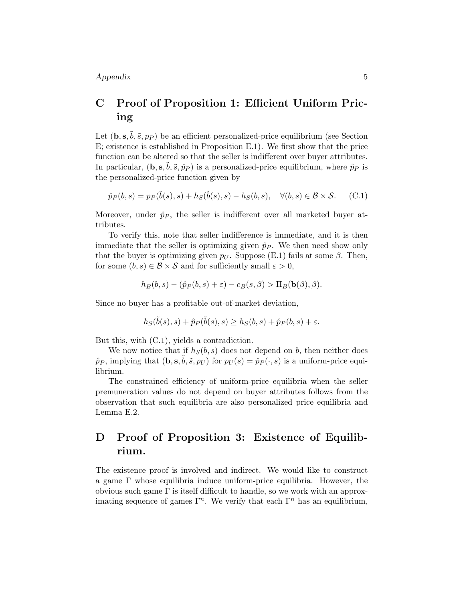## C Proof of Proposition 1: Efficient Uniform Pricing

Let  $(\mathbf{b}, \mathbf{s}, \tilde{b}, \tilde{s}, p_P)$  be an efficient personalized-price equilibrium (see Section E; existence is established in Proposition E.1). We first show that the price function can be altered so that the seller is indifferent over buyer attributes. In particular,  $(\mathbf{b}, \mathbf{s}, \tilde{b}, \tilde{s}, \hat{p}_P)$  is a personalized-price equilibrium, where  $\hat{p}_P$  is the personalized-price function given by

$$
\hat{p}_P(b,s) = p_P(\tilde{b}(s),s) + h_S(\tilde{b}(s),s) - h_S(b,s), \quad \forall (b,s) \in \mathcal{B} \times \mathcal{S}.
$$
 (C.1)

Moreover, under  $\hat{p}_P$ , the seller is indifferent over all marketed buyer attributes.

To verify this, note that seller indifference is immediate, and it is then immediate that the seller is optimizing given  $\hat{p}_P$ . We then need show only that the buyer is optimizing given  $p_U$ . Suppose (E.1) fails at some  $\beta$ . Then, for some  $(b, s) \in \mathcal{B} \times \mathcal{S}$  and for sufficiently small  $\varepsilon > 0$ ,

$$
h_B(b,s) - (\hat{p}_P(b,s) + \varepsilon) - c_B(s,\beta) > \Pi_B(\mathbf{b}(\beta),\beta).
$$

Since no buyer has a profitable out-of-market deviation,

$$
h_S(\tilde{b}(s),s) + \hat{p}_P(\tilde{b}(s),s) \geq h_S(b,s) + \hat{p}_P(b,s) + \varepsilon
$$

But this, with (C.1), yields a contradiction.

We now notice that if  $h<sub>S</sub>(b, s)$  does not depend on b, then neither does  $\hat{p}_P$ , implying that  $(\mathbf{b}, \mathbf{s}, \tilde{b}, \tilde{s}, p_U)$  for  $p_U(s) = \hat{p}_P(\cdot, s)$  is a uniform-price equilibrium.

The constrained efficiency of uniform-price equilibria when the seller premuneration values do not depend on buyer attributes follows from the observation that such equilibria are also personalized price equilibria and Lemma E.2.

## D Proof of Proposition 3: Existence of Equilibrium.

The existence proof is involved and indirect. We would like to construct a game Γ whose equilibria induce uniform-price equilibria. However, the obvious such game  $\Gamma$  is itself difficult to handle, so we work with an approximating sequence of games  $\Gamma^n$ . We verify that each  $\Gamma^n$  has an equilibrium,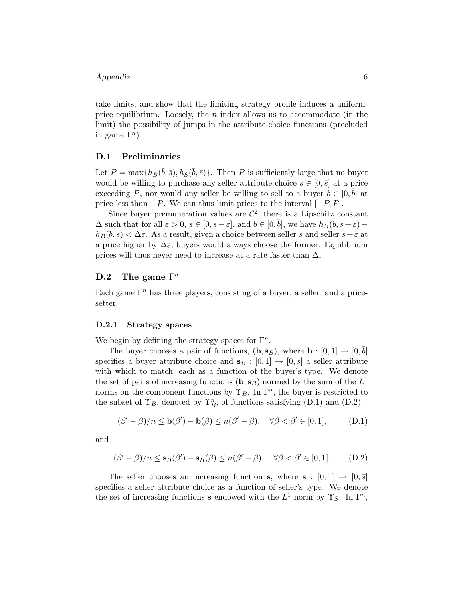take limits, and show that the limiting strategy profile induces a uniformprice equilibrium. Loosely, the  $n$  index allows us to accommodate (in the limit) the possibility of jumps in the attribute-choice functions (precluded in game  $\Gamma^n$ ).

#### D.1 Preliminaries

Let  $P = \max\{h_B(\bar{b}, \bar{s}), h_S(\bar{b}, \bar{s})\}.$  Then P is sufficiently large that no buyer would be willing to purchase any seller attribute choice  $s \in [0, \bar{s}]$  at a price exceeding P, nor would any seller be willing to sell to a buyer  $b \in [0, \bar{b}]$  at price less than  $-P$ . We can thus limit prices to the interval  $[-P, P]$ .

Since buyer premuneration values are  $\mathcal{C}^2$ , there is a Lipschitz constant  $\Delta$  such that for all  $\varepsilon > 0$ ,  $s \in [0, \bar{s} - \varepsilon]$ , and  $b \in [0, \bar{b}]$ , we have  $h_B(b, s + \varepsilon)$  $h_B(b, s) < \Delta \varepsilon$ . As a result, given a choice between seller s and seller  $s + \varepsilon$  at a price higher by  $\Delta \varepsilon$ , buyers would always choose the former. Equilibrium prices will thus never need to increase at a rate faster than  $\Delta$ .

## D.2 The game  $\Gamma^n$

Each game  $\Gamma^n$  has three players, consisting of a buyer, a seller, and a pricesetter.

#### D.2.1 Strategy spaces

We begin by defining the strategy spaces for  $\Gamma^n$ .

The buyer chooses a pair of functions,  $(\mathbf{b}, \mathbf{s}_B)$ , where  $\mathbf{b} : [0, 1] \rightarrow [0, \overline{b}]$ specifies a buyer attribute choice and  $\mathbf{s}_B : [0,1] \to [0,\bar{s}]$  a seller attribute with which to match, each as a function of the buyer's type. We denote the set of pairs of increasing functions  $(b, s_B)$  normed by the sum of the  $L<sup>1</sup>$ norms on the component functions by  $\Upsilon_B$ . In  $\Gamma^n$ , the buyer is restricted to the subset of  $\Upsilon_B$ , denoted by  $\Upsilon_B^n$ , of functions satisfying (D.1) and (D.2):

$$
(\beta' - \beta)/n \le \mathbf{b}(\beta') - \mathbf{b}(\beta) \le n(\beta' - \beta), \quad \forall \beta < \beta' \in [0, 1], \tag{D.1}
$$

and

$$
(\beta' - \beta)/n \le \mathbf{s}_B(\beta') - \mathbf{s}_B(\beta) \le n(\beta' - \beta), \quad \forall \beta < \beta' \in [0, 1]. \tag{D.2}
$$

The seller chooses an increasing function s, where s :  $[0,1] \rightarrow [0,\overline{s}]$ specifies a seller attribute choice as a function of seller's type. We denote the set of increasing functions **s** endowed with the  $L^1$  norm by  $\Upsilon_S$ . In  $\Gamma^n$ ,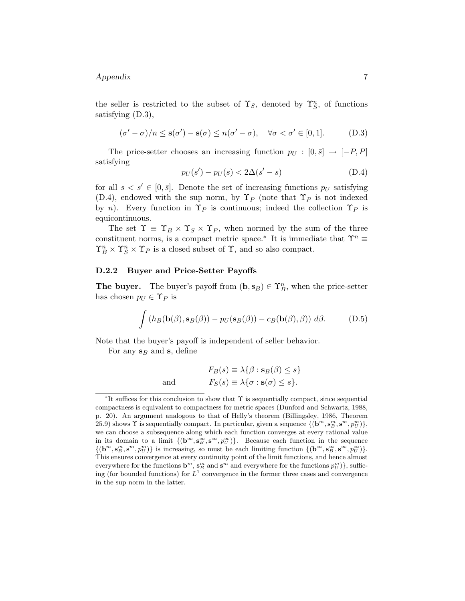the seller is restricted to the subset of  $\Upsilon_S$ , denoted by  $\Upsilon_S^n$ , of functions satisfying (D.3),

$$
(\sigma' - \sigma)/n \le \mathbf{s}(\sigma') - \mathbf{s}(\sigma) \le n(\sigma' - \sigma), \quad \forall \sigma < \sigma' \in [0, 1]. \tag{D.3}
$$

The price-setter chooses an increasing function  $p_U : [0, \bar{s}] \rightarrow [-P, P]$ satisfying

$$
p_U(s') - p_U(s) < 2\Delta(s' - s) \tag{D.4}
$$

for all  $s < s' \in [0, \bar{s}]$ . Denote the set of increasing functions  $p_U$  satisfying (D.4), endowed with the sup norm, by  $\Upsilon_P$  (note that  $\Upsilon_P$  is not indexed by n). Every function in  $\Upsilon_P$  is continuous; indeed the collection  $\Upsilon_P$  is equicontinuous.

The set  $\Upsilon \equiv \Upsilon_B \times \Upsilon_S \times \Upsilon_P$ , when normed by the sum of the three constituent norms, is a compact metric space.<sup>\*</sup> It is immediate that  $\Upsilon^n \equiv$  $\Upsilon_B^n \times \Upsilon_S^n \times \Upsilon_P$  is a closed subset of  $\Upsilon$ , and so also compact.

#### D.2.2 Buyer and Price-Setter Payoffs

**The buyer.** The buyer's payoff from  $(b, s_B) \in \Upsilon_B^n$ , when the price-setter has chosen  $p_U \in \Upsilon_P$  is

$$
\int (h_B(\mathbf{b}(\beta), \mathbf{s}_B(\beta)) - p_U(\mathbf{s}_B(\beta)) - c_B(\mathbf{b}(\beta), \beta)) \, d\beta. \tag{D.5}
$$

Note that the buyer's payoff is independent of seller behavior.

For any  $s_B$  and s, define

$$
F_B(s) \equiv \lambda \{ \beta : \mathbf{s}_B(\beta) \le s \}
$$
  
and 
$$
F_S(s) \equiv \lambda \{ \sigma : \mathbf{s}(\sigma) \le s \}.
$$

<sup>∗</sup> It suffices for this conclusion to show that Υ is sequentially compact, since sequential compactness is equivalent to compactness for metric spaces (Dunford and Schwartz, 1988, p. 20). An argument analogous to that of Helly's theorem (Billingsley, 1986, Theorem 25.9) shows  $\Upsilon$  is sequentially compact. In particular, given a sequence  $\{(\mathbf{b}^m, \mathbf{s}_B^m, \mathbf{s}^m, p_U^m)\},$ we can choose a subsequence along which each function converges at every rational value in its domain to a limit  $\{(\mathbf{b}^{\infty}, \mathbf{s}_{B}^{\infty}, \mathbf{s}^{\infty}, p_{U}^{\infty})\}\$ . Because each function in the sequence  $\{(\mathbf{b}^m, \mathbf{s}_B^m, \mathbf{s}^m, p_U^m)\}\$ is increasing, so must be each limiting function  $\{(\mathbf{b}^\infty, \mathbf{s}_B^\infty, \mathbf{s}^\infty, p_U^\infty)\}\$ . This ensures convergence at every continuity point of the limit functions, and hence almost everywhere for the functions  $\mathbf{b}^m$ ,  $\mathbf{s}_B^m$  and  $\mathbf{s}^m$  and everywhere for the functions  $p_U^m$ }, sufficing (for bounded functions) for  $L^1$  convergence in the former three cases and convergence in the sup norm in the latter.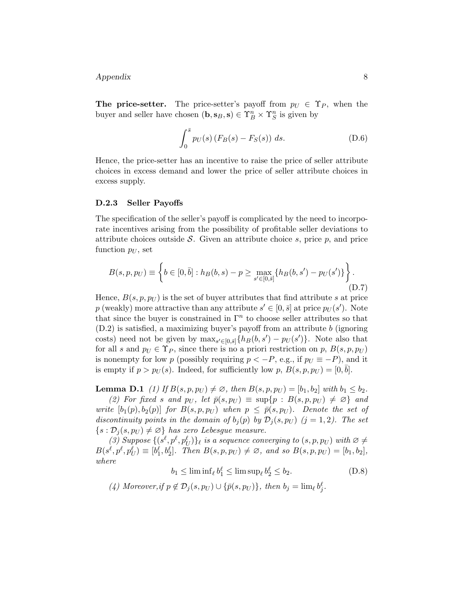**The price-setter.** The price-setter's payoff from  $p_U \in \Upsilon_P$ , when the buyer and seller have chosen  $(\mathbf{b}, \mathbf{s}_B, \mathbf{s}) \in \Upsilon_B^n \times \Upsilon_S^n$  is given by

$$
\int_0^{\bar{s}} p_U(s) (F_B(s) - F_S(s)) ds.
$$
 (D.6)

Hence, the price-setter has an incentive to raise the price of seller attribute choices in excess demand and lower the price of seller attribute choices in excess supply.

#### D.2.3 Seller Payoffs

The specification of the seller's payoff is complicated by the need to incorporate incentives arising from the possibility of profitable seller deviations to attribute choices outside S. Given an attribute choice s, price  $p$ , and price function  $p_U$ , set

$$
B(s, p, p_U) \equiv \left\{ b \in [0, \bar{b}] : h_B(b, s) - p \ge \max_{s' \in [0, \bar{s}]} \{ h_B(b, s') - p_U(s') \} \right\}.
$$
\n(D.7)

Hence,  $B(s, p, p_U)$  is the set of buyer attributes that find attribute s at price p (weakly) more attractive than any attribute  $s' \in [0, \bar{s}]$  at price  $p_U(s')$ . Note that since the buyer is constrained in  $\Gamma^n$  to choose seller attributes so that  $(D.2)$  is satisfied, a maximizing buyer's payoff from an attribute b (ignoring costs) need not be given by  $\max_{s' \in [0,\bar{s}]} \{h_B(b,s') - p_U(s')\}$ . Note also that for all s and  $p_U \in \Upsilon_P$ , since there is no a priori restriction on p,  $B(s, p, p_U)$ is nonempty for low p (possibly requiring  $p < -P$ , e.g., if  $p_U \equiv -P$ ), and it is empty if  $p > p_U(s)$ . Indeed, for sufficiently low  $p, B(s, p, p_U) = [0, \overline{b}]$ .

**Lemma D.1** (1) If  $B(s, p, p_U) \neq \emptyset$ , then  $B(s, p, p_U) = [b_1, b_2]$  with  $b_1 \leq b_2$ .

(2) For fixed s and p<sub>U</sub>, let  $\bar{p}(s, p_U) \equiv \sup\{p : B(s, p, p_U) \neq \emptyset\}$  and write  $[b_1(p), b_2(p)]$  for  $B(s, p, p_U)$  when  $p \leq \bar{p}(s, p_U)$ . Denote the set of discontinuity points in the domain of  $b_j(p)$  by  $\mathcal{D}_j(s, p_U)$   $(j = 1, 2)$ . The set  $\{s : \mathcal{D}_j(s, p_U) \neq \varnothing\}$  has zero Lebesgue measure.

(3) Suppose  $\{(s^{\ell}, p^{\ell}, p^{\ell}_{U})\}_{\ell}$  is a sequence converging to  $(s, p, p_{U})$  with  $\varnothing \neq$  $B(s^{\ell}, p^{\ell}, p^{\ell}_U) \equiv [b_1^{\ell}, b_2^{\ell}]$ . Then  $B(s, p, p_U) \neq \emptyset$ , and so  $B(s, p, p_U) = [b_1, b_2]$ , where

 $b_1 \leq \liminf_{\ell} b_1^{\ell} \leq \limsup_{\ell} b_2^{\ell} \leq b_2.$  (D.8)

(4) Moreover, if  $p \notin \mathcal{D}_j(s, p_U) \cup \{\bar{p}(s, p_U)\}\$ , then  $b_j = \lim_{\ell} b_j^{\ell}$ .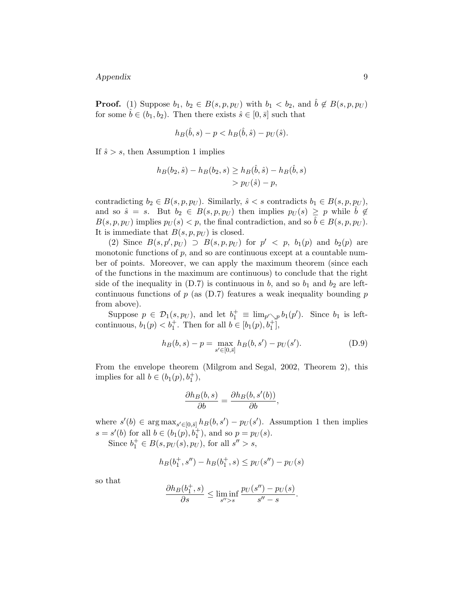**Proof.** (1) Suppose  $b_1, b_2 \in B(s, p, p_U)$  with  $b_1 < b_2$ , and  $\hat{b} \notin B(s, p, p_U)$ for some  $b \in (b_1, b_2)$ . Then there exists  $\hat{s} \in [0, \bar{s}]$  such that

$$
h_B(\hat{b},s) - p < h_B(\hat{b},\hat{s}) - p_U(\hat{s}).
$$

If  $\hat{s} > s$ , then Assumption 1 implies

$$
h_B(b_2, \hat{s}) - h_B(b_2, s) \ge h_B(\hat{b}, \hat{s}) - h_B(\hat{b}, s) > p_U(\hat{s}) - p,
$$

contradicting  $b_2 \in B(s, p, p_U)$ . Similarly,  $\hat{s} < s$  contradicts  $b_1 \in B(s, p, p_U)$ , and so  $\hat{s} = s$ . But  $b_2 \in B(s, p, p_U)$  then implies  $p_U(s) \geq p$  while  $\hat{b} \notin$  $B(s, p, p_U)$  implies  $p_U(s) < p$ , the final contradiction, and so  $b \in B(s, p, p_U)$ . It is immediate that  $B(s, p, p_U)$  is closed.

(2) Since  $B(s, p', p_U) \supset B(s, p, p_U)$  for  $p' < p$ ,  $b_1(p)$  and  $b_2(p)$  are monotonic functions of  $p$ , and so are continuous except at a countable number of points. Moreover, we can apply the maximum theorem (since each of the functions in the maximum are continuous) to conclude that the right side of the inequality in  $(D.7)$  is continuous in b, and so  $b_1$  and  $b_2$  are leftcontinuous functions of  $p$  (as  $(D.7)$  features a weak inequality bounding  $p$ from above).

Suppose  $p \in \mathcal{D}_1(s, p_U)$ , and let  $b_1^+ \equiv \lim_{p' \searrow p} b_1(p')$ . Since  $b_1$  is leftcontinuous,  $b_1(p) < b_1^+$ . Then for all  $b \in [b_1(p), b_1^+]$ ,

$$
h_B(b,s) - p = \max_{s' \in [0,\bar{s}]} h_B(b,s') - p_U(s'). \tag{D.9}
$$

From the envelope theorem (Milgrom and Segal, 2002, Theorem 2), this implies for all  $b \in (b_1(p), b_1^+),$ 

$$
\frac{\partial h_B(b,s)}{\partial b} = \frac{\partial h_B(b,s'(b))}{\partial b},
$$

where  $s'(b) \in \arg \max_{s' \in [0,\bar{s}]} h_B(b,s') - p_U(s')$ . Assumption 1 then implies  $s = s'(b)$  for all  $b \in (b_1(p), b_1^+)$ , and so  $p = p_U(s)$ .

Since  $b_1^+ \in B(s, p_U(s), p_U)$ , for all  $s'' > s$ ,

$$
h_B(b_1^+, s'') - h_B(b_1^+, s) \le p_U(s'') - p_U(s)
$$

so that

$$
\frac{\partial h_B(b_1^+,s)}{\partial s} \le \liminf_{s''>s} \frac{p_U(s'')-p_U(s)}{s''-s}.
$$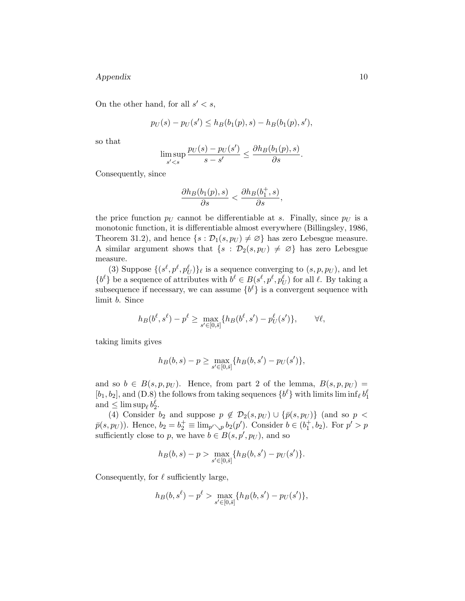On the other hand, for all  $s' < s$ ,

$$
p_U(s) - p_U(s') \le h_B(b_1(p), s) - h_B(b_1(p), s'),
$$

so that

$$
\limsup_{s'
$$

Consequently, since

$$
\frac{\partial h_B(b_1(p),s)}{\partial s} < \frac{\partial h_B(b_1^+,s)}{\partial s},
$$

the price function  $p_U$  cannot be differentiable at s. Finally, since  $p_U$  is a monotonic function, it is differentiable almost everywhere (Billingsley, 1986, Theorem 31.2), and hence  $\{s : \mathcal{D}_1(s, p_U) \neq \emptyset\}$  has zero Lebesgue measure. A similar argument shows that  $\{s : \mathcal{D}_2(s, p_U) \neq \emptyset\}$  has zero Lebesgue measure.

(3) Suppose  $\{(s^{\ell}, p^{\ell}, p^{\ell}_{U})\}_{\ell}$  is a sequence converging to  $(s, p, p_{U})$ , and let  ${b^{\ell}}$  be a sequence of attributes with  $b^{\ell} \in B(s^{\ell}, p^{\ell}, p^{\ell}_{U})$  for all  $\ell$ . By taking a subsequence if necessary, we can assume  $\{b^{\ell}\}\$ is a convergent sequence with limit b. Since

$$
h_B(b^{\ell}, s^{\ell}) - p^{\ell} \ge \max_{s' \in [0, \bar{s}]} \{ h_B(b^{\ell}, s') - p^{\ell}_U(s') \}, \qquad \forall \ell,
$$

taking limits gives

$$
h_B(b,s) - p \ge \max_{s' \in [0,\bar{s}]} \{ h_B(b,s') - p_U(s') \},\
$$

and so  $b \in B(s, p, p_U)$ . Hence, from part 2 of the lemma,  $B(s, p, p_U)$  $[b_1, b_2]$ , and  $(D.8)$  the follows from taking sequences  $\{b^{\ell}\}\$  with limits lim  $\inf_{\ell} b_1^{\ell}$ and  $\leq \limsup_{\ell} b_2^{\ell}$ .

(4) Consider  $b_2$  and suppose  $p \notin \mathcal{D}_2(s, p_U) \cup {\{\overline{p}(s, p_U)\}}$  (and so  $p <$  $\bar{p}(s, p_U)$ ). Hence,  $b_2 = b_2^+ \equiv \lim_{p' \searrow p} b_2(p')$ . Consider  $b \in (b_1^+, b_2)$ . For  $p' > p$ sufficiently close to p, we have  $b \in B(s, p', p_U)$ , and so

$$
h_B(b,s) - p > \max_{s' \in [0,\bar{s}]} \{ h_B(b,s') - p_U(s') \}.
$$

Consequently, for  $\ell$  sufficiently large,

$$
h_B(b, s^{\ell}) - p^{\ell} > \max_{s' \in [0, \bar{s}]} \{ h_B(b, s') - p_U(s') \},\
$$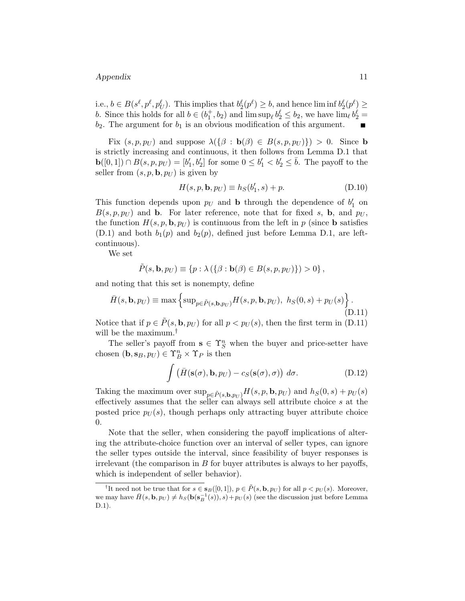i.e.,  $b \in B(s^{\ell}, p^{\ell}, p^{\ell}_{U})$ . This implies that  $b^{\ell}_2(p^{\ell}) \geq b$ , and hence lim inf  $b^{\ell}_2(p^{\ell}) \geq$ b. Since this holds for all  $b \in (b_1^+, b_2)$  and  $\limsup_{\ell} b_2^{\ell} \le b_2$ , we have  $\lim_{\ell} b_2^{\ell} =$  $b_2$ . The argument for  $b_1$  is an obvious modification of this argument.

Fix  $(s, p, p_U)$  and suppose  $\lambda(\{\beta : \mathbf{b}(\beta) \in B(s, p, p_U)\}) > 0$ . Since **b** is strictly increasing and continuous, it then follows from Lemma D.1 that **b**([0, 1]) ∩  $B(s, p, p_U) = [b'_1, b'_2]$  for some  $0 \le b'_1 < b'_2 \le \bar{b}$ . The payoff to the seller from  $(s, p, \mathbf{b}, p_U)$  is given by

$$
H(s, p, \mathbf{b}, p_U) \equiv h_S(b'_1, s) + p. \tag{D.10}
$$

This function depends upon  $p_U$  and **b** through the dependence of  $b'_1$  on  $B(s, p, p_U)$  and **b**. For later reference, note that for fixed s, **b**, and  $p_U$ , the function  $H(s, p, \mathbf{b}, p_U)$  is continuous from the left in p (since **b** satisfies  $(D.1)$  and both  $b_1(p)$  and  $b_2(p)$ , defined just before Lemma D.1, are leftcontinuous).

We set

$$
\tilde{P}(s, \mathbf{b}, p_U) \equiv \{p : \lambda (\{\beta : \mathbf{b}(\beta) \in B(s, p, p_U)\}) > 0\},\,
$$

and noting that this set is nonempty, define

$$
\bar{H}(s, \mathbf{b}, p_U) \equiv \max \left\{ \sup_{p \in \tilde{P}(s, \mathbf{b}, p_U)} H(s, p, \mathbf{b}, p_U), h_S(0, s) + p_U(s) \right\}.
$$
\n(D.11)

Notice that if  $p \in \tilde{P}(s, \mathbf{b}, p_U)$  for all  $p < p_U(s)$ , then the first term in  $(D.11)$ will be the maximum.†

The seller's payoff from  $\mathbf{s} \in \Upsilon_S^n$  when the buyer and price-setter have chosen  $(\mathbf{b}, \mathbf{s}_B, p_U) \in \Upsilon_B^n \times \Upsilon_P$  is then

$$
\int (\bar{H}(\mathbf{s}(\sigma), \mathbf{b}, p_U) - c_S(\mathbf{s}(\sigma), \sigma)) \, d\sigma. \tag{D.12}
$$

Taking the maximum over  $\sup_{p \in \tilde{P}(s,b,p_U)} H(s,p,b,p_U)$  and  $h_S(0,s) + p_U(s)$ effectively assumes that the seller can always sell attribute choice  $s$  at the posted price  $p_U(s)$ , though perhaps only attracting buyer attribute choice 0.

Note that the seller, when considering the payoff implications of altering the attribute-choice function over an interval of seller types, can ignore the seller types outside the interval, since feasibility of buyer responses is irrelevant (the comparison in  $B$  for buyer attributes is always to her payoffs, which is independent of seller behavior).

<sup>&</sup>lt;sup>†</sup>It need not be true that for  $s \in s_B([0,1])$ ,  $p \in \tilde{P}(s, \mathbf{b}, p_U)$  for all  $p < p_U(s)$ . Moreover, we may have  $\bar{H}(s, \mathbf{b}, p_U) \neq h_S(\mathbf{b}(\mathbf{s}_B^{-1}(s)), s) + p_U(s)$  (see the discussion just before Lemma D.1).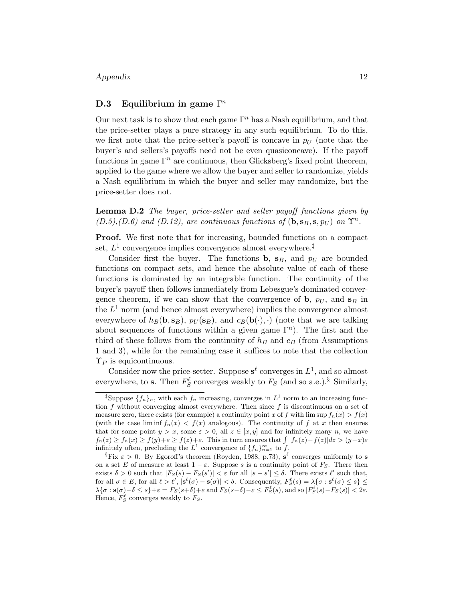## D.3 Equilibrium in game  $\Gamma^n$

Our next task is to show that each game  $\Gamma^n$  has a Nash equilibrium, and that the price-setter plays a pure strategy in any such equilibrium. To do this, we first note that the price-setter's payoff is concave in  $p_U$  (note that the buyer's and sellers's payoffs need not be even quasiconcave). If the payoff functions in game  $\Gamma^n$  are continuous, then Glicksberg's fixed point theorem, applied to the game where we allow the buyer and seller to randomize, yields a Nash equilibrium in which the buyer and seller may randomize, but the price-setter does not.

**Lemma D.2** The buyer, price-setter and seller payoff functions given by  $(D.5), (D.6)$  and  $(D.12)$ , are continuous functions of  $(\mathbf{b}, \mathbf{s}_B, \mathbf{s}, p_U)$  on  $\Upsilon^n$ .

Proof. We first note that for increasing, bounded functions on a compact set,  $L^1$  convergence implies convergence almost everywhere.<sup>‡</sup>

Consider first the buyer. The functions  $\mathbf{b}$ ,  $\mathbf{s}_B$ , and  $p_U$  are bounded functions on compact sets, and hence the absolute value of each of these functions is dominated by an integrable function. The continuity of the buyer's payoff then follows immediately from Lebesgue's dominated convergence theorem, if we can show that the convergence of  $\mathbf{b}, p_U$ , and  $\mathbf{s}_B$  in the  $L^1$  norm (and hence almost everywhere) implies the convergence almost everywhere of  $h_B(b, s_B)$ ,  $p_U(s_B)$ , and  $c_B(b(\cdot), \cdot)$  (note that we are talking about sequences of functions within a given game  $\Gamma^n$ ). The first and the third of these follows from the continuity of  $h_B$  and  $c_B$  (from Assumptions 1 and 3), while for the remaining case it suffices to note that the collection  $\Upsilon_P$  is equicontinuous.

Consider now the price-setter. Suppose  $s^{\ell}$  converges in  $L^{1}$ , and so almost everywhere, to s. Then  $F_S^{\ell}$  converges weakly to  $F_S$  (and so a.e.).<sup>§</sup> Similarly,

<sup>&</sup>lt;sup>‡</sup>Suppose  ${f_n}_n$ , with each  $f_n$  increasing, converges in  $L^1$  norm to an increasing function f without converging almost everywhere. Then since f is discontinuous on a set of measure zero, there exists (for example) a continuity point x of f with  $\limsup f_n(x) > f(x)$ (with the case liminf  $f_n(x) < f(x)$  analogous). The continuity of f at x then ensures that for some point  $y > x$ , some  $\varepsilon > 0$ , all  $z \in [x, y]$  and for infinitely many n, we have that for some point  $y > x$ , some  $\varepsilon > 0$ , and  $z \in [x, y]$  and for infinitely many n, we have  $f_n(z) \ge f_n(x) \ge f(y) + \varepsilon \ge f(z) + \varepsilon$ . This in turn ensures that  $\int |f_n(z) - f(z)| dz > (y - x)\varepsilon$ infinitely often, precluding the  $L^1$  convergence of  $\{f_n\}_{n=1}^{\infty}$  to  $f$ .

<sup>&</sup>lt;sup>§</sup>Fix  $\varepsilon > 0$ . By Egoroff's theorem (Royden, 1988, p.73), s<sup> $\ell$ </sup> converges uniformly to s on a set E of measure at least  $1 - \varepsilon$ . Suppose s is a continuity point of  $F_S$ . There then exists  $\delta > 0$  such that  $|F_S(s) - F_S(s')| < \varepsilon$  for all  $|s - s'| \leq \delta$ . There exists  $\ell'$  such that, for all  $\sigma \in E$ , for all  $\ell > \ell'$ ,  $|s^{\ell}(\sigma) - s(\sigma)| < \delta$ . Consequently,  $F_S^{\ell}(s) = \lambda \{\sigma : s^{\ell}(\sigma) \leq s\} \leq$  $\lambda \{\sigma : \mathbf{s}(\sigma) - \delta \leq s \} + \varepsilon = F_S(s + \delta) + \varepsilon$  and  $F_S(s - \delta) - \varepsilon \leq F_S^{\ell}(s)$ , and so  $|F_S^{\ell}(s) - F_S(s)| < 2\varepsilon$ . Hence,  $F_S^{\ell}$  converges weakly to  $F_S$ .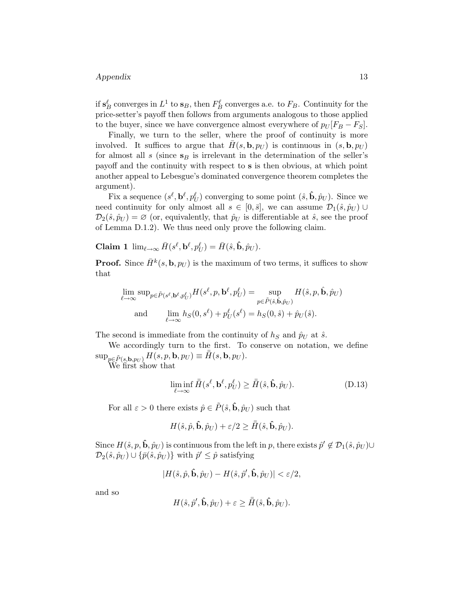if  $\mathbf{s}_B^{\ell}$  converges in  $L^1$  to  $\mathbf{s}_B$ , then  $F_B^{\ell}$  converges a.e. to  $F_B$ . Continuity for the price-setter's payoff then follows from arguments analogous to those applied to the buyer, since we have convergence almost everywhere of  $p_U [F_B - F_S]$ .

Finally, we turn to the seller, where the proof of continuity is more involved. It suffices to argue that  $H(s, \mathbf{b}, p_U)$  is continuous in  $(s, \mathbf{b}, p_U)$ for almost all s (since  $s_B$  is irrelevant in the determination of the seller's payoff and the continuity with respect to s is then obvious, at which point another appeal to Lebesgue's dominated convergence theorem completes the argument).

Fix a sequence  $(s^{\ell}, \mathbf{b}^{\ell}, p_U^{\ell})$  converging to some point  $(\hat{s}, \hat{\mathbf{b}}, \hat{p}_U)$ . Since we need continuity for only almost all  $s \in [0, \bar{s}]$ , we can assume  $\mathcal{D}_1(\hat{s}, \hat{p}_U)$  $\mathcal{D}_2(\hat{s}, \hat{p}_U) = \varnothing$  (or, equivalently, that  $\hat{p}_U$  is differentiable at  $\hat{s}$ , see the proof of Lemma D.1.2). We thus need only prove the following claim.

Claim 1  $\lim_{\ell \to \infty} \bar{H}(s^{\ell}, \mathbf{b}^{\ell}, p^{\ell}_{U}) = \bar{H}(\hat{s}, \hat{\mathbf{b}}, \hat{p}_{U}).$ 

**Proof.** Since  $\bar{H}^k(s, \mathbf{b}, p_U)$  is the maximum of two terms, it suffices to show that

$$
\lim_{\ell \to \infty} \sup_{p \in \tilde{P}(s^{\ell}, \mathbf{b}^{\ell}, p^{\ell}_{U})} H(s^{\ell}, p, \mathbf{b}^{\ell}, p^{\ell}_{U}) = \sup_{p \in \tilde{P}(\hat{s}, \hat{\mathbf{b}}, \hat{p}_{U})} H(\hat{s}, p, \hat{\mathbf{b}}, \hat{p}_{U})
$$
\nand\n
$$
\lim_{\ell \to \infty} h_{S}(0, s^{\ell}) + p^{\ell}_{U}(s^{\ell}) = h_{S}(0, \hat{s}) + \hat{p}_{U}(\hat{s}).
$$

The second is immediate from the continuity of  $h<sub>S</sub>$  and  $\hat{p}_U$  at  $\hat{s}$ .

We accordingly turn to the first. To conserve on notation, we define  $\sup\nolimits_{\boldsymbol{p}\in\tilde{P}(s,\mathbf{b},\boldsymbol{p}_U)}H(s,\boldsymbol{p},\mathbf{b},\boldsymbol{p}_U)\equiv\bar{\bar{H}}(s,\mathbf{b},\boldsymbol{p}_U).$ 

We first show that

$$
\liminf_{\ell \to \infty} \bar{\bar{H}}(s^{\ell}, \mathbf{b}^{\ell}, p_U^{\ell}) \ge \bar{\bar{H}}(\hat{s}, \hat{\mathbf{b}}, \hat{p}_U). \tag{D.13}
$$

For all  $\varepsilon > 0$  there exists  $\hat{p} \in \tilde{P}(\hat{s}, \hat{\mathbf{b}}, \hat{p}_U)$  such that

$$
H(\hat{s}, \hat{p}, \hat{\mathbf{b}}, \hat{p}_U) + \varepsilon/2 \geq \overline{\bar{H}}(\hat{s}, \hat{\mathbf{b}}, \hat{p}_U).
$$

Since  $H(\hat{s}, p, \hat{\mathbf{b}}, \hat{p}_U)$  is continuous from the left in p, there exists  $\hat{p}' \notin \mathcal{D}_1(\hat{s}, \hat{p}_U) \cup$  $\mathcal{D}_2(\hat{s}, \hat{p}_U) \cup \{\bar{p}(\hat{s}, \hat{p}_U)\}\$  with  $\hat{p}' \leq \hat{p}$  satisfying

$$
|H(\hat{s}, \hat{p}, \hat{\mathbf{b}}, \hat{p}_U) - H(\hat{s}, \hat{p}', \hat{\mathbf{b}}, \hat{p}_U)| < \varepsilon/2,
$$

and so

$$
H(\hat{s}, \hat{p}', \hat{\mathbf{b}}, \hat{p}_U) + \varepsilon \geq \bar{H}(\hat{s}, \hat{\mathbf{b}}, \hat{p}_U).
$$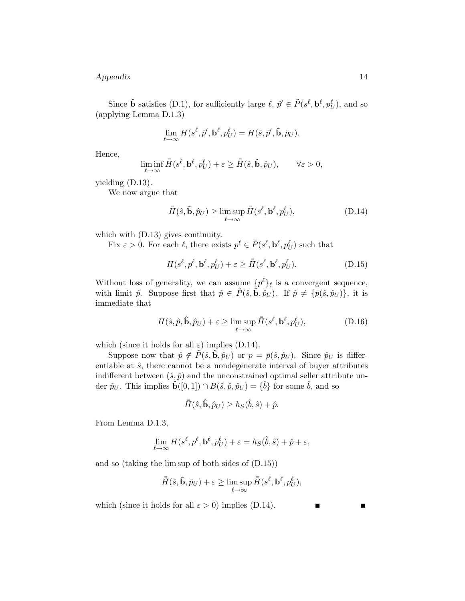Since  $\hat{\mathbf{b}}$  satisfies (D.1), for sufficiently large  $\ell, \, \hat{p}' \in \tilde{P}(s^{\ell}, \mathbf{b}^{\ell}, p_U^{\ell})$ , and so (applying Lemma D.1.3)

$$
\lim_{\ell \to \infty} H(s^{\ell}, \hat{p}', \mathbf{b}^{\ell}, p_U^{\ell}) = H(\hat{s}, \hat{p}', \hat{\mathbf{b}}, \hat{p}_U).
$$

Hence,

$$
\liminf_{\ell \to \infty} \bar{\bar{H}}(s^{\ell}, \mathbf{b}^{\ell}, p_U^{\ell}) + \varepsilon \ge \bar{\bar{H}}(\hat{s}, \hat{\mathbf{b}}, \hat{p}_U), \qquad \forall \varepsilon > 0,
$$

yielding (D.13).

We now argue that

$$
\bar{\bar{H}}(\hat{s}, \hat{\mathbf{b}}, \hat{p}_U) \ge \limsup_{\ell \to \infty} \bar{\bar{H}}(s^{\ell}, \mathbf{b}^{\ell}, p_U^{\ell}), \tag{D.14}
$$

which with  $(D.13)$  gives continuity.

Fix  $\varepsilon > 0$ . For each  $\ell$ , there exists  $p^{\ell} \in \tilde{P}(s^{\ell}, \mathbf{b}^{\ell}, p^{\ell}_{U})$  such that

$$
H(s^{\ell}, p^{\ell}, \mathbf{b}^{\ell}, p_U^{\ell}) + \varepsilon \ge \bar{\bar{H}}(s^{\ell}, \mathbf{b}^{\ell}, p_U^{\ell}). \tag{D.15}
$$

Without loss of generality, we can assume  $\{p^{\ell}\}_{\ell}$  is a convergent sequence, with limit  $\hat{p}$ . Suppose first that  $\hat{p} \in \tilde{P}(\hat{s}, \hat{\mathbf{b}}, \hat{p}_U)$ . If  $\hat{p} \neq {\bar{p}(\hat{s}, \hat{p}_U)}$ , it is immediate that

$$
H(\hat{s}, \hat{p}, \hat{\mathbf{b}}, \hat{p}_U) + \varepsilon \ge \limsup_{\ell \to \infty} \bar{H}(s^{\ell}, \mathbf{b}^{\ell}, p_U^{\ell}), \tag{D.16}
$$

which (since it holds for all  $\varepsilon$ ) implies (D.14).

Suppose now that  $\hat{p} \notin \tilde{P}(\hat{s}, \hat{\mathbf{b}}, \hat{p}_U)$  or  $p = \bar{p}(\hat{s}, \hat{p}_U)$ . Since  $\hat{p}_U$  is differentiable at  $\hat{s}$ , there cannot be a nondegenerate interval of buyer attributes indifferent between  $(\hat{s}, \hat{p})$  and the unconstrained optimal seller attribute under  $\hat{p}_U$ . This implies  $\hat{b}([0,1]) \cap B(\hat{s}, \hat{p}, \hat{p}_U) = \{\hat{b}\}\$  for some  $\hat{b}$ , and so

$$
\bar{\bar{H}}(\hat{s}, \mathbf{\hat{b}}, \hat{p}_U) \ge h_S(\hat{b}, \hat{s}) + \hat{p}.
$$

From Lemma D.1.3,

$$
\lim_{\ell \to \infty} H(s^{\ell}, p^{\ell}, \mathbf{b}^{\ell}, p^{\ell}_{U}) + \varepsilon = h_{S}(\hat{b}, \hat{s}) + \hat{p} + \varepsilon,
$$

and so (taking the lim sup of both sides of (D.15))

$$
\bar{\bar{H}}(\hat{s}, \hat{\mathbf{b}}, \hat{p}_U) + \varepsilon \geq \limsup_{\ell \to \infty} \bar{\bar{H}}(s^{\ell}, \mathbf{b}^{\ell}, p_U^{\ell}),
$$

which (since it holds for all  $\varepsilon > 0$ ) implies (D.14).

п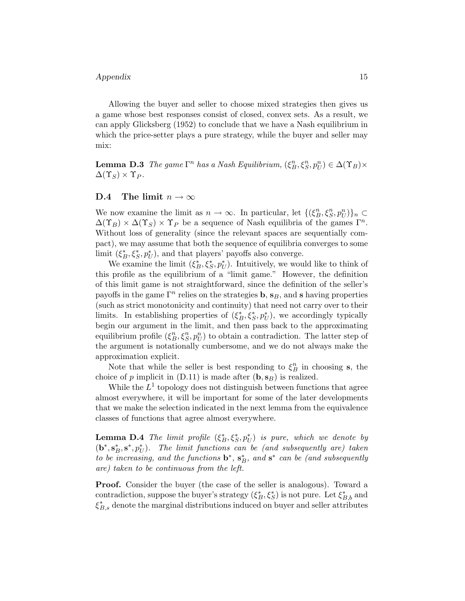Allowing the buyer and seller to choose mixed strategies then gives us a game whose best responses consist of closed, convex sets. As a result, we can apply Glicksberg (1952) to conclude that we have a Nash equilibrium in which the price-setter plays a pure strategy, while the buyer and seller may mix:

**Lemma D.3** The game  $\Gamma^n$  has a Nash Equilibrium,  $(\xi_B^n, \xi_S^n, p_U^n) \in \Delta(\Upsilon_B) \times$  $\Delta(\Upsilon_S) \times \Upsilon_P$ .

#### D.4 The limit  $n \to \infty$

We now examine the limit as  $n \to \infty$ . In particular, let  $\{(\xi_B^n, \xi_S^n, p_U^n)\}_n \subset$  $\Delta(\Upsilon_B) \times \Delta(\Upsilon_S) \times \Upsilon_P$  be a sequence of Nash equilibria of the games  $\Gamma^n$ . Without loss of generality (since the relevant spaces are sequentially compact), we may assume that both the sequence of equilibria converges to some limit  $(\xi_B^*, \xi_S^*, p_U^*)$ , and that players' payoffs also converge.

We examine the limit  $(\xi_B^*, \xi_S^*, p_U^*)$ . Intuitively, we would like to think of this profile as the equilibrium of a "limit game." However, the definition of this limit game is not straightforward, since the definition of the seller's payoffs in the game  $\Gamma^n$  relies on the strategies **b**,  $s_B$ , and **s** having properties (such as strict monotonicity and continuity) that need not carry over to their limits. In establishing properties of  $(\xi_B^*, \xi_S^*, p_U^*)$ , we accordingly typically begin our argument in the limit, and then pass back to the approximating equilibrium profile  $(\xi_B^n, \xi_S^n, p_U^n)$  to obtain a contradiction. The latter step of the argument is notationally cumbersome, and we do not always make the approximation explicit.

Note that while the seller is best responding to  $\xi_B^n$  in choosing s, the choice of p implicit in  $(D.11)$  is made after  $(b, s_B)$  is realized.

While the  $L^1$  topology does not distinguish between functions that agree almost everywhere, it will be important for some of the later developments that we make the selection indicated in the next lemma from the equivalence classes of functions that agree almost everywhere.

**Lemma D.4** The limit profile  $(\xi_B^*, \xi_S^*, p_U^*)$  is pure, which we denote by  $(\mathbf{b}^*, \mathbf{s}_B^*, \mathbf{s}^*, p_U^*)$ . The limit functions can be (and subsequently are) taken to be increasing, and the functions  $\mathbf{b}^*$ ,  $\mathbf{s}_B^*$ , and  $\mathbf{s}^*$  can be (and subsequently are) taken to be continuous from the left.

Proof. Consider the buyer (the case of the seller is analogous). Toward a contradiction, suppose the buyer's strategy  $(\xi_B^*, \xi_S^*)$  is not pure. Let  $\xi_{B,b}^*$  and  $\xi_{B,s}^*$  denote the marginal distributions induced on buyer and seller attributes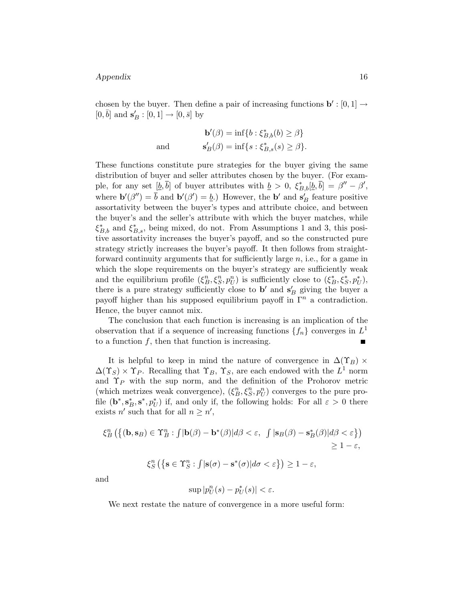chosen by the buyer. Then define a pair of increasing functions  $\mathbf{b}' : [0,1] \rightarrow$  $[0,\bar{b}]$  and  $\mathbf{s}_B': [0,1] \rightarrow [0,\bar{s}]$  by

$$
\mathbf{b}'(\beta) = \inf\{b : \xi_{B,b}^*(b) \ge \beta\}
$$
  
and  

$$
\mathbf{s}'_B(\beta) = \inf\{s : \xi_{B,s}^*(s) \ge \beta\}.
$$

These functions constitute pure strategies for the buyer giving the same distribution of buyer and seller attributes chosen by the buyer. (For example, for any set  $[\underline{b}, \overline{b}]$  of buyer attributes with  $\underline{b} > 0$ ,  $\xi_{B,b}^*[\underline{b}, \overline{b}] = \beta'' - \beta'$ , where  $\mathbf{b}'(\beta'') = \overline{b}$  and  $\mathbf{b}'(\beta') = \underline{b}$ .) However, the  $\mathbf{b}'$  and  $\mathbf{s}'_B$  feature positive assortativity between the buyer's types and attribute choice, and between the buyer's and the seller's attribute with which the buyer matches, while  $\xi_{B,b}^*$  and  $\xi_{B,s}^*$ , being mixed, do not. From Assumptions 1 and 3, this positive assortativity increases the buyer's payoff, and so the constructed pure strategy strictly increases the buyer's payoff. It then follows from straightforward continuity arguments that for sufficiently large n, i.e., for a game in which the slope requirements on the buyer's strategy are sufficiently weak and the equilibrium profile  $(\xi_B^n, \xi_S^n, p_U^n)$  is sufficiently close to  $(\xi_B^*, \xi_S^*, p_U^*)$ , there is a pure strategy sufficiently close to  $\mathbf{b}'$  and  $\mathbf{s}'_B$  giving the buyer a payoff higher than his supposed equilibrium payoff in  $\Gamma^n$  a contradiction. Hence, the buyer cannot mix.

The conclusion that each function is increasing is an implication of the observation that if a sequence of increasing functions  $\{f_n\}$  converges in  $L^1$ to a function  $f$ , then that function is increasing.

It is helpful to keep in mind the nature of convergence in  $\Delta(\Upsilon_B) \times$  $\Delta(\Upsilon_S) \times \Upsilon_P$ . Recalling that  $\Upsilon_B$ ,  $\Upsilon_S$ , are each endowed with the  $L^1$  norm and  $\Upsilon_P$  with the sup norm, and the definition of the Prohorov metric (which metrizes weak convergence),  $(\xi_B^n, \xi_S^n, p_U^n)$  converges to the pure profile  $(\mathbf{b}^*, \mathbf{s}_B^*, \mathbf{s}^*, p_U^*)$  if, and only if, the following holds: For all  $\varepsilon > 0$  there exists n' such that for all  $n \geq n'$ ,

$$
\xi_{B}^{n} \left( \left\{ (\mathbf{b}, \mathbf{s}_{B}) \in \Upsilon_{B}^{n} : \int |\mathbf{b}(\beta) - \mathbf{b}^{*}(\beta)| d\beta < \varepsilon, \int |\mathbf{s}_{B}(\beta) - \mathbf{s}_{B}^{*}(\beta)| d\beta < \varepsilon \right\} \right) \geq 1 - \varepsilon,
$$

$$
\xi_S^n \left( \left\{ \mathbf{s} \in \Upsilon_S^n : \int \left| \mathbf{s}(\sigma) - \mathbf{s}^*(\sigma) \right| d\sigma < \varepsilon \right\} \right) \ge 1 - \varepsilon,
$$

and

$$
\sup |p^n_U(s) - p^*_U(s)| < \varepsilon.
$$

We next restate the nature of convergence in a more useful form: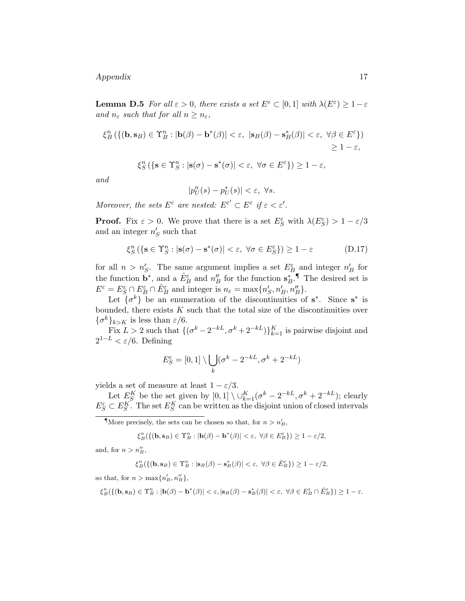**Lemma D.5** For all  $\varepsilon > 0$ , there exists a set  $E^{\varepsilon} \subset [0,1]$  with  $\lambda(E^{\varepsilon}) \geq 1 - \varepsilon$ and  $n_{\varepsilon}$  such that for all  $n \geq n_{\varepsilon}$ ,

$$
\xi_{B}^{n}(\{(\mathbf{b}, \mathbf{s}_{B}) \in \Upsilon_{B}^{n} : |\mathbf{b}(\beta) - \mathbf{b}^{*}(\beta)| < \varepsilon, \ |\mathbf{s}_{B}(\beta) - \mathbf{s}_{B}^{*}(\beta)| < \varepsilon, \ \forall \beta \in E^{\varepsilon}\}) \geq 1 - \varepsilon,
$$

$$
\xi_S^n\left(\{\mathbf{s}\in\Upsilon_S^n:|\mathbf{s}(\sigma)-\mathbf{s}^*(\sigma)|<\varepsilon,\;\forall\sigma\in E^\varepsilon\}\right)\geq 1-\varepsilon,
$$

and

$$
|p^n_U(s) - p^*_U(s)| < \varepsilon, \ \forall s.
$$

Moreover, the sets  $E^{\varepsilon}$  are nested:  $E^{\varepsilon'} \subset E^{\varepsilon}$  if  $\varepsilon < \varepsilon'.$ 

**Proof.** Fix  $\varepsilon > 0$ . We prove that there is a set  $E_S^{\varepsilon}$  with  $\lambda(E_S^{\varepsilon}) > 1 - \varepsilon/3$ and an integer  $n_S'$  such that

$$
\xi_S^n \left( \{ \mathbf{s} \in \Upsilon_S^n : |\mathbf{s}(\sigma) - \mathbf{s}^*(\sigma)| < \varepsilon, \ \forall \sigma \in E_S^\varepsilon \} \right) \ge 1 - \varepsilon \tag{D.17}
$$

for all  $n > n_S'$ . The same argument implies a set  $E_B^{\varepsilon}$  and integer  $n_B'$  for the function  $\tilde{\mathbf{b}}^*$ , and a  $\hat{E}_B^{\varepsilon}$  and  $n_B''$  for the function  $\mathbf{s}_B^*$ . The desired set is  $E^{\varepsilon} = E^{\varepsilon}_S \cap E^{\varepsilon}_B \cap \hat{E}^{\varepsilon}_B$  and integer is  $n_{\varepsilon} = \max\{n_S', n_B', n_B''\}.$ 

Let  $\{\sigma^k\}$  be an enumeration of the discontinuities of  $s^*$ . Since  $s^*$  is bounded, there exists  $K$  such that the total size of the discontinuities over  $\{\sigma^k\}_{k>K}$  is less than  $\varepsilon/6$ .

Fix  $L > 2$  such that  $\{(\sigma^k - 2^{-kL}, \sigma^k + 2^{-kL})\}_{k=1}^K$  is pairwise disjoint and  $2^{1-L} < \varepsilon/6$ . Defining

$$
E_S^{\varepsilon} = [0,1] \setminus \bigcup_k (\sigma^k - 2^{-kL}, \sigma^k + 2^{-kL})
$$

yields a set of measure at least  $1 - \varepsilon/3$ .

Let  $E_S^K$  be the set given by  $[0,1] \setminus \cup_{k=1}^K (\sigma^k - 2^{-kL}, \sigma^k + 2^{-kL})$ ; clearly  $E_S^{\varepsilon} \subset E_S^K$ . The set  $E_S^K$  can be written as the disjoint union of closed intervals

"More precisely, the sets can be chosen so that, for  $n > n'_B$ ,

$$
\xi_{B}^{n}(\{(\mathbf{b},\mathbf{s}_{B})\in\Upsilon_{B}^{n}:|\mathbf{b}(\beta)-\mathbf{b}^{*}(\beta)|<\varepsilon,\;\forall\beta\in E_{B}^{\varepsilon}\})\geq1-\varepsilon/2,
$$

and, for  $n > n_B''$ ,

$$
\xi_B^n(\{(\mathbf{b}, \mathbf{s}_B) \in \Upsilon_B^n : |\mathbf{s}_B(\beta) - \mathbf{s}_B^*(\beta)| < \varepsilon, \ \forall \beta \in \hat{E}_B^{\varepsilon}\}) \ge 1 - \varepsilon/2,
$$

so that, for  $n > \max\{n'_B, n''_B\},\$ 

$$
\xi_{B}^{n}(\{(\mathbf{b},\mathbf{s}_{B})\in\Upsilon_{B}^{n}:|\mathbf{b}(\beta)-\mathbf{b}^{*}(\beta)|<\varepsilon,|\mathbf{s}_{B}(\beta)-\mathbf{s}_{B}^{*}(\beta)|<\varepsilon,\;\forall\beta\in E_{B}^{\varepsilon}\cap\hat{E}_{B}^{\varepsilon}\})\geq1-\varepsilon.
$$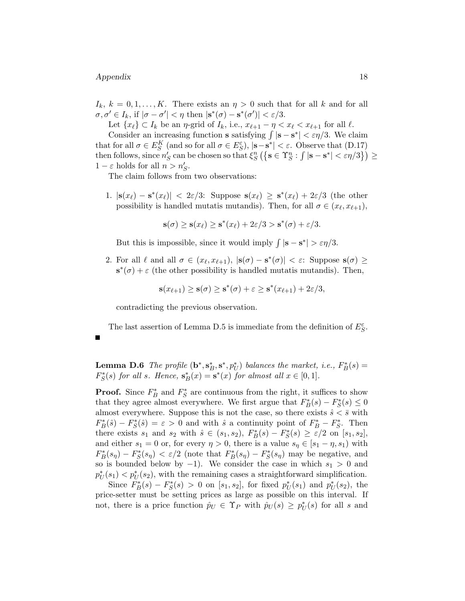$I_k, k = 0, 1, \ldots, K$ . There exists an  $\eta > 0$  such that for all k and for all  $\sigma, \sigma' \in I_k$ , if  $|\sigma - \sigma'| < \eta$  then  $|\mathbf{s}^*(\sigma) - \mathbf{s}^*(\sigma')| < \varepsilon/3$ .

Let  $\{x_{\ell}\}\subset I_k$  be an  $\eta$ -grid of  $I_k$ , i.e.,  $x_{\ell+1} - \eta < x_{\ell} < x_{\ell+1}$  for all  $\ell$ .

Let  $\{x_\ell\} \subset I_k$  be an  $\eta$ -grid of  $I_k$ , i.e.,  $x_{\ell+1} - \eta < x_{\ell} < x_{\ell+1}$  for all  $\ell$ .<br>Consider an increasing function **s** satisfying  $\int |\mathbf{s} - \mathbf{s}^*| < \varepsilon \eta/3$ . We claim that for all  $\sigma \in E_S^K$  (and so for all  $\sigma \in E_S^{\varepsilon}$ ),  $|\mathbf{s}-\mathbf{s}^*| < \varepsilon$ . Observe that  $(D.17)$ then follows, since  $n'_S$  can be chosen so that  $\xi_S^n$  ( $\{s \in \Upsilon_S^n : \int |s - s^*| < \varepsilon \eta/3\}$ )  $\geq$  $1 - \varepsilon$  holds for all  $n > n_S'$ .

The claim follows from two observations:

1.  $|\mathbf{s}(x_\ell) - \mathbf{s}^*(x_\ell)| < 2\varepsilon/3$ : Suppose  $\mathbf{s}(x_\ell) \geq \mathbf{s}^*(x_\ell) + 2\varepsilon/3$  (the other possibility is handled mutatis mutandis). Then, for all  $\sigma \in (x_{\ell}, x_{\ell+1}),$ 

$$
\mathbf{s}(\sigma) \ge \mathbf{s}(x_\ell) \ge \mathbf{s}^*(x_\ell) + 2\varepsilon/3 > \mathbf{s}^*(\sigma) + \varepsilon/3.
$$

But this is impossible, since it would imply  $\int |s - s^*| > \epsilon \eta/3$ .

2. For all  $\ell$  and all  $\sigma \in (x_{\ell}, x_{\ell+1}), |\mathbf{s}(\sigma) - \mathbf{s}^*(\sigma)| < \varepsilon$ : Suppose  $\mathbf{s}(\sigma) \geq$  $\mathbf{s}^*(\sigma) + \varepsilon$  (the other possibility is handled mutatis mutandis). Then,

$$
\mathbf{s}(x_{\ell+1}) \geq \mathbf{s}(\sigma) \geq \mathbf{s}^*(\sigma) + \varepsilon \geq \mathbf{s}^*(x_{\ell+1}) + 2\varepsilon/3,
$$

contradicting the previous observation.

The last assertion of Lemma D.5 is immediate from the definition of  $E_S^{\varepsilon}$ .

**Lemma D.6** The profile  $(\mathbf{b}^*, \mathbf{s}_B^*, \mathbf{s}^*, p_U^*)$  balances the market, i.e.,  $F_B^*(s) =$  $F_S^*(s)$  for all s. Hence,  $\mathbf{s}_B^*(x) = \mathbf{s}^*(x)$  for almost all  $x \in [0,1]$ .

**Proof.** Since  $F_B^*$  and  $F_S^*$  are continuous from the right, it suffices to show that they agree almost everywhere. We first argue that  $F_B^*(s) - F_S^*(s) \leq 0$ almost everywhere. Suppose this is not the case, so there exists  $\hat{s} < \bar{s}$  with  $F_B^*(\hat{s}) - F_S^*(\hat{s}) = \varepsilon > 0$  and with  $\hat{s}$  a continuity point of  $F_B^* - F_S^*$ . Then there exists  $s_1$  and  $s_2$  with  $\hat{s} \in (s_1, s_2)$ ,  $F_B^*(s) - F_S^*(s) \geq \varepsilon/2$  on  $[s_1, s_2]$ , and either  $s_1 = 0$  or, for every  $\eta > 0$ , there is a value  $s_\eta \in [s_1 - \eta, s_1]$  with  $F_B^*(s_\eta) - F_S^*(s_\eta) < \varepsilon/2$  (note that  $F_B^*(s_\eta) - F_S^*(s_\eta)$  may be negative, and so is bounded below by  $-1$ ). We consider the case in which  $s_1 > 0$  and  $p_U^*(s_1) < p_U^*(s_2)$ , with the remaining cases a straightforward simplification.

Since  $F_B^*(s) - F_S^*(s) > 0$  on  $[s_1, s_2]$ , for fixed  $p_U^*(s_1)$  and  $p_U^*(s_2)$ , the price-setter must be setting prices as large as possible on this interval. If not, there is a price function  $\hat{p}_U \in \Upsilon_P$  with  $\hat{p}_U(s) \geq p_U^*(s)$  for all s and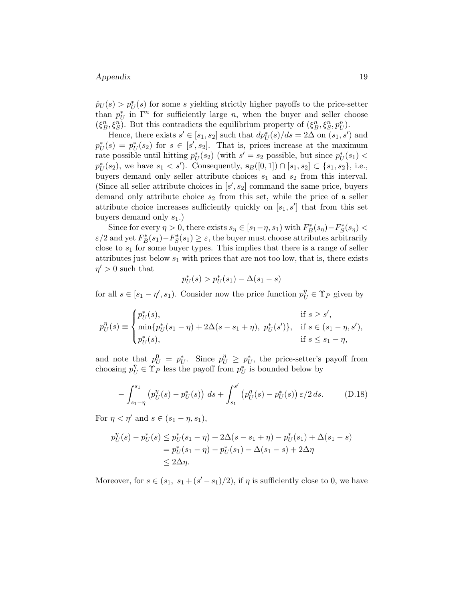$\hat{p}_U(s) > p^*_U(s)$  for some s yielding strictly higher payoffs to the price-setter than  $p^*$  in  $\Gamma^n$  for sufficiently large *n*, when the buyer and seller choose  $(\xi_B^n, \xi_S^n)$ . But this contradicts the equilibrium property of  $(\xi_B^n, \xi_S^n, p_U^n)$ .

Hence, there exists  $s' \in [s_1, s_2]$  such that  $dp_U^*(s)/ds = 2\Delta$  on  $(s_1, s')$  and  $p_U^*(s) = p_U^*(s_2)$  for  $s \in [s', s_2]$ . That is, prices increase at the maximum rate possible until hitting  $p^*_{U}(s_2)$  (with  $s' = s_2$  possible, but since  $p^*_{U}(s_1)$  <  $p_U^*(s_2)$ , we have  $s_1 < s'$ ). Consequently,  $\mathbf{s}_B([0,1]) \cap [s_1,s_2] \subset \{s_1,s_2\}$ , i.e., buyers demand only seller attribute choices  $s_1$  and  $s_2$  from this interval. (Since all seller attribute choices in  $[s', s_2]$  command the same price, buyers demand only attribute choice  $s_2$  from this set, while the price of a seller attribute choice increases sufficiently quickly on  $[s_1, s']$  that from this set buyers demand only  $s_1$ .)

Since for every  $\eta > 0$ , there exists  $s_{\eta} \in [s_1 - \eta, s_1)$  with  $F_B^*(s_{\eta}) - F_S^*(s_{\eta}) <$  $\varepsilon/2$  and yet  $F_B^*(s_1) - F_S^*(s_1) \geq \varepsilon$ , the buyer must choose attributes arbitrarily close to  $s_1$  for some buyer types. This implies that there is a range of seller attributes just below  $s_1$  with prices that are not too low, that is, there exists  $\eta' > 0$  such that

$$
p_U^*(s) > p_U^*(s_1) - \Delta(s_1 - s)
$$

for all  $s \in [s_1 - \eta', s_1)$ . Consider now the price function  $p_U^{\eta} \in \Upsilon_P$  given by

$$
p_U^\eta(s) \equiv \begin{cases} p_U^*(s), & \text{if } s \ge s', \\ \min\{p_U^*(s_1 - \eta) + 2\Delta(s - s_1 + \eta), \ p_U^*(s')\}, & \text{if } s \in (s_1 - \eta, s'), \\ p_U^*(s), & \text{if } s \le s_1 - \eta, \end{cases}
$$

and note that  $p_U^0 = p_U^*$ . Since  $p_U^{\eta} \geq p_U^*$ , the price-setter's payoff from choosing  $p_U^{\eta} \in \Upsilon_P$  less the payoff from  $p_U^*$  is bounded below by

$$
-\int_{s_1-\eta}^{s_1} (p_U^{\eta}(s) - p_U^*(s)) \ ds + \int_{s_1}^{s'} (p_U^{\eta}(s) - p_U^*(s)) \ \varepsilon/2 \ ds. \tag{D.18}
$$

For  $\eta < \eta'$  and  $s \in (s_1 - \eta, s_1)$ ,

$$
p_U^{\eta}(s) - p_U^*(s) \le p_U^*(s_1 - \eta) + 2\Delta(s - s_1 + \eta) - p_U^*(s_1) + \Delta(s_1 - s)
$$
  
=  $p_U^*(s_1 - \eta) - p_U^*(s_1) - \Delta(s_1 - s) + 2\Delta\eta$   
 $\le 2\Delta\eta$ .

Moreover, for  $s \in (s_1, s_1 + (s'-s_1)/2)$ , if  $\eta$  is sufficiently close to 0, we have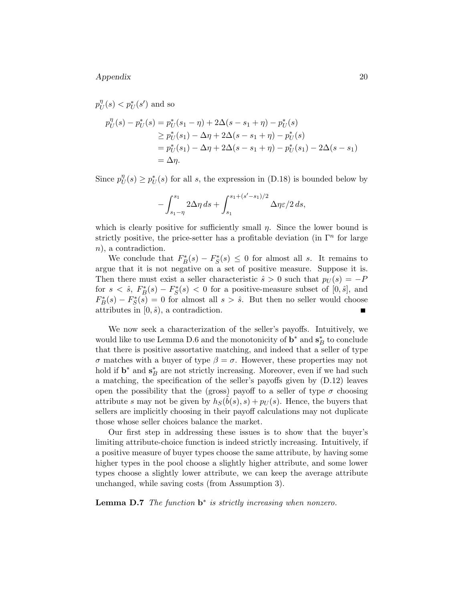$p_I^{\eta}$  $U^{\eta}(s) < p_U^*(s')$  and so

$$
p_U^{\eta}(s) - p_U^*(s) = p_U^*(s_1 - \eta) + 2\Delta(s - s_1 + \eta) - p_U^*(s)
$$
  
\n
$$
\ge p_U^*(s_1) - \Delta\eta + 2\Delta(s - s_1 + \eta) - p_U^*(s)
$$
  
\n
$$
= p_U^*(s_1) - \Delta\eta + 2\Delta(s - s_1 + \eta) - p_U^*(s_1) - 2\Delta(s - s_1)
$$
  
\n
$$
= \Delta\eta.
$$

Since  $p_l^{\eta}$  $U_U^{\eta}(s) \geq p_U^*(s)$  for all s, the expression in (D.18) is bounded below by

$$
-\int_{s_1-\eta}^{s_1} 2\Delta \eta \, ds + \int_{s_1}^{s_1+(s'-s_1)/2} \Delta \eta \varepsilon/2 \, ds,
$$

which is clearly positive for sufficiently small  $\eta$ . Since the lower bound is strictly positive, the price-setter has a profitable deviation (in  $\Gamma^n$  for large n), a contradiction.

We conclude that  $F^*_B(s) - F^*_S(s) \leq 0$  for almost all s. It remains to argue that it is not negative on a set of positive measure. Suppose it is. Then there must exist a seller characteristic  $\hat{s} > 0$  such that  $p_U(s) = -P$ for  $s < \hat{s}$ ,  $F_B^*(s) - F_S^*(s) < 0$  for a positive-measure subset of  $[0,\hat{s}]$ , and  $F_B^*(s) - F_S^*(\overline{s}) = 0$  for almost all  $s > \hat{s}$ . But then no seller would choose attributes in  $[0, \hat{s})$ , a contradiction.

We now seek a characterization of the seller's payoffs. Intuitively, we would like to use Lemma D.6 and the monotonicity of  $\mathbf{b}^*$  and  $\mathbf{s}_B^*$  to conclude that there is positive assortative matching, and indeed that a seller of type σ matches with a buyer of type β = σ. However, these properties may not hold if  $\mathbf{b}^*$  and  $\mathbf{s}_B^*$  are not strictly increasing. Moreover, even if we had such a matching, the specification of the seller's payoffs given by (D.12) leaves open the possibility that the (gross) payoff to a seller of type  $\sigma$  choosing attribute s may not be given by  $h_S(\tilde{b}(s), s) + p_U(s)$ . Hence, the buyers that sellers are implicitly choosing in their payoff calculations may not duplicate those whose seller choices balance the market.

Our first step in addressing these issues is to show that the buyer's limiting attribute-choice function is indeed strictly increasing. Intuitively, if a positive measure of buyer types choose the same attribute, by having some higher types in the pool choose a slightly higher attribute, and some lower types choose a slightly lower attribute, we can keep the average attribute unchanged, while saving costs (from Assumption 3).

**Lemma D.7** The function  $\mathbf{b}^*$  is strictly increasing when nonzero.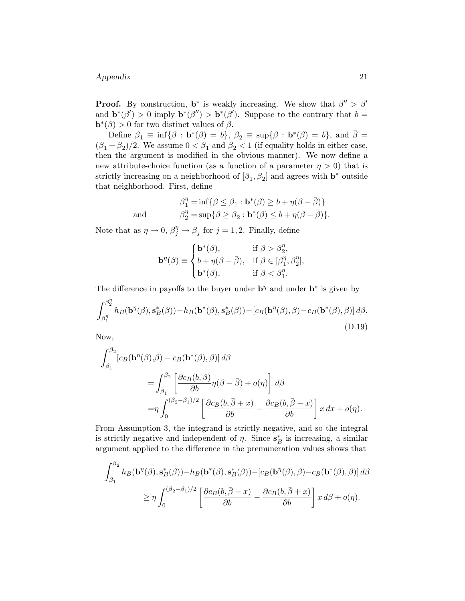**Proof.** By construction, **b**<sup>\*</sup> is weakly increasing. We show that  $\beta'' > \beta'$ and  $\mathbf{b}^*(\beta') > 0$  imply  $\mathbf{b}^*(\beta'') > \mathbf{b}^*(\beta')$ . Suppose to the contrary that  $b =$  $\mathbf{b}^*(\beta) > 0$  for two distinct values of  $\beta$ .

Define  $\beta_1 \equiv \inf \{ \beta : \mathbf{b}^*(\beta) = b \}, \ \beta_2 \equiv \sup \{ \beta : \mathbf{b}^*(\beta) = b \}, \text{ and } \bar{\beta} = \bar{\beta}$  $(\beta_1 + \beta_2)/2$ . We assume  $0 < \beta_1$  and  $\beta_2 < 1$  (if equality holds in either case, then the argument is modified in the obvious manner). We now define a new attribute-choice function (as a function of a parameter  $\eta > 0$ ) that is strictly increasing on a neighborhood of  $[\beta_1, \beta_2]$  and agrees with  $\mathbf{b}^*$  outside that neighborhood. First, define

$$
\begin{aligned} \beta_1^\eta = & \inf \{\beta \leq \beta_1: \mathbf{b}^*(\beta) \geq b + \eta(\beta - \bar{\beta})\} \\ \text{and} \qquad \qquad \beta_2^\eta = & \sup \{\beta \geq \beta_2: \mathbf{b}^*(\beta) \leq b + \eta(\beta - \bar{\beta})\}. \end{aligned}
$$

Note that as  $\eta \to 0$ ,  $\beta_j^{\eta} \to \beta_j$  for  $j = 1, 2$ . Finally, define

$$
\mathbf{b}^{\eta}(\beta) \equiv \begin{cases} \mathbf{b}^*(\beta), & \text{if } \beta > \beta_2^n, \\ b + \eta(\beta - \bar{\beta}), & \text{if } \beta \in [\beta_1^n, \beta_2^n], \\ \mathbf{b}^*(\beta), & \text{if } \beta < \beta_1^n. \end{cases}
$$

The difference in payoffs to the buyer under  $\mathbf{b}^{\eta}$  and under  $\mathbf{b}^*$  is given by

$$
\int_{\beta_1^n}^{\beta_2^n} h_B(\mathbf{b}^\eta(\beta), \mathbf{s}_B^*(\beta)) - h_B(\mathbf{b}^*(\beta), \mathbf{s}_B^*(\beta)) - [c_B(\mathbf{b}^\eta(\beta), \beta) - c_B(\mathbf{b}^*(\beta), \beta)] d\beta.
$$
\n(D.19)

Now,

$$
\int_{\beta_1}^{\beta_2} [c_B(\mathbf{b}^{\eta}(\beta), \beta) - c_B(\mathbf{b}^*(\beta), \beta)] d\beta
$$
  
\n
$$
= \int_{\beta_1}^{\beta_2} \left[ \frac{\partial c_B(b, \beta)}{\partial b} \eta(\beta - \bar{\beta}) + o(\eta) \right] d\beta
$$
  
\n
$$
= \eta \int_0^{\beta_2 - \beta_1)/2} \left[ \frac{\partial c_B(b, \bar{\beta} + x)}{\partial b} - \frac{\partial c_B(b, \bar{\beta} - x)}{\partial b} \right] x dx + o(\eta).
$$

From Assumption 3, the integrand is strictly negative, and so the integral is strictly negative and independent of  $\eta$ . Since  $s_B^*$  is increasing, a similar argument applied to the difference in the premuneration values shows that

$$
\begin{aligned} \int_{\beta_1}^{\beta_2} h_B(\mathbf{b}^\eta(\beta),\mathbf{s}_B^*(\beta)) - h_B(\mathbf{b}^*(\beta),\mathbf{s}_B^*(\beta)) - \left[c_B(\mathbf{b}^\eta(\beta),\beta) - c_B(\mathbf{b}^*(\beta),\beta)\right] d\beta \\ \geq \eta \int_0^{(\beta_2 - \beta_1)/2} \left[ \frac{\partial c_B(b,\bar{\beta} - x)}{\partial b} - \frac{\partial c_B(b,\bar{\beta} + x)}{\partial b} \right] x \, d\beta + o(\eta). \end{aligned}
$$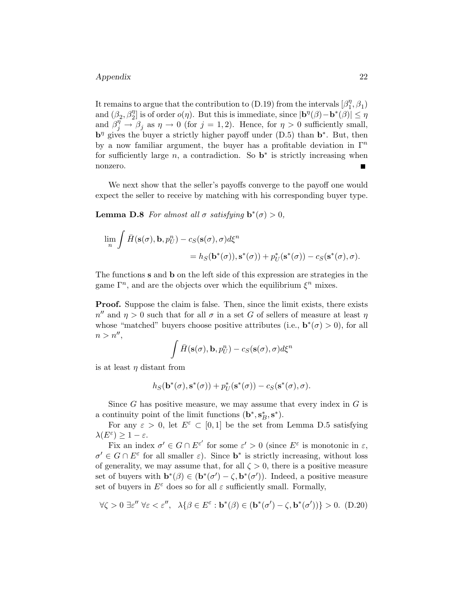It remains to argue that the contribution to (D.19) from the intervals  $\beta_1^{\eta}$  $_{1}^{\eta},\beta_{1})$ and  $(\beta_2, \beta_2^{\eta}]$  is of order  $o(\eta)$ . But this is immediate, since  $|\mathbf{b}^{\eta}(\beta) - \mathbf{b}^*(\beta)| \leq \eta$ and  $\beta_j^{\eta} \rightarrow \beta_j$  as  $\eta \rightarrow 0$  (for  $j = 1, 2$ ). Hence, for  $\eta > 0$  sufficiently small,  **gives the buyer a strictly higher payoff under (D.5) than**  $**b**<sup>*</sup>$ **. But, then** by a now familiar argument, the buyer has a profitable deviation in  $\Gamma^n$ for sufficiently large  $n$ , a contradiction. So  $\mathbf{b}^*$  is strictly increasing when nonzero.

We next show that the seller's payoffs converge to the payoff one would expect the seller to receive by matching with his corresponding buyer type.

**Lemma D.8** For almost all  $\sigma$  satisfying  $\mathbf{b}^*(\sigma) > 0$ ,

$$
\lim_{n} \int \overline{H}(\mathbf{s}(\sigma), \mathbf{b}, p_{U}^{n}) - c_{S}(\mathbf{s}(\sigma), \sigma) d\xi^{n}
$$
  
=  $h_{S}(\mathbf{b}^{*}(\sigma)), \mathbf{s}^{*}(\sigma)) + p_{U}^{*}(\mathbf{s}^{*}(\sigma)) - c_{S}(\mathbf{s}^{*}(\sigma), \sigma).$ 

The functions s and b on the left side of this expression are strategies in the game  $\Gamma^n$ , and are the objects over which the equilibrium  $\xi^n$  mixes.

Proof. Suppose the claim is false. Then, since the limit exists, there exists  $n''$  and  $\eta > 0$  such that for all  $\sigma$  in a set G of sellers of measure at least  $\eta$ whose "matched" buyers choose positive attributes (i.e.,  $\mathbf{b}^*(\sigma) > 0$ ), for all  $n > n''$ ,  $,$ 

$$
\int \bar{H}(\mathbf{s}(\sigma), \mathbf{b}, p_U^n) - c_S(\mathbf{s}(\sigma), \sigma) d\xi^n
$$

is at least  $\eta$  distant from

$$
h_S(\mathbf{b}^*(\sigma), \mathbf{s}^*(\sigma)) + p_U^*(\mathbf{s}^*(\sigma)) - c_S(\mathbf{s}^*(\sigma), \sigma).
$$

Since G has positive measure, we may assume that every index in  $G$  is a continuity point of the limit functions  $(\mathbf{b}^*, \mathbf{s}_B^*, \mathbf{s}^*).$ 

For any  $\varepsilon > 0$ , let  $E^{\varepsilon} \subset [0,1]$  be the set from Lemma D.5 satisfying  $\lambda(E^{\varepsilon}) \geq 1 - \varepsilon.$ 

Fix an index  $\sigma' \in G \cap E^{\varepsilon'}$  for some  $\varepsilon' > 0$  (since  $E^{\varepsilon}$  is monotonic in  $\varepsilon$ ,  $\sigma' \in G \cap E^{\varepsilon}$  for all smaller  $\varepsilon$ ). Since  $\mathbf{b}^*$  is strictly increasing, without loss of generality, we may assume that, for all  $\zeta > 0$ , there is a positive measure set of buyers with  $\mathbf{b}^*(\beta) \in (\mathbf{b}^*(\sigma') - \zeta, \mathbf{b}^*(\sigma'))$ . Indeed, a positive measure set of buyers in  $E^{\varepsilon}$  does so for all  $\varepsilon$  sufficiently small. Formally,

$$
\forall \zeta > 0 \ \exists \varepsilon'' \ \forall \varepsilon < \varepsilon'', \ \lambda \{\beta \in E^{\varepsilon} : \mathbf{b}^*(\beta) \in (\mathbf{b}^*(\sigma') - \zeta, \mathbf{b}^*(\sigma'))\} > 0. \tag{D.20}
$$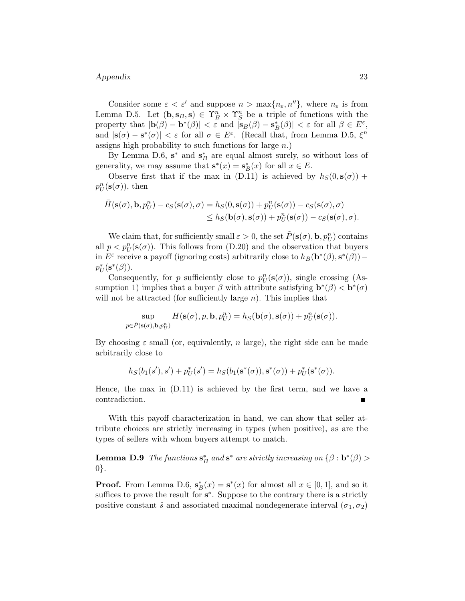Consider some  $\varepsilon < \varepsilon'$  and suppose  $n > \max\{n_{\varepsilon}, n''\}$ , where  $n_{\varepsilon}$  is from Lemma D.5. Let  $(\mathbf{b}, \mathbf{s}_B, \mathbf{s}) \in \Upsilon_B^n \times \Upsilon_B^n$  be a triple of functions with the property that  $|\mathbf{b}(\beta) - \mathbf{b}^*(\beta)| < \varepsilon$  and  $|\mathbf{s}_B(\beta) - \mathbf{s}_B^*(\beta)| < \varepsilon$  for all  $\beta \in E^{\varepsilon}$ , and  $|\mathbf{s}(\sigma) - \mathbf{s}^*(\sigma)| < \varepsilon$  for all  $\sigma \in E^{\varepsilon}$ . (Recall that, from Lemma D.5,  $\xi^n$ assigns high probability to such functions for large  $n$ .)

By Lemma D.6,  $s^*$  and  $s^*$  are equal almost surely, so without loss of generality, we may assume that  $\mathbf{s}^*(x) = \mathbf{s}_B^*(x)$  for all  $x \in E$ .

Observe first that if the max in (D.11) is achieved by  $h_S(0, s(\sigma))$  +  $p_U^n(\mathbf{s}(\sigma))$ , then

$$
\overline{H}(\mathbf{s}(\sigma), \mathbf{b}, p_U^n) - c_S(\mathbf{s}(\sigma), \sigma) = h_S(0, \mathbf{s}(\sigma)) + p_U^n(\mathbf{s}(\sigma)) - c_S(\mathbf{s}(\sigma), \sigma) \leq h_S(\mathbf{b}(\sigma), \mathbf{s}(\sigma)) + p_U^n(\mathbf{s}(\sigma)) - c_S(\mathbf{s}(\sigma), \sigma).
$$

We claim that, for sufficiently small  $\varepsilon > 0$ , the set  $\tilde{P}(\mathbf{s}(\sigma), \mathbf{b}, p^n_U)$  contains all  $p < p_U^n(\mathbf{s}(\sigma))$ . This follows from (D.20) and the observation that buyers in  $E^{\varepsilon}$  receive a payoff (ignoring costs) arbitrarily close to  $h_B(\mathbf{b}^*(\beta), \mathbf{s}^*(\beta))$  –  $p_U^*(\mathbf{s}^*(\beta)).$ 

Consequently, for p sufficiently close to  $p_U^n(\mathbf{s}(\sigma))$ , single crossing (Assumption 1) implies that a buyer  $\beta$  with attribute satisfying  $\mathbf{b}^*(\beta) < \mathbf{b}^*(\sigma)$ will not be attracted (for sufficiently large  $n$ ). This implies that

$$
\sup_{p \in \tilde{P}(\mathbf{s}(\sigma), \mathbf{b}, p^n_U)} H(\mathbf{s}(\sigma), p, \mathbf{b}, p^n_U) = h_S(\mathbf{b}(\sigma), \mathbf{s}(\sigma)) + p^n_U(\mathbf{s}(\sigma)).
$$

By choosing  $\varepsilon$  small (or, equivalently, n large), the right side can be made arbitrarily close to

$$
h_S(b_1(s'), s') + p^*_{U}(s') = h_S(b_1(s^*(\sigma)), s^*(\sigma)) + p^*_{U}(s^*(\sigma)).
$$

Hence, the max in (D.11) is achieved by the first term, and we have a contradiction. Б

With this payoff characterization in hand, we can show that seller attribute choices are strictly increasing in types (when positive), as are the types of sellers with whom buyers attempt to match.

**Lemma D.9** The functions  $\mathbf{s}_B^*$  and  $\mathbf{s}^*$  are strictly increasing on  $\{\beta : \mathbf{b}^*(\beta) > \alpha\}$ 0}.

**Proof.** From Lemma D.6,  $\mathbf{s}_B^*(x) = \mathbf{s}^*(x)$  for almost all  $x \in [0,1]$ , and so it suffices to prove the result for  $s^*$ . Suppose to the contrary there is a strictly positive constant  $\hat{s}$  and associated maximal nondegenerate interval  $(\sigma_1, \sigma_2)$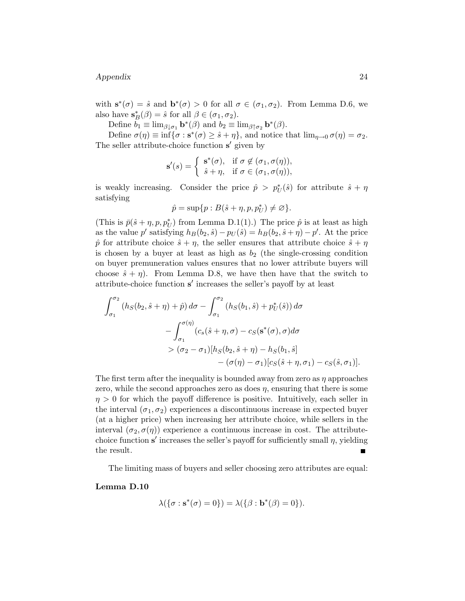with  $\mathbf{s}^*(\sigma) = \hat{s}$  and  $\mathbf{b}^*(\sigma) > 0$  for all  $\sigma \in (\sigma_1, \sigma_2)$ . From Lemma D.6, we also have  $\mathbf{s}_B^*(\beta) = \hat{s}$  for all  $\beta \in (\sigma_1, \sigma_2)$ .

Define  $\bar{b}_1 \equiv \lim_{\beta \downarrow \sigma_1} \mathbf{b}^*(\beta)$  and  $b_2 \equiv \lim_{\beta \uparrow \sigma_2} \mathbf{b}^*(\beta)$ .

Define  $\sigma(\eta) \equiv \inf \{ \sigma : s^*(\sigma) \geq \hat{s} + \eta \},\$ and notice that  $\lim_{\eta \to 0} \sigma(\eta) = \sigma_2$ . The seller attribute-choice function  $s'$  given by

$$
\mathbf{s}'(s) = \begin{cases} \mathbf{s}^*(\sigma), & \text{if } \sigma \notin (\sigma_1, \sigma(\eta)), \\ \hat{s} + \eta, & \text{if } \sigma \in (\sigma_1, \sigma(\eta)), \end{cases}
$$

is weakly increasing. Consider the price  $\hat{p} > p^*_{U}(\hat{s})$  for attribute  $\hat{s} + \eta$ satisfying

$$
\hat{p} = \sup\{p : B(\hat{s} + \eta, p, p^*_{U}) \neq \varnothing\}.
$$

(This is  $\bar{p}(\hat{s} + \eta, p, p^*_{U})$  from Lemma D.1(1).) The price  $\hat{p}$  is at least as high as the value p' satisfying  $h_B(b_2, \hat{s}) - p_U(\hat{s}) = h_B(b_2, \hat{s} + \eta) - p'$ . At the price  $\hat{p}$  for attribute choice  $\hat{s} + \eta$ , the seller ensures that attribute choice  $\hat{s} + \eta$ is chosen by a buyer at least as high as  $b_2$  (the single-crossing condition on buyer premuneration values ensures that no lower attribute buyers will choose  $\hat{s} + \eta$ . From Lemma D.8, we have then have that the switch to attribute-choice function s' increases the seller's payoff by at least

$$
\int_{\sigma_1}^{\sigma_2} (h_S(b_2, \hat{s} + \eta) + \hat{p}) d\sigma - \int_{\sigma_1}^{\sigma_2} (h_S(b_1, \hat{s}) + p_U^*(\hat{s})) d\sigma \n- \int_{\sigma_1}^{\sigma(\eta)} (c_s(\hat{s} + \eta, \sigma) - c_S(\mathbf{s}^*(\sigma), \sigma) d\sigma \n> (\sigma_2 - \sigma_1)[h_S(b_2, \hat{s} + \eta) - h_S(b_1, \hat{s}] \n- (\sigma(\eta) - \sigma_1)[c_S(\hat{s} + \eta, \sigma_1) - c_S(\hat{s}, \sigma_1)].
$$

The first term after the inequality is bounded away from zero as  $\eta$  approaches zero, while the second approaches zero as does  $\eta$ , ensuring that there is some  $\eta > 0$  for which the payoff difference is positive. Intuitively, each seller in the interval  $(\sigma_1, \sigma_2)$  experiences a discontinuous increase in expected buyer (at a higher price) when increasing her attribute choice, while sellers in the interval  $(\sigma_2, \sigma(\eta))$  experience a continuous increase in cost. The attributechoice function  $s'$  increases the seller's payoff for sufficiently small  $\eta$ , yielding the result. Е

The limiting mass of buyers and seller choosing zero attributes are equal:

#### Lemma D.10

$$
\lambda(\{\sigma : \mathbf{s}^*(\sigma) = 0\}) = \lambda(\{\beta : \mathbf{b}^*(\beta) = 0\}).
$$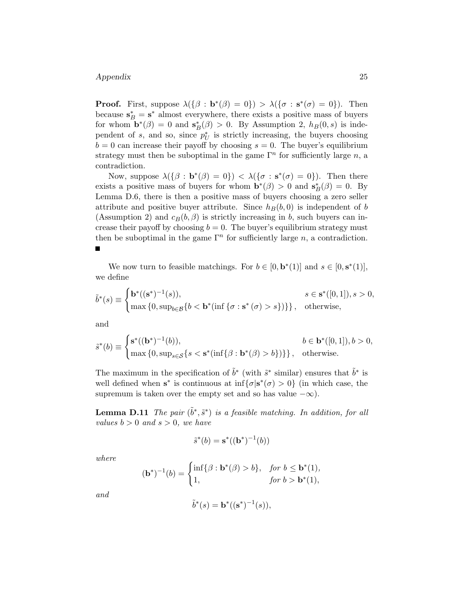**Proof.** First, suppose  $\lambda({\{\beta : \mathbf{b}^*(\beta) = 0\}} > \lambda({\{\sigma : \mathbf{s}^*(\sigma) = 0\}})$ . Then because  $\mathbf{s}_B^* = \mathbf{s}^*$  almost everywhere, there exists a positive mass of buyers for whom  $\mathbf{b}^*(\beta) = 0$  and  $\mathbf{s}_B^*(\beta) > 0$ . By Assumption 2,  $h_B(0, s)$  is independent of s, and so, since  $p_U^*$  is strictly increasing, the buyers choosing  $b = 0$  can increase their payoff by choosing  $s = 0$ . The buyer's equilibrium strategy must then be suboptimal in the game  $\Gamma^n$  for sufficiently large n, a contradiction.

Now, suppose  $\lambda(\{\beta : \mathbf{b}^*(\beta) = 0\}) < \lambda(\{\sigma : \mathbf{s}^*(\sigma) = 0\})$ . Then there exists a positive mass of buyers for whom  $\mathbf{b}^*(\beta) > 0$  and  $\mathbf{s}_B^*(\beta) = 0$ . By Lemma D.6, there is then a positive mass of buyers choosing a zero seller attribute and positive buyer attribute. Since  $h_B(b, 0)$  is independent of b (Assumption 2) and  $c_B(b, \beta)$  is strictly increasing in b, such buyers can increase their payoff by choosing  $b = 0$ . The buyer's equilibrium strategy must then be suboptimal in the game  $\Gamma^n$  for sufficiently large n, a contradiction.

We now turn to feasible matchings. For  $b \in [0, \mathbf{b}^*(1)]$  and  $s \in [0, \mathbf{s}^*(1)]$ , we define

$$
\tilde{b}^*(s) \equiv \begin{cases} \mathbf{b}^*((\mathbf{s}^*)^{-1}(s)), & s \in \mathbf{s}^*([0,1]), s > 0, \\ \max\{0, \sup_{b \in \mathcal{B}} \{b < \mathbf{b}^*(\inf\{\sigma : \mathbf{s}^*(\sigma) > s\})\} \}, & \text{otherwise,} \end{cases}
$$

and

$$
\tilde{s}^*(b) \equiv \begin{cases} \mathbf{s}^*((\mathbf{b}^*)^{-1}(b)), & b \in \mathbf{b}^*([0,1]), b > 0, \\ \max\{0, \sup_{s \in \mathcal{S}} \{s < \mathbf{s}^*\left(\inf\{\beta: \mathbf{b}^*(\beta) > b\}\right)\}\}, & \text{otherwise.} \end{cases}
$$

The maximum in the specification of  $\tilde{b}^*$  (with  $\tilde{s}^*$  similar) ensures that  $\tilde{b}^*$  is well defined when  $s^*$  is continuous at  $\inf{\{\sigma | s^*(\sigma) > 0\}}$  (in which case, the supremum is taken over the empty set and so has value  $-\infty$ ).

**Lemma D.11** The pair  $(\tilde{b}^*, \tilde{s}^*)$  is a feasible matching. In addition, for all values  $b > 0$  and  $s > 0$ , we have

$$
\tilde{s}^*(b) = \mathbf{s}^*((\mathbf{b}^*)^{-1}(b))
$$

where

$$
(\mathbf{b}^*)^{-1}(b) = \begin{cases} \inf\{\beta : \mathbf{b}^*(\beta) > b\}, & \text{for } b \leq \mathbf{b}^*(1), \\ 1, & \text{for } b > \mathbf{b}^*(1), \end{cases}
$$

and

$$
\tilde{b}^*(s) = \mathbf{b}^*((\mathbf{s}^*)^{-1}(s)),
$$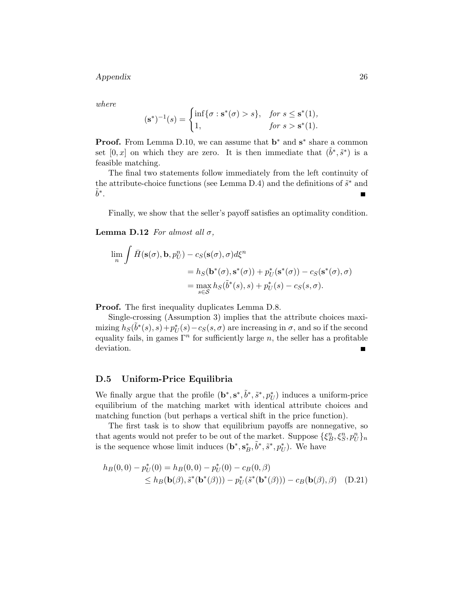where

$$
(\mathbf{s}^*)^{-1}(s) = \begin{cases} \inf\{\sigma : \mathbf{s}^*(\sigma) > s\}, & \text{for } s \le \mathbf{s}^*(1), \\ 1, & \text{for } s > \mathbf{s}^*(1). \end{cases}
$$

**Proof.** From Lemma D.10, we can assume that  $\mathbf{b}^*$  and  $\mathbf{s}^*$  share a common set [0, x] on which they are zero. It is then immediate that  $(\tilde{b}^*, \tilde{s}^*)$  is a feasible matching.

The final two statements follow immediately from the left continuity of the attribute-choice functions (see Lemma D.4) and the definitions of  $\tilde{s}^*$  and  $\tilde{b}^*$ . Е

Finally, we show that the seller's payoff satisfies an optimality condition.

**Lemma D.12** For almost all  $\sigma$ ,

$$
\lim_{n} \int \bar{H}(\mathbf{s}(\sigma), \mathbf{b}, p_{U}^{n}) - c_{S}(\mathbf{s}(\sigma), \sigma) d\xi^{n}
$$
  
=  $h_{S}(\mathbf{b}^{*}(\sigma), \mathbf{s}^{*}(\sigma)) + p_{U}^{*}(\mathbf{s}^{*}(\sigma)) - c_{S}(\mathbf{s}^{*}(\sigma), \sigma)$   
= 
$$
\max_{s \in S} h_{S}(\tilde{b}^{*}(s), s) + p_{U}^{*}(s) - c_{S}(s, \sigma).
$$

Proof. The first inequality duplicates Lemma D.8.

Single-crossing (Assumption 3) implies that the attribute choices maximizing  $h_S(\tilde{b}^*(s), s) + p^*_{U}(s) - c_S(s, \sigma)$  are increasing in  $\sigma$ , and so if the second equality fails, in games  $\Gamma^n$  for sufficiently large n, the seller has a profitable deviation.

#### D.5 Uniform-Price Equilibria

We finally argue that the profile  $(\mathbf{b}^*, \mathbf{s}^*, \tilde{b}^*, \tilde{s}^*, p_U^*)$  induces a uniform-price equilibrium of the matching market with identical attribute choices and matching function (but perhaps a vertical shift in the price function).

The first task is to show that equilibrium payoffs are nonnegative, so that agents would not prefer to be out of the market. Suppose  $\{\xi_B^n, \xi_S^n, p_U^n\}_n$ is the sequence whose limit induces  $(\mathbf{b}^*, \mathbf{s}_B^*, \tilde{b}^*, \tilde{s}^*, p_U^*)$ . We have

$$
h_B(0,0) - p_U^*(0) = h_B(0,0) - p_U^*(0) - c_B(0,\beta)
$$
  
\n
$$
\leq h_B(\mathbf{b}(\beta), \tilde{s}^*(\mathbf{b}^*(\beta))) - p_U^*(\tilde{s}^*(\mathbf{b}^*(\beta))) - c_B(\mathbf{b}(\beta),\beta)
$$
 (D.21)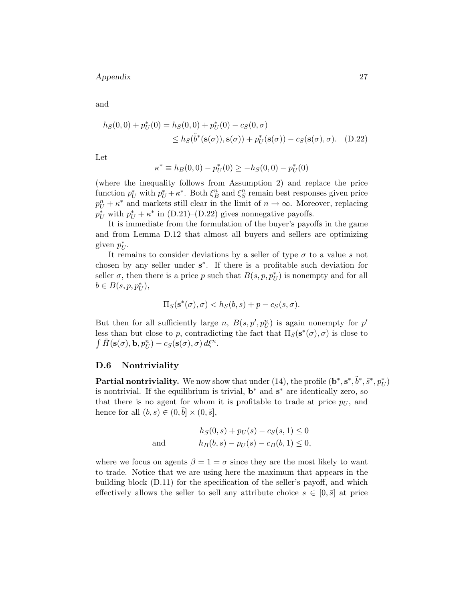and

$$
h_S(0,0) + p_U^*(0) = h_S(0,0) + p_U^*(0) - c_S(0,\sigma)
$$
  
 
$$
\leq h_S(\tilde{b}^*(s(\sigma)), s(\sigma)) + p_U^*(s(\sigma)) - c_S(s(\sigma), \sigma).
$$
 (D.22)

Let

$$
\kappa^* \equiv h_B(0,0) - p^*_U(0) \ge -h_S(0,0) - p^*_U(0)
$$

(where the inequality follows from Assumption 2) and replace the price function  $p_U^*$  with  $p_U^* + \kappa^*$ . Both  $\xi_B^n$  and  $\xi_S^n$  remain best responses given price  $p_U^n + \kappa^*$  and markets still clear in the limit of  $n \to \infty$ . Moreover, replacing  $p^*_{U}$  with  $p^*_{U} + \kappa^*$  in (D.21)–(D.22) gives nonnegative payoffs.

It is immediate from the formulation of the buyer's payoffs in the game and from Lemma D.12 that almost all buyers and sellers are optimizing given  $p_U^*$ .

It remains to consider deviations by a seller of type  $\sigma$  to a value s not chosen by any seller under s ∗ . If there is a profitable such deviation for seller  $\sigma$ , then there is a price p such that  $B(s, p, p^*_{U})$  is nonempty and for all  $b \in B(s, p, p^*_U)$ ,

$$
\Pi_S(\mathbf{s}^*(\sigma), \sigma) < h_S(b, s) + p - c_S(s, \sigma).
$$

But then for all sufficiently large n,  $B(s, p', p_U^n)$  is again nonempty for  $p'$ less than but close to p, contradicting the fact that  $\Pi_S(\mathbf{s}^*(\sigma), \sigma)$  is close to  $\bar{H}(\mathbf{s}(\sigma), \mathbf{b}, p_U^n) - c_S(\mathbf{s}(\sigma), \sigma) d\xi^n$ .

#### D.6 Nontriviality

Partial nontriviality. We now show that under (14), the profile  $(\mathbf{b}^*, \mathbf{s}^*, \tilde{b}^*, \tilde{s}^*, p_U^*)$ is nontrivial. If the equilibrium is trivial,  $\mathbf{b}^*$  and  $\mathbf{s}^*$  are identically zero, so that there is no agent for whom it is profitable to trade at price  $p_U$ , and hence for all  $(b, s) \in (0, \bar{b}] \times (0, \bar{s}],$ 

$$
h_S(0, s) + p_U(s) - c_S(s, 1) \le 0
$$
  
and 
$$
h_B(b, s) - p_U(s) - c_B(b, 1) \le 0,
$$

where we focus on agents  $\beta = 1 = \sigma$  since they are the most likely to want to trade. Notice that we are using here the maximum that appears in the building block (D.11) for the specification of the seller's payoff, and which effectively allows the seller to sell any attribute choice  $s \in [0, \bar{s}]$  at price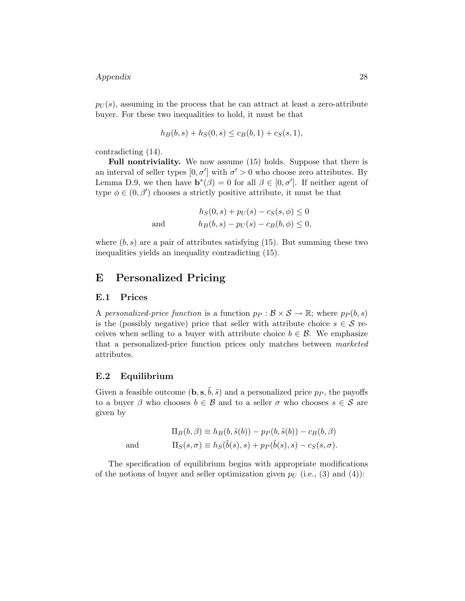$p_U(s)$ , assuming in the process that he can attract at least a zero-attribute buyer. For these two inequalities to hold, it must be that

$$
h_B(b,s) + h_S(0,s) \le c_B(b,1) + c_S(s,1),
$$

contradicting (14).

Full nontriviality. We now assume (15) holds. Suppose that there is an interval of seller types  $[0, \sigma']$  with  $\sigma' > 0$  who choose zero attributes. By Lemma D.9, we then have  $\mathbf{b}^*(\beta) = 0$  for all  $\beta \in [0, \sigma']$ . If neither agent of type  $\phi \in (0, \beta')$  chooses a strictly positive attribute, it must be that

$$
h_S(0, s) + p_U(s) - c_S(s, \phi) \le 0
$$
  
and 
$$
h_B(b, s) - p_U(s) - c_B(b, \phi) \le 0,
$$

where  $(b, s)$  are a pair of attributes satisfying (15). But summing these two inequalities yields an inequality contradicting (15).

### E Personalized Pricing

#### E.1 Prices

A personalized-price function is a function  $p_P : \mathcal{B} \times \mathcal{S} \to \mathbb{R}$ ; where  $p_P (b, s)$ is the (possibly negative) price that seller with attribute choice  $s \in \mathcal{S}$  receives when selling to a buyer with attribute choice  $b \in \mathcal{B}$ . We emphasize that a personalized-price function prices only matches between *marketed* attributes.

#### E.2 Equilibrium

Given a feasible outcome  $(\mathbf{b}, \mathbf{s}, \tilde{b}, \tilde{s})$  and a personalized price  $p_P$ , the payoffs to a buyer  $\beta$  who chooses  $b \in \mathcal{B}$  and to a seller  $\sigma$  who chooses  $s \in \mathcal{S}$  are given by

$$
\Pi_B(b,\beta) \equiv h_B(b,\tilde{s}(b)) - p_P(b,\tilde{s}(b)) - c_B(b,\beta)
$$
  
and 
$$
\Pi_S(s,\sigma) \equiv h_S(\tilde{b}(s),s) + p_P(\tilde{b}(s),s) - c_S(s,\sigma).
$$

The specification of equilibrium begins with appropriate modifications of the notions of buyer and seller optimization given  $p_U$  (i.e., (3) and (4)):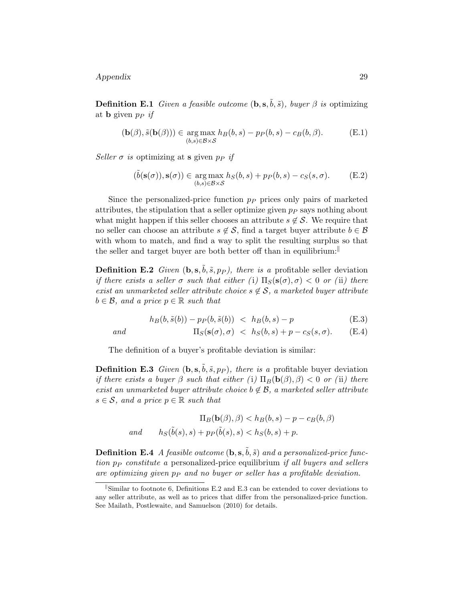**Definition E.1** Given a feasible outcome  $(\mathbf{b}, \mathbf{s}, \tilde{b}, \tilde{s})$ , buyer  $\beta$  is optimizing at **b** given  $p_p$  if

$$
(\mathbf{b}(\beta), \tilde{s}(\mathbf{b}(\beta))) \in \underset{(b,s)\in\mathcal{B}\times\mathcal{S}}{\arg\max} h_B(b,s) - p_P(b,s) - c_B(b,\beta). \tag{E.1}
$$

Seller  $\sigma$  is optimizing at **s** given  $p_p$  if

$$
(\tilde{b}(\mathbf{s}(\sigma)), \mathbf{s}(\sigma)) \in \underset{(b,s)\in\mathcal{B}\times\mathcal{S}}{\arg\max} h_S(b,s) + p_P(b,s) - c_S(s,\sigma). \tag{E.2}
$$

Since the personalized-price function  $p<sub>P</sub>$  prices only pairs of marketed attributes, the stipulation that a seller optimize given  $p<sub>P</sub>$  says nothing about what might happen if this seller chooses an attribute  $s \notin \mathcal{S}$ . We require that no seller can choose an attribute  $s \notin \mathcal{S}$ , find a target buyer attribute  $b \in \mathcal{B}$ with whom to match, and find a way to split the resulting surplus so that the seller and target buyer are both better off than in equilibrium:

**Definition E.2** Given  $(b, s, \tilde{b}, \tilde{s}, pp)$ , there is a profitable seller deviation if there exists a seller  $\sigma$  such that either (i)  $\Pi_S(\mathbf{s}(\sigma), \sigma) < 0$  or (ii) there exist an unmarketed seller attribute choice  $s \notin \mathcal{S}$ , a marketed buyer attribute  $b \in \mathcal{B}$ , and a price  $p \in \mathbb{R}$  such that

$$
h_B(b, \tilde{s}(b)) - p_P(b, \tilde{s}(b)) < h_B(b, s) - p \tag{E.3}
$$

and  $\Pi_S(\mathbf{s}(\sigma), \sigma) < h_S(b, s) + p - c_S(s, \sigma)$ . (E.4)

The definition of a buyer's profitable deviation is similar:

**Definition E.3** Given  $(b, s, \tilde{b}, \tilde{s}, pp)$ , there is a profitable buyer deviation if there exists a buyer  $\beta$  such that either (i)  $\Pi_B(\mathbf{b}(\beta), \beta) < 0$  or (ii) there exist an unmarketed buyer attribute choice  $b \notin \mathcal{B}$ , a marketed seller attribute  $s \in \mathcal{S}$ , and a price  $p \in \mathbb{R}$  such that

$$
\Pi_B(\mathbf{b}(\beta), \beta) < h_B(b, s) - p - c_B(b, \beta)
$$
\nand

\n
$$
h_S(\tilde{b}(s), s) + p_P(\tilde{b}(s), s) < h_S(b, s) + p.
$$

**Definition E.4** A feasible outcome  $(\mathbf{b}, \mathbf{s}, \tilde{b}, \tilde{s})$  and a personalized-price function  $p_P$  constitute a personalized-price equilibrium if all buyers and sellers are optimizing given  $p_P$  and no buyer or seller has a profitable deviation.

Similar to footnote 6, Definitions E.2 and E.3 can be extended to cover deviations to any seller attribute, as well as to prices that differ from the personalized-price function. See Mailath, Postlewaite, and Samuelson (2010) for details.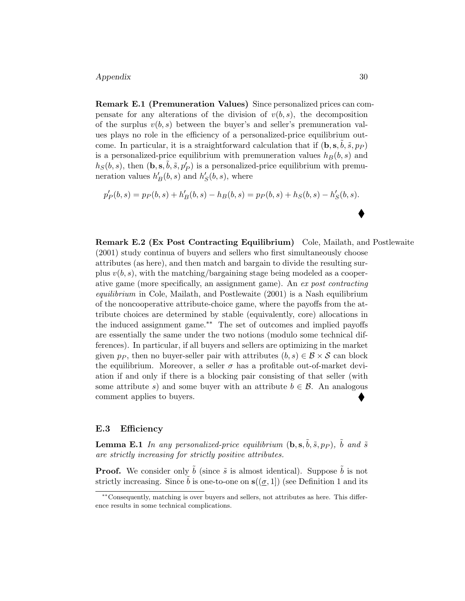Remark E.1 (Premuneration Values) Since personalized prices can compensate for any alterations of the division of  $v(b, s)$ , the decomposition of the surplus  $v(b, s)$  between the buyer's and seller's premuneration values plays no role in the efficiency of a personalized-price equilibrium outcome. In particular, it is a straightforward calculation that if  $(\mathbf{b}, \mathbf{s}, \tilde{b}, \tilde{s}, p_P)$ is a personalized-price equilibrium with premuneration values  $h_B(b, s)$  and  $h_S(\tilde{b}, s)$ , then  $(\mathbf{b}, \tilde{s}, \tilde{b}, \tilde{s}, p'_P)$  is a personalized-price equilibrium with premuneration values  $h'_B(b, s)$  and  $h'_S(b, s)$ , where

$$
p'_{P}(b,s) = p_{P}(b,s) + h'_{B}(b,s) - h_{B}(b,s) = p_{P}(b,s) + h_{S}(b,s) - h'_{S}(b,s).
$$

Remark E.2 (Ex Post Contracting Equilibrium) Cole, Mailath, and Postlewaite (2001) study continua of buyers and sellers who first simultaneously choose attributes (as here), and then match and bargain to divide the resulting surplus  $v(b, s)$ , with the matching/bargaining stage being modeled as a cooperative game (more specifically, an assignment game). An ex post contracting equilibrium in Cole, Mailath, and Postlewaite  $(2001)$  is a Nash equilibrium of the noncooperative attribute-choice game, where the payoffs from the attribute choices are determined by stable (equivalently, core) allocations in the induced assignment game.∗∗ The set of outcomes and implied payoffs are essentially the same under the two notions (modulo some technical differences). In particular, if all buyers and sellers are optimizing in the market given  $p_P$ , then no buyer-seller pair with attributes  $(b, s) \in \mathcal{B} \times \mathcal{S}$  can block the equilibrium. Moreover, a seller  $\sigma$  has a profitable out-of-market deviation if and only if there is a blocking pair consisting of that seller (with some attribute s) and some buyer with an attribute  $b \in \mathcal{B}$ . An analogous comment applies to buyers.

#### E.3 Efficiency

**Lemma E.1** In any personalized-price equilibrium  $(\mathbf{b}, \mathbf{s}, \tilde{b}, \tilde{s}, p_P)$ ,  $\tilde{b}$  and  $\tilde{s}$ are strictly increasing for strictly positive attributes.

**Proof.** We consider only  $\tilde{b}$  (since  $\tilde{s}$  is almost identical). Suppose  $\tilde{b}$  is not strictly increasing. Since  $\tilde{b}$  is one-to-one on  $s((\sigma, 1))$  (see Definition 1 and its

¨

<sup>∗∗</sup>Consequently, matching is over buyers and sellers, not attributes as here. This difference results in some technical complications.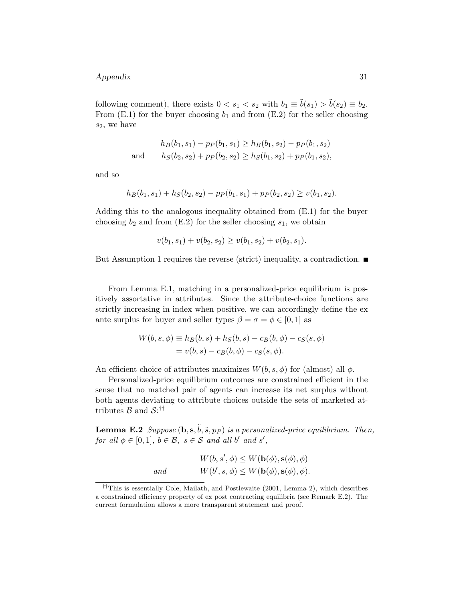following comment), there exists  $0 < s_1 < s_2$  with  $b_1 \equiv \tilde{b}(s_1) > \tilde{b}(s_2) \equiv b_2$ . From  $(E.1)$  for the buyer choosing  $b_1$  and from  $(E.2)$  for the seller choosing  $s_2$ , we have

$$
h_B(b_1, s_1) - p_P(b_1, s_1) \ge h_B(b_1, s_2) - p_P(b_1, s_2)
$$
  
and 
$$
h_S(b_2, s_2) + p_P(b_2, s_2) \ge h_S(b_1, s_2) + p_P(b_1, s_2),
$$

and so

$$
h_B(b_1, s_1) + h_S(b_2, s_2) - p_P(b_1, s_1) + p_P(b_2, s_2) \ge v(b_1, s_2).
$$

Adding this to the analogous inequality obtained from (E.1) for the buyer choosing  $b_2$  and from (E.2) for the seller choosing  $s_1$ , we obtain

$$
v(b_1, s_1) + v(b_2, s_2) \ge v(b_1, s_2) + v(b_2, s_1).
$$

But Assumption 1 requires the reverse (strict) inequality, a contradiction.  $\blacksquare$ 

From Lemma E.1, matching in a personalized-price equilibrium is positively assortative in attributes. Since the attribute-choice functions are strictly increasing in index when positive, we can accordingly define the ex ante surplus for buyer and seller types  $\beta = \sigma = \phi \in [0, 1]$  as

$$
W(b, s, \phi) \equiv h_B(b, s) + h_S(b, s) - c_B(b, \phi) - c_S(s, \phi)
$$
  
=  $v(b, s) - c_B(b, \phi) - c_S(s, \phi)$ .

An efficient choice of attributes maximizes  $W(b, s, \phi)$  for (almost) all  $\phi$ .

Personalized-price equilibrium outcomes are constrained efficient in the sense that no matched pair of agents can increase its net surplus without both agents deviating to attribute choices outside the sets of marketed attributes  $\beta$  and  $\mathcal{S}$ :<sup>††</sup>

**Lemma E.2** Suppose  $(b, s, \tilde{b}, \tilde{s}, p_P)$  is a personalized-price equilibrium. Then, for all  $\phi \in [0,1], b \in \mathcal{B}, s \in \mathcal{S}$  and all b' and s',

$$
W(b, s', \phi) \le W(\mathbf{b}(\phi), \mathbf{s}(\phi), \phi)
$$
  
and 
$$
W(b', s, \phi) \le W(\mathbf{b}(\phi), \mathbf{s}(\phi), \phi).
$$

<sup>††</sup>This is essentially Cole, Mailath, and Postlewaite (2001, Lemma 2), which describes a constrained efficiency property of ex post contracting equilibria (see Remark E.2). The current formulation allows a more transparent statement and proof.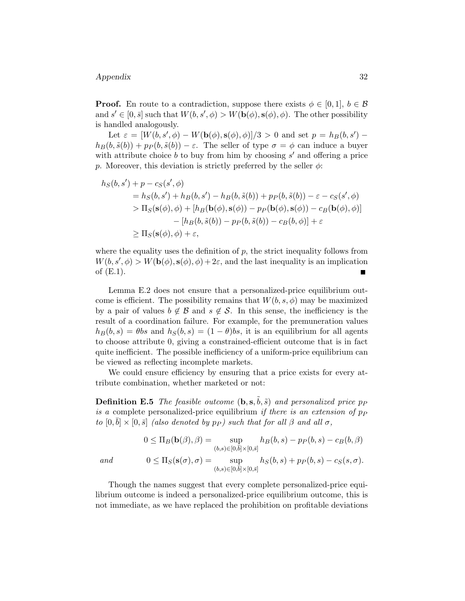**Proof.** En route to a contradiction, suppose there exists  $\phi \in [0,1], b \in \mathcal{B}$ and  $s' \in [0, \bar{s}]$  such that  $W(b, s', \phi) > W(\mathbf{b}(\phi), \mathbf{s}(\phi), \phi)$ . The other possibility is handled analogously.

Let  $\varepsilon = [W(b, s', \phi) - W(\mathbf{b}(\phi), \mathbf{s}(\phi), \phi)]/3 > 0$  and set  $p = h_B(b, s')$  $h_B(b, \tilde{s}(b)) + p_P(b, \tilde{s}(b)) - \varepsilon$ . The seller of type  $\sigma = \phi$  can induce a buyer with attribute choice  $b$  to buy from him by choosing  $s'$  and offering a price p. Moreover, this deviation is strictly preferred by the seller  $\phi$ :

$$
h_S(b, s') + p - c_S(s', \phi)
$$
  
=  $h_S(b, s') + h_B(b, s') - h_B(b, \tilde{s}(b)) + p_P(b, \tilde{s}(b)) - \varepsilon - c_S(s', \phi)$   
>  $\Pi_S(\mathbf{s}(\phi), \phi) + [h_B(\mathbf{b}(\phi), \mathbf{s}(\phi)) - p_P(\mathbf{b}(\phi), \mathbf{s}(\phi)) - c_B(\mathbf{b}(\phi), \phi)]$   
 $- [h_B(b, \tilde{s}(b)) - p_P(b, \tilde{s}(b)) - c_B(b, \phi)] + \varepsilon$   
 $\ge \Pi_S(\mathbf{s}(\phi), \phi) + \varepsilon,$ 

where the equality uses the definition of  $p$ , the strict inequality follows from  $W(b, s', \phi) > W(b(\phi), s(\phi), \phi) + 2\varepsilon$ , and the last inequality is an implication of (E.1).

Lemma E.2 does not ensure that a personalized-price equilibrium outcome is efficient. The possibility remains that  $W(b, s, \phi)$  may be maximized by a pair of values  $b \notin \mathcal{B}$  and  $s \notin \mathcal{S}$ . In this sense, the inefficiency is the result of a coordination failure. For example, for the premuneration values  $h_B(b, s) = \theta bs$  and  $h_S(b, s) = (1 - \theta)bs$ , it is an equilibrium for all agents to choose attribute 0, giving a constrained-efficient outcome that is in fact quite inefficient. The possible inefficiency of a uniform-price equilibrium can be viewed as reflecting incomplete markets.

We could ensure efficiency by ensuring that a price exists for every attribute combination, whether marketed or not:

**Definition E.5** The feasible outcome  $(\mathbf{b}, \mathbf{s}, \tilde{b}, \tilde{s})$  and personalized price p<sub>P</sub> is a complete personalized-price equilibrium if there is an extension of  $p_P$ to  $[0,\bar{b}] \times [0,\bar{s}]$  (also denoted by  $p_P$ ) such that for all  $\beta$  and all  $\sigma$ ,

$$
0 \le \Pi_B(\mathbf{b}(\beta), \beta) = \sup_{(b,s) \in [0,\bar{b}] \times [0,\bar{s}]} h_B(b,s) - p_P(b,s) - c_B(b,\beta)
$$
  
and  

$$
0 \le \Pi_S(\mathbf{s}(\sigma), \sigma) = \sup_{(b,s) \in [0,\bar{b}] \times [0,\bar{s}]} h_S(b,s) + p_P(b,s) - c_S(s,\sigma).
$$

Though the names suggest that every complete personalized-price equilibrium outcome is indeed a personalized-price equilibrium outcome, this is not immediate, as we have replaced the prohibition on profitable deviations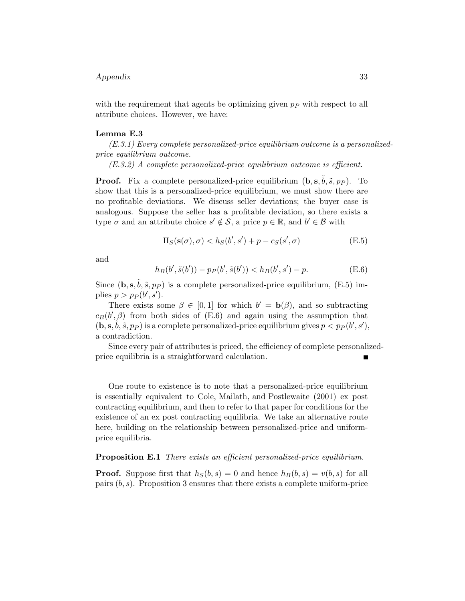with the requirement that agents be optimizing given  $p<sub>P</sub>$  with respect to all attribute choices. However, we have:

#### Lemma E.3

(E.3.1) Every complete personalized-price equilibrium outcome is a personalizedprice equilibrium outcome.

 $(E.3.2)$  A complete personalized-price equilibrium outcome is efficient.

**Proof.** Fix a complete personalized-price equilibrium  $(\mathbf{b}, \mathbf{s}, \tilde{b}, \tilde{s}, p_P)$ . To show that this is a personalized-price equilibrium, we must show there are no profitable deviations. We discuss seller deviations; the buyer case is analogous. Suppose the seller has a profitable deviation, so there exists a type  $\sigma$  and an attribute choice  $s' \notin \mathcal{S}$ , a price  $p \in \mathbb{R}$ , and  $b' \in \mathcal{B}$  with

$$
\Pi_S(\mathbf{s}(\sigma), \sigma) < h_S(b', s') + p - c_S(s', \sigma) \tag{E.5}
$$

and

$$
h_B(b', \tilde{s}(b')) - p_P(b', \tilde{s}(b')) < h_B(b', s') - p. \tag{E.6}
$$

Since  $(\mathbf{b}, \mathbf{s}, \tilde{b}, \tilde{s}, p_P)$  is a complete personalized-price equilibrium, (E.5) implies  $p > p_P(b', s')$ .

There exists some  $\beta \in [0,1]$  for which  $b' = \mathbf{b}(\beta)$ , and so subtracting  $c_B(b',\beta)$  from both sides of (E.6) and again using the assumption that  $(\mathbf{b}, \mathbf{s}, \tilde{b}, \tilde{s}, p_P)$  is a complete personalized-price equilibrium gives  $p < p_P(b', s')$ , a contradiction.

Since every pair of attributes is priced, the efficiency of complete personalizedprice equilibria is a straightforward calculation.

One route to existence is to note that a personalized-price equilibrium is essentially equivalent to Cole, Mailath, and Postlewaite (2001) ex post contracting equilibrium, and then to refer to that paper for conditions for the existence of an ex post contracting equilibria. We take an alternative route here, building on the relationship between personalized-price and uniformprice equilibria.

#### Proposition E.1 There exists an efficient personalized-price equilibrium.

**Proof.** Suppose first that  $h_S(b, s) = 0$  and hence  $h_B(b, s) = v(b, s)$  for all pairs  $(b, s)$ . Proposition 3 ensures that there exists a complete uniform-price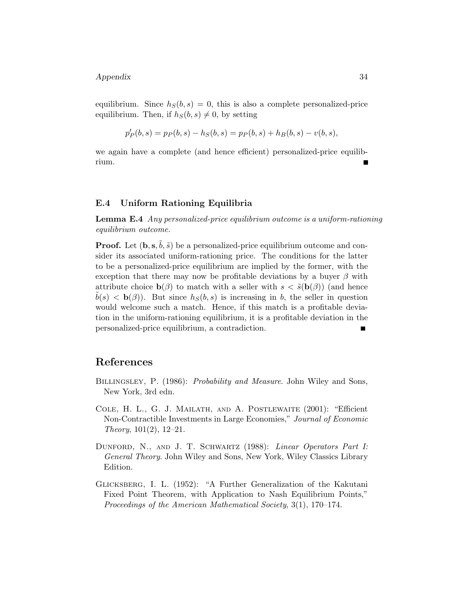equilibrium. Since  $h<sub>S</sub>(b, s) = 0$ , this is also a complete personalized-price equilibrium. Then, if  $h<sub>S</sub>(b, s) \neq 0$ , by setting

$$
p'_{P}(b,s) = p_{P}(b,s) - h_{S}(b,s) = p_{P}(b,s) + h_{B}(b,s) - v(b,s),
$$

we again have a complete (and hence efficient) personalized-price equilibrium.

#### E.4 Uniform Rationing Equilibria

Lemma E.4 Any personalized-price equilibrium outcome is a uniform-rationing equilibrium outcome.

**Proof.** Let  $(\mathbf{b}, \mathbf{s}, \tilde{b}, \tilde{s})$  be a personalized-price equilibrium outcome and consider its associated uniform-rationing price. The conditions for the latter to be a personalized-price equilibrium are implied by the former, with the exception that there may now be profitable deviations by a buyer  $\beta$  with attribute choice  $\mathbf{b}(\beta)$  to match with a seller with  $s < \tilde{s}(\mathbf{b}(\beta))$  (and hence  $b(s) < b(\beta)$ . But since  $h_S(b, s)$  is increasing in b, the seller in question would welcome such a match. Hence, if this match is a profitable deviation in the uniform-rationing equilibrium, it is a profitable deviation in the personalized-price equilibrium, a contradiction.

## References

- BILLINGSLEY, P. (1986): *Probability and Measure*. John Wiley and Sons, New York, 3rd edn.
- Cole, H. L., G. J. Mailath, and A. Postlewaite (2001): "Efficient Non-Contractible Investments in Large Economies," Journal of Economic Theory, 101(2), 12–21.
- DUNFORD, N., AND J. T. SCHWARTZ (1988): Linear Operators Part I: General Theory. John Wiley and Sons, New York, Wiley Classics Library Edition.
- Glicksberg, I. L. (1952): "A Further Generalization of the Kakutani Fixed Point Theorem, with Application to Nash Equilibrium Points," Proceedings of the American Mathematical Society, 3(1), 170–174.